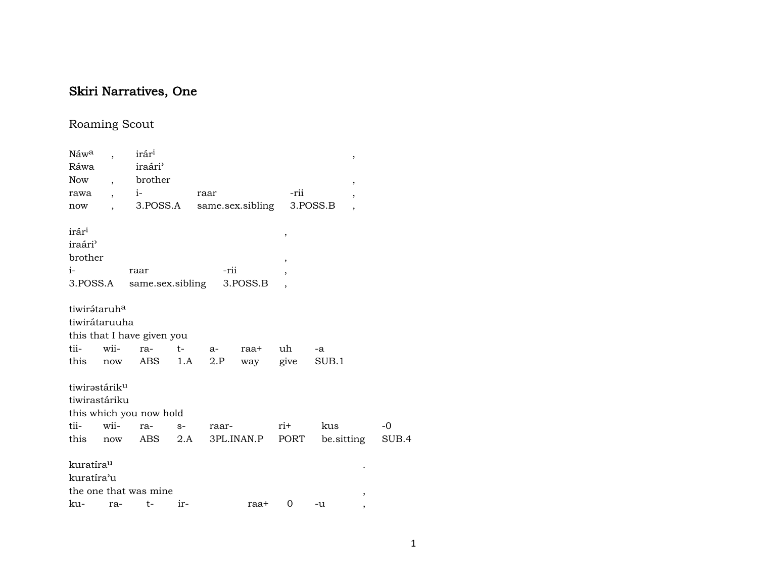# Skiri Narratives, One

## Roaming Scout

| Náw <sup>a</sup><br>Ráwa<br>Now<br>rawa<br>now                          | $\overline{ }$<br>$\overline{\phantom{a}}$<br>$\ddot{\phantom{0}}$ | irár <sup>i</sup><br>iraári <sup>3</sup><br>brother<br>$i-1$<br>3.POSS.A |             | raar        | same.sex.sibling | -rii                                  | 3.POSS.B      | $\,$<br>$\overline{\phantom{a}}$<br>,<br>$\overline{ }$ |               |
|-------------------------------------------------------------------------|--------------------------------------------------------------------|--------------------------------------------------------------------------|-------------|-------------|------------------|---------------------------------------|---------------|---------------------------------------------------------|---------------|
| irár <sup>i</sup><br>iraári <sup>3</sup><br>brother<br>$i-$<br>3.POSS.A |                                                                    | raar<br>same.sex.sibling                                                 |             | -rii        | 3.POSS.B         | $\,$<br>,<br>$\overline{\phantom{a}}$ |               |                                                         |               |
| tiwirátaruh <sup>a</sup><br>tii-<br>this                                | tiwirátaruuha<br>wii-<br>now                                       | this that I have given you<br>$ra-$<br>ABS                               | $t-$<br>1.A | $a-$<br>2.P | raa+<br>way      | uh<br>give                            | $-a$<br>SUB.1 |                                                         |               |
| tiwirastárik <sup>u</sup><br>tiwirastáriku<br>tii-<br>this              | wii-<br>now                                                        | this which you now hold<br>ra-<br>ABS                                    | $S-$<br>2.A | raar-       | 3PL.INAN.P       | $ri^{+}$<br>PORT                      | kus           | be.sitting                                              | $-0$<br>SUB.4 |
| kuratíra <sup>u</sup><br>kuratíra'u<br>ku-                              | ra-                                                                | the one that was mine<br>t-                                              | ir-         |             | raa+             | 0                                     | -u            | $\,$<br>,                                               |               |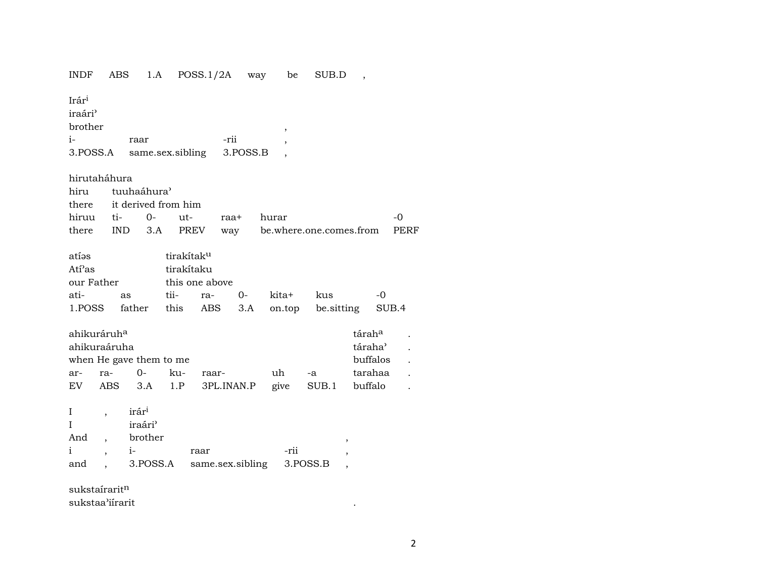#### **INDF** 1.A POSS.1/2A way be SUB.D, ABS

 $\mathrm{Ir\acute{a}r^{i}}$ 

iraári<sup>)</sup>

| brother |                                      |      |
|---------|--------------------------------------|------|
| $i-$    | raar                                 | -rii |
|         | 3. POSS.A same.sex.sibling 3. POSS.B |      |

hirutaháhura

| hiru tuuhaáhura <sup>)</sup> |                           |  |  |                                                     |       |  |  |  |  |  |
|------------------------------|---------------------------|--|--|-----------------------------------------------------|-------|--|--|--|--|--|
|                              | there it derived from him |  |  |                                                     |       |  |  |  |  |  |
| hiruu ti- 0- ut- raa+ hurar  |                           |  |  |                                                     | $-()$ |  |  |  |  |  |
|                              |                           |  |  | there IND 3.A PREV way be.where.one.comes.from PERF |       |  |  |  |  |  |

 $\rightarrow$  $\overline{ }$ 

 $\rightarrow$ 

| atíəs               |        | tirakítak <sup>u</sup> |                |      |       |                                 |           |  |  |  |  |  |
|---------------------|--------|------------------------|----------------|------|-------|---------------------------------|-----------|--|--|--|--|--|
| Ati <sup>3</sup> as |        | tirakítaku             |                |      |       |                                 |           |  |  |  |  |  |
| our Father          |        |                        | this one above |      |       |                                 |           |  |  |  |  |  |
| ati-                | as     |                        | tii- ra-       | $O-$ | kita+ | kus                             | $-\Omega$ |  |  |  |  |  |
| 1.POSS              | father |                        |                |      |       | this ABS 3.A on.top be. sitting | SUB.4     |  |  |  |  |  |

|     | ahikuráruh <sup>a</sup> |          |                                           |    |      | tárah <sup>a</sup>  |  |
|-----|-------------------------|----------|-------------------------------------------|----|------|---------------------|--|
|     | ahikuraáruha            |          |                                           |    |      | táraha <sup>)</sup> |  |
|     | when He gave them to me |          |                                           |    |      | buffalos            |  |
|     | ar- $ra-$ 0-            | $k_{11}$ | raar-                                     | uh | $-a$ | tarahaa             |  |
| EV. |                         |          | ABS 3.A 1.P 3PL.INAN.P give SUB.1 buffalo |    |      |                     |  |

 $\rm I$ irár $^{\rm i}$  $\overline{\phantom{a}}$ iraári<sup>)</sup>  $\mathbf{I}$ brother And  $\rightarrow$  $i$  $i-$ -rii raar  $\overline{\phantom{a}}$ and 3.POSS.A same.sex.sibling 3.POSS.B  $\overline{\phantom{a}}$ 

sukstaírari $\mathfrak{t}^{\mathrm{n}}$ sukstaa'iírarit  $\,$  ,

 $\overline{\phantom{a}}$ 

 $\overline{\phantom{a}}$ 

 $\bullet$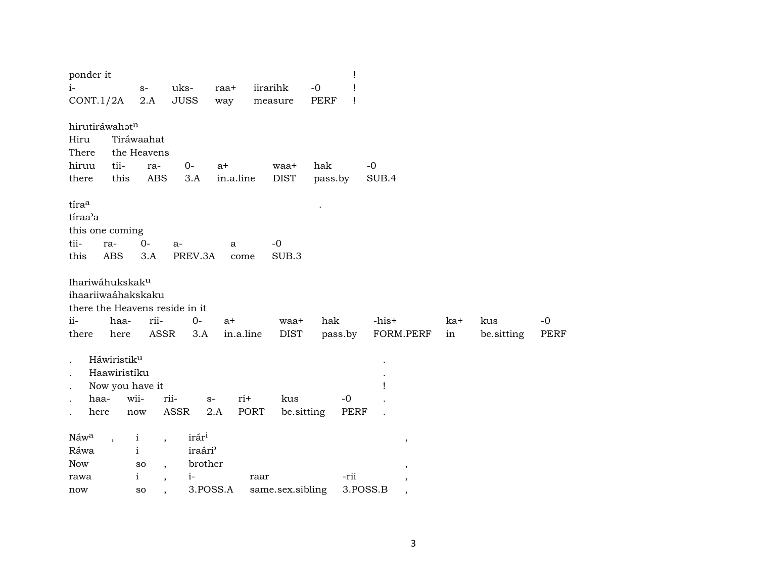| ponder it                        |                                |                     |           |                  | Ţ                |                                      |     |            |      |
|----------------------------------|--------------------------------|---------------------|-----------|------------------|------------------|--------------------------------------|-----|------------|------|
| $i-$                             | $S-$                           | uks-                | raa+      | iirarihk         | $-0$<br>ı        |                                      |     |            |      |
| CONT.1/2A                        | 2.A                            | <b>JUSS</b>         | way       | measure          | <b>PERF</b><br>Ţ |                                      |     |            |      |
|                                  |                                |                     |           |                  |                  |                                      |     |            |      |
| hirutiráwahatn<br>Hiru           | Tiráwaahat                     |                     |           |                  |                  |                                      |     |            |      |
| There                            | the Heavens                    |                     |           |                  |                  |                                      |     |            |      |
| tii-<br>hiruu                    | ra-                            | $0-$                | $a+$      | waa+             | hak              | $-0$                                 |     |            |      |
| there<br>this                    | <b>ABS</b>                     | 3.A                 | in.a.line | <b>DIST</b>      | pass.by          | SUB.4                                |     |            |      |
|                                  |                                |                     |           |                  |                  |                                      |     |            |      |
| tíra <sup>a</sup>                |                                |                     |           |                  |                  |                                      |     |            |      |
| tíraa'a                          |                                |                     |           |                  |                  |                                      |     |            |      |
| this one coming                  |                                |                     |           |                  |                  |                                      |     |            |      |
| tii-<br>ra-                      | $0-$                           | a-                  | a         | $-0$             |                  |                                      |     |            |      |
| <b>ABS</b><br>this               | 3.A                            | PREV.3A             | come      | SUB.3            |                  |                                      |     |            |      |
|                                  |                                |                     |           |                  |                  |                                      |     |            |      |
| Ihariwáhukskak <sup>u</sup>      |                                |                     |           |                  |                  |                                      |     |            |      |
| ihaariiwaáhakskaku               |                                |                     |           |                  |                  |                                      |     |            |      |
| there the Heavens reside in it   |                                |                     |           |                  |                  |                                      |     |            |      |
| ii-<br>haa-                      | rii-                           | $O -$               | $a+$      | waa+             | hak              | -his+                                | ka+ | kus        | $-0$ |
| there<br>here                    | ASSR                           | 3.A                 | in.a.line | <b>DIST</b>      | pass.by          | FORM.PERF                            | in  | be.sitting | PERF |
| Háwiristiku                      |                                |                     |           |                  |                  |                                      |     |            |      |
| Haawiristíku                     |                                |                     |           |                  |                  |                                      |     |            |      |
| Now you have it                  |                                |                     |           |                  |                  | ı                                    |     |            |      |
| haa-                             | wii-<br>rii-                   | $S-$                | $ri+$     | kus              | $-0$             |                                      |     |            |      |
| here                             | $\operatorname{now}$           | ASSR<br>2.A         | PORT      | be.sitting       | PERF             |                                      |     |            |      |
|                                  |                                |                     |           |                  |                  |                                      |     |            |      |
| Náwa<br>$\overline{\phantom{a}}$ | $\mathbf{i}$<br>$\cdot$        | irár <sup>i</sup>   |           |                  |                  | $^\mathrm{^\mathrm{o}}$              |     |            |      |
| Ráwa                             | $\mathbf{i}$                   | iraári <sup>3</sup> |           |                  |                  |                                      |     |            |      |
| <b>Now</b>                       | SO<br>$\overline{\phantom{a}}$ | brother             |           |                  |                  | $\overline{\phantom{a}}$             |     |            |      |
| rawa                             | $\mathbf{i}$<br>$\cdot$        | $i-$                | raar      |                  | -rii             |                                      |     |            |      |
| now                              | SO<br>,                        | 3.POSS.A            |           | same.sex.sibling |                  | 3.POSS.B<br>$\overline{\phantom{a}}$ |     |            |      |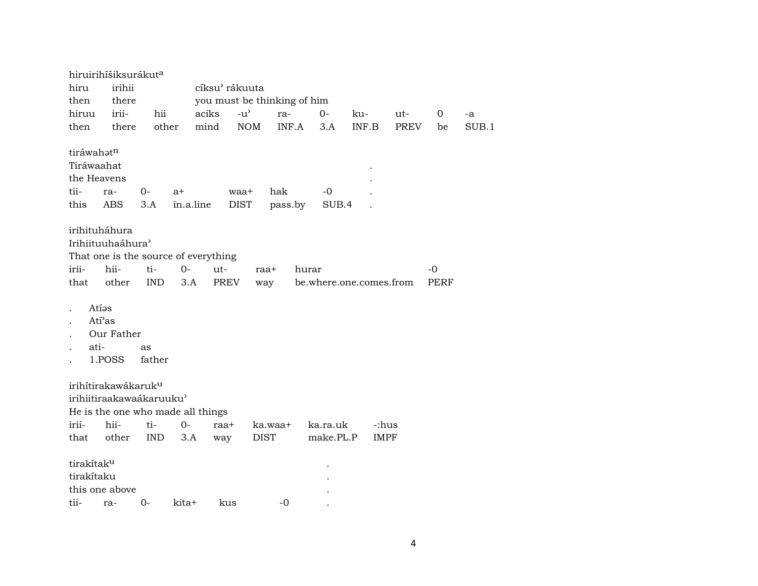| hiruirihíšiksurákuta              |            |            |                                      |                |                                     |         |                         |             |      |      |       |
|-----------------------------------|------------|------------|--------------------------------------|----------------|-------------------------------------|---------|-------------------------|-------------|------|------|-------|
| hiru                              | irihii     |            |                                      | cíksu' rákuuta |                                     |         |                         |             |      |      |       |
| then                              | there      |            |                                      |                | you must be thinking of him         |         |                         |             |      |      |       |
| hiruu                             | irii-      | hii        |                                      | aciks          | $-u$ <sup><math>\prime</math></sup> | ra-     | $0-$                    | ku-         | ut-  | 0    | -a    |
| then                              | there      | other      |                                      | mind           | <b>NOM</b>                          | INF.A   | 3.A                     | INF.B       | PREV | be   | SUB.1 |
|                                   |            |            |                                      |                |                                     |         |                         |             |      |      |       |
| tiráwahatn                        |            |            |                                      |                |                                     |         |                         |             |      |      |       |
| Tiráwaahat                        |            |            |                                      |                |                                     |         |                         |             |      |      |       |
| the Heavens                       |            |            |                                      |                |                                     |         |                         |             |      |      |       |
| tii-                              | ra-        | $0 -$      | $a+$                                 |                | waa+                                | hak     | -0                      |             |      |      |       |
| this                              | <b>ABS</b> | 3.A        | in.a.line                            |                | <b>DIST</b>                         | pass.by | SUB.4                   |             |      |      |       |
|                                   |            |            |                                      |                |                                     |         |                         |             |      |      |       |
| irihituháhura                     |            |            |                                      |                |                                     |         |                         |             |      |      |       |
| Irihiituuhaáhura'                 |            |            |                                      |                |                                     |         |                         |             |      |      |       |
|                                   |            |            |                                      |                |                                     |         |                         |             |      |      |       |
|                                   |            |            | That one is the source of everything |                |                                     |         |                         |             |      |      |       |
| irii-                             | hii-       | ti-        | $O -$                                | $ut-$          | raa+                                |         | hurar                   |             |      | $-0$ |       |
| that                              | other      | <b>IND</b> | 3.A                                  | PREV           | way                                 |         | be.where.one.comes.from |             |      | PERF |       |
|                                   |            |            |                                      |                |                                     |         |                         |             |      |      |       |
| Atias                             |            |            |                                      |                |                                     |         |                         |             |      |      |       |
| Atí'as                            |            |            |                                      |                |                                     |         |                         |             |      |      |       |
|                                   | Our Father |            |                                      |                |                                     |         |                         |             |      |      |       |
| ati-                              |            | as         |                                      |                |                                     |         |                         |             |      |      |       |
|                                   | 1.POSS     | father     |                                      |                |                                     |         |                         |             |      |      |       |
|                                   |            |            |                                      |                |                                     |         |                         |             |      |      |       |
| irihítirakawákaruk <sup>u</sup>   |            |            |                                      |                |                                     |         |                         |             |      |      |       |
| irihiitiraakawaákaruuku'          |            |            |                                      |                |                                     |         |                         |             |      |      |       |
| He is the one who made all things |            |            |                                      |                |                                     |         |                         |             |      |      |       |
| irii-                             | hii-       | ti-        | $0 -$                                | raa+           |                                     | ka.waa+ | ka.ra.uk                | -:hus       |      |      |       |
| that                              | other      | <b>IND</b> | 3.A                                  | way            | <b>DIST</b>                         |         | make.PL.P               | <b>IMPF</b> |      |      |       |
|                                   |            |            |                                      |                |                                     |         |                         |             |      |      |       |
| tirakítak <sup>u</sup>            |            |            |                                      |                |                                     |         |                         |             |      |      |       |
| tirakítaku                        |            |            |                                      |                |                                     |         |                         |             |      |      |       |
| this one above                    |            |            |                                      |                |                                     |         |                         |             |      |      |       |
| tii-                              | ra-        | $0-$       | kita+                                | kus            |                                     | -0      |                         |             |      |      |       |
|                                   |            |            |                                      |                |                                     |         |                         |             |      |      |       |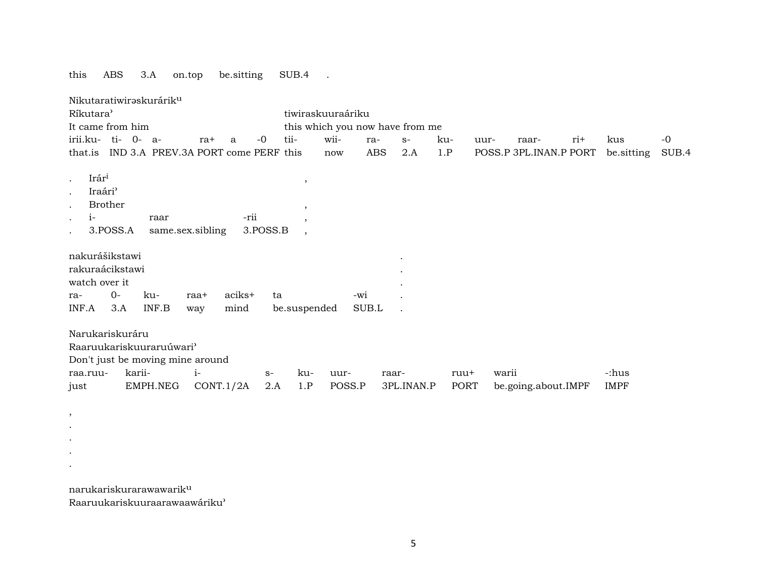| this                                      | ABS                 | 3.A                                 | on.top           | be sitting                                  |          | SUB.4             |        |            |                                 |      |       |                        |       |             |       |
|-------------------------------------------|---------------------|-------------------------------------|------------------|---------------------------------------------|----------|-------------------|--------|------------|---------------------------------|------|-------|------------------------|-------|-------------|-------|
|                                           |                     | Nikutaratiwirəskurárik <sup>u</sup> |                  |                                             |          |                   |        |            |                                 |      |       |                        |       |             |       |
| Ríkutara <sup></sup>                      |                     |                                     |                  |                                             |          | tiwiraskuuraáriku |        |            |                                 |      |       |                        |       |             |       |
| It came from him                          |                     |                                     |                  |                                             |          |                   |        |            | this which you now have from me |      |       |                        |       |             |       |
| irii.ku- ti- 0- a-                        |                     |                                     | ra+              | a                                           | $-0$     | tii-              | wii-   | ra-        | $S-$                            | ku-  | uur-  | raar-                  | $ri+$ | kus         | $-0$  |
|                                           |                     |                                     |                  | that.is IND 3.A PREV.3A PORT come PERF this |          |                   | now    | <b>ABS</b> | 2.A                             | 1.P  |       | POSS.P 3PL.INAN.P PORT |       | be sitting  | SUB.4 |
| Irár <sup>i</sup><br>$\ddot{\phantom{0}}$ |                     |                                     |                  |                                             |          | $\cdot$           |        |            |                                 |      |       |                        |       |             |       |
| $\ddot{\phantom{a}}$                      | Iraári <sup>3</sup> |                                     |                  |                                             |          |                   |        |            |                                 |      |       |                        |       |             |       |
| $\bullet$                                 | <b>Brother</b>      |                                     |                  |                                             |          | ,                 |        |            |                                 |      |       |                        |       |             |       |
| $i-$<br>$\bullet$                         |                     | raar                                |                  | -rii                                        |          | $\cdot$           |        |            |                                 |      |       |                        |       |             |       |
|                                           | 3.POSS.A            |                                     | same.sex.sibling |                                             | 3.POSS.B | $\cdot$           |        |            |                                 |      |       |                        |       |             |       |
| nakurášikstawi                            |                     |                                     |                  |                                             |          |                   |        |            |                                 |      |       |                        |       |             |       |
| rakuraácikstawi                           |                     |                                     |                  |                                             |          |                   |        |            |                                 |      |       |                        |       |             |       |
| watch over it                             |                     |                                     |                  |                                             |          |                   |        |            |                                 |      |       |                        |       |             |       |
| ra-                                       | $0-$                | ku-                                 | raa+             | aciks+                                      | ta       |                   |        | -wi        |                                 |      |       |                        |       |             |       |
| INF.A                                     | 3.A                 | INF.B                               | way              | mind                                        |          | be.suspended      |        | SUB.L      |                                 |      |       |                        |       |             |       |
| Narukariskuráru                           |                     |                                     |                  |                                             |          |                   |        |            |                                 |      |       |                        |       |             |       |
|                                           |                     | Raaruukariskuuraruúwari'            |                  |                                             |          |                   |        |            |                                 |      |       |                        |       |             |       |
|                                           |                     | Don't just be moving mine around    |                  |                                             |          |                   |        |            |                                 |      |       |                        |       |             |       |
| raa.ruu-                                  |                     | karii-                              | $i-$             |                                             | $S-$     | ku-               | uur-   |            | raar-                           | ruu+ | warii |                        |       | -:hus       |       |
| just                                      |                     | EMPH.NEG                            |                  | CONT.1/2A                                   | 2.A      | 1.P               | POSS.P |            | 3PL.INAN.P                      | PORT |       | be.going.about.IMPF    |       | <b>IMPF</b> |       |
|                                           |                     |                                     |                  |                                             |          |                   |        |            |                                 |      |       |                        |       |             |       |
| $^\mathrm{^\mathrm{o}}$                   |                     |                                     |                  |                                             |          |                   |        |            |                                 |      |       |                        |       |             |       |
|                                           |                     |                                     |                  |                                             |          |                   |        |            |                                 |      |       |                        |       |             |       |

 $\mathcal{F}_{\text{max}}$  . The signal  $\mathcal{F}_{\text{max}}$ 

. .

narukariskurarawawarikµ

Raaruukariskuuraarawaawáriku"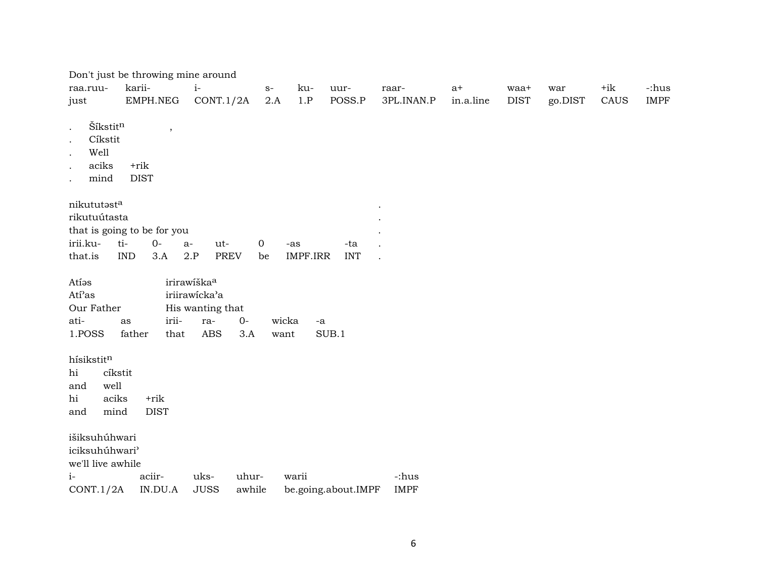|                                                                                                                                                           | Don't just be throwing mine around                      |                                                                                                    |                                 |                           |                     |                      |                   |                     |                |             |                      |
|-----------------------------------------------------------------------------------------------------------------------------------------------------------|---------------------------------------------------------|----------------------------------------------------------------------------------------------------|---------------------------------|---------------------------|---------------------|----------------------|-------------------|---------------------|----------------|-------------|----------------------|
| raa.ruu-<br>just                                                                                                                                          | karii-<br>EMPH.NEG                                      | $i-$<br>CONT.1/2A                                                                                  |                                 | ku-<br>$S-$<br>1.P<br>2.A | uur-<br>POSS.P      | raar-<br>3PL.INAN.P  | $a+$<br>in.a.line | waa+<br><b>DIST</b> | war<br>go.DIST | +ik<br>CAUS | -:hus<br><b>IMPF</b> |
| Šíkstitn<br>$\ddot{\phantom{0}}$<br>Cíkstit<br>$\bullet$<br>Well<br>$\ddot{\phantom{a}}$<br>aciks<br>$\ddot{\phantom{0}}$<br>mind<br>$\ddot{\phantom{0}}$ | $\, ,$<br>$+{\rm rik}$<br><b>DIST</b>                   |                                                                                                    |                                 |                           |                     |                      |                   |                     |                |             |                      |
| nikututasta<br>rikutuútasta                                                                                                                               | that is going to be for you                             |                                                                                                    |                                 |                           |                     |                      |                   |                     |                |             |                      |
| irii.ku-<br>that.is                                                                                                                                       | ti-<br>$0-$<br><b>IND</b><br>3.A                        | $a-$<br>ut-<br>2.P                                                                                 | $\mbox{O}$<br><b>PREV</b><br>be | -as<br>IMPF.IRR           | -ta<br><b>INT</b>   |                      |                   |                     |                |             |                      |
| Atías<br>Atí'as<br>Our Father<br>ati-<br>1.POSS                                                                                                           | as<br>father                                            | irirawíška <sup>a</sup><br>iriirawicka'a<br>His wanting that<br>irii-<br>ra-<br><b>ABS</b><br>that | $O -$<br>3.A                    | wicka<br>want             | -a<br>SUB.1         |                      |                   |                     |                |             |                      |
| hísikstitn<br>hi<br>well<br>and<br>hi<br>and                                                                                                              | cíkstit<br>aciks<br>$+{\rm rik}$<br><b>DIST</b><br>mind |                                                                                                    |                                 |                           |                     |                      |                   |                     |                |             |                      |
| išiksuhúhwari<br>iciksuhúhwari'<br>we'll live awhile<br>i-<br>CONT.1/2A                                                                                   | aciir-<br>IN.DU.A                                       | uks-<br><b>JUSS</b>                                                                                | uhur-<br>awhile                 | warii                     | be.going.about.IMPF | -:hus<br><b>IMPF</b> |                   |                     |                |             |                      |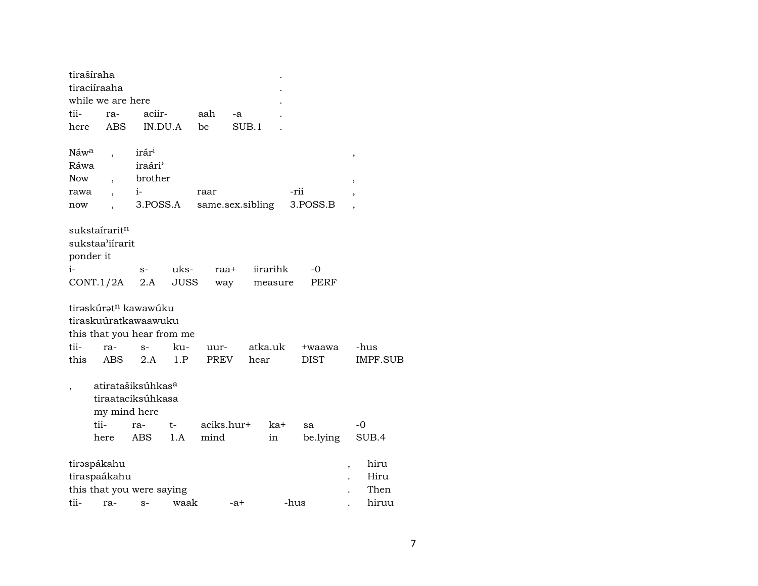|                          | tirašíraha                                                                             |                                                    |             |                  |       |          |             |                           |
|--------------------------|----------------------------------------------------------------------------------------|----------------------------------------------------|-------------|------------------|-------|----------|-------------|---------------------------|
|                          | tiraciíraaha                                                                           |                                                    |             |                  |       |          |             |                           |
|                          | while we are here                                                                      |                                                    |             |                  |       |          |             |                           |
| tii-                     | ra-                                                                                    | aciir-                                             |             | aah              | -a    |          |             |                           |
| here                     | <b>ABS</b>                                                                             |                                                    | IN.DU.A     | be               | SUB.1 |          |             |                           |
| Náw <sup>a</sup>         |                                                                                        | irár <sup>i</sup>                                  |             |                  |       |          |             | ,                         |
| Ráwa                     |                                                                                        | iraári <sup>3</sup>                                |             |                  |       |          |             |                           |
| <b>Now</b>               |                                                                                        | brother                                            |             |                  |       |          |             | ,                         |
| rawa                     |                                                                                        | $i-$                                               |             | raar             |       |          | -rii        | ,                         |
| now                      |                                                                                        |                                                    | 3.POSS.A    | same.sex.sibling |       |          | 3.POSS.B    |                           |
| ponder it                | sukstaíraritn<br>sukstaa'iirarit                                                       |                                                    |             |                  |       |          |             |                           |
| $i-$                     |                                                                                        | $S-$                                               | uks-        | raa+             |       | iirarihk | -0          |                           |
|                          | CONT.1/2A                                                                              | 2.A                                                | <b>JUSS</b> |                  | way   | measure  | PERF        |                           |
|                          | tirəskúrət <sup>n</sup> kawawúku<br>tiraskuúratkawaawuku<br>this that you hear from me |                                                    |             |                  |       |          |             |                           |
| tii-                     | ra-                                                                                    | $S-$                                               | ku-         | uur-             |       | atka.uk  | +waawa      | -hus                      |
| this                     | <b>ABS</b>                                                                             | 2.A                                                | 1.P         | PREV             | hear  |          | <b>DIST</b> | <b>IMPF.SUB</b>           |
| $\overline{\phantom{a}}$ | my mind here                                                                           | atiratašiksúhkas <sup>a</sup><br>tiraataciksúhkasa |             |                  |       |          |             |                           |
|                          | tii-                                                                                   | ra-                                                | $t-$        | aciks.hur+       |       | ka+      | sa          | $-0$                      |
|                          | here                                                                                   | ABS                                                | 1.A         | mind             |       | in       | be.lying    | SUB.4                     |
|                          | tirəspákahu<br>tiraspaákahu<br>this that you were saying                               |                                                    |             |                  |       |          |             | hiru<br>,<br>Hiru<br>Then |
| tii-                     | ra-                                                                                    | $S-$                                               | waak        |                  | $-a+$ |          | -hus        | hiruu                     |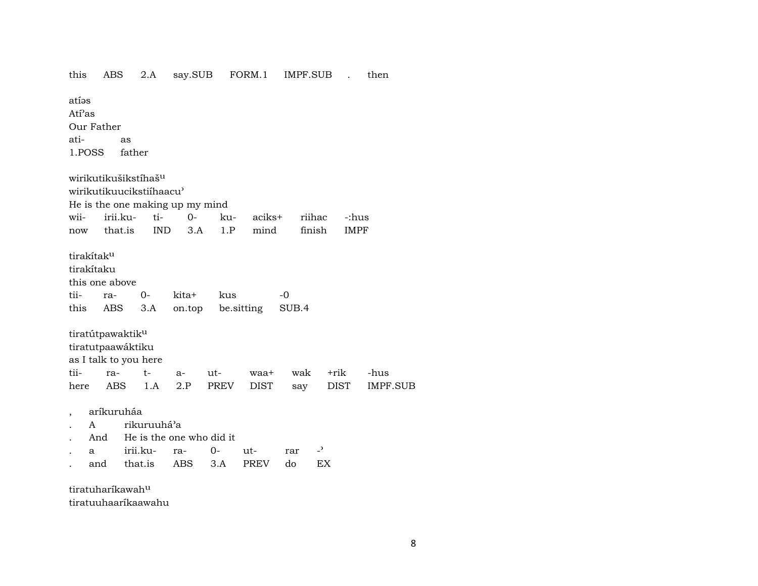this ABS 2.A say.SUB FORM.1 IMPF.SUB . then atíes Atí<sup>2</sup>as Our Father ati- as 1.POSS father wirikutikušikstíhaš<sup>u</sup> wirikutikuucikstiíhaacu" He is the one making up my mind wii- irii.ku- ti- 0- ku- aciks+ riihac -:hus now that.is IND 3.A 1.P mind finish IMPF tirakítakµ tirakítaku this one above tii- ra- 0- kita+ kus -0 this ABS 3.A on.top be.sitting SUB.4 tiratútpawaktik $^{\mathrm{u}}$ tiratutpaawáktiku as I talk to you here tii- ra- t- a- ut- waa+ wak +rik -hus here ABS 1.A 2.P PREV DIST say DIST IMPF.SUB , aríkuruháa . A rikuruuhá"a And He is the one who did it a irii.ku- ra- 0- ut- rar -<sup>"</sup> . and that.is ABS 3.A PREV do EX tiratuharíkawah<sup>u</sup>

tiratuuhaaríkaawahu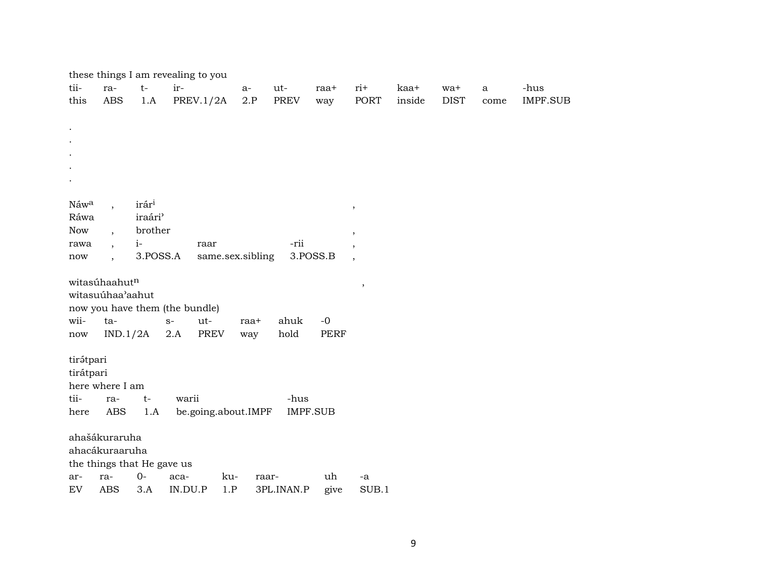|                      |                            |                     | these things I am revealing to you |                     |             |                 |                          |        |             |      |                 |
|----------------------|----------------------------|---------------------|------------------------------------|---------------------|-------------|-----------------|--------------------------|--------|-------------|------|-----------------|
| tii-                 | ra-                        | $t-$                | ir-                                | a-                  | ut-         | raa+            | $ri+$                    | kaa+   | wa+         | a    | -hus            |
| this                 | <b>ABS</b>                 | 1.A                 | PREV.1/2A                          | 2.P                 | <b>PREV</b> | way             | PORT                     | inside | <b>DIST</b> | come | <b>IMPF.SUB</b> |
|                      |                            |                     |                                    |                     |             |                 |                          |        |             |      |                 |
|                      |                            |                     |                                    |                     |             |                 |                          |        |             |      |                 |
|                      |                            |                     |                                    |                     |             |                 |                          |        |             |      |                 |
|                      |                            |                     |                                    |                     |             |                 |                          |        |             |      |                 |
|                      |                            |                     |                                    |                     |             |                 |                          |        |             |      |                 |
|                      |                            |                     |                                    |                     |             |                 |                          |        |             |      |                 |
| Náwa                 | $\overline{\phantom{a}}$   | irár <sup>i</sup>   |                                    |                     |             |                 | $\, ,$                   |        |             |      |                 |
| Ráwa                 |                            | iraári <sup>3</sup> |                                    |                     |             |                 |                          |        |             |      |                 |
| <b>Now</b>           | $\cdot$                    | brother             |                                    |                     |             |                 | $^\mathrm{,}$            |        |             |      |                 |
| rawa                 | $\overline{\phantom{a}}$   | $i-$                | raar                               |                     | -rii        |                 | $\overline{\phantom{a}}$ |        |             |      |                 |
| $\operatorname{now}$ |                            | 3.POSS.A            |                                    | same.sex.sibling    |             | 3.POSS.B        | $\overline{\phantom{a}}$ |        |             |      |                 |
|                      |                            |                     |                                    |                     |             |                 |                          |        |             |      |                 |
|                      | witasúhaahutn              |                     |                                    |                     |             |                 | $\, ,$                   |        |             |      |                 |
|                      | witasuúhaa'aahut           |                     |                                    |                     |             |                 |                          |        |             |      |                 |
|                      |                            |                     | now you have them (the bundle)     |                     |             |                 |                          |        |             |      |                 |
| wii-                 | ta-                        |                     | ut-<br>$S-$                        | raa+                | ahuk        | $-0$            |                          |        |             |      |                 |
| $\operatorname{now}$ | IND.1/2A                   |                     | PREV<br>2.A                        | way                 | hold        | PERF            |                          |        |             |      |                 |
| tirátpari            |                            |                     |                                    |                     |             |                 |                          |        |             |      |                 |
| tirátpari            |                            |                     |                                    |                     |             |                 |                          |        |             |      |                 |
|                      | here where I am            |                     |                                    |                     |             |                 |                          |        |             |      |                 |
| tii-                 | ra-                        | $t-$                | warii                              |                     | -hus        |                 |                          |        |             |      |                 |
| here                 | <b>ABS</b>                 | 1.A                 |                                    | be.going.about.IMPF |             | <b>IMPF.SUB</b> |                          |        |             |      |                 |
|                      |                            |                     |                                    |                     |             |                 |                          |        |             |      |                 |
|                      | ahašákuraruha              |                     |                                    |                     |             |                 |                          |        |             |      |                 |
|                      | ahacákuraaruha             |                     |                                    |                     |             |                 |                          |        |             |      |                 |
|                      | the things that He gave us |                     |                                    |                     |             |                 |                          |        |             |      |                 |
| ar-                  | ra-                        | $0-$                | aca-                               | ku-                 | raar-       | uh              | -a                       |        |             |      |                 |
| ${\rm EV}$           | <b>ABS</b>                 | 3.A                 | IN.DU.P                            | 1.P                 | 3PL.INAN.P  | give            | SUB.1                    |        |             |      |                 |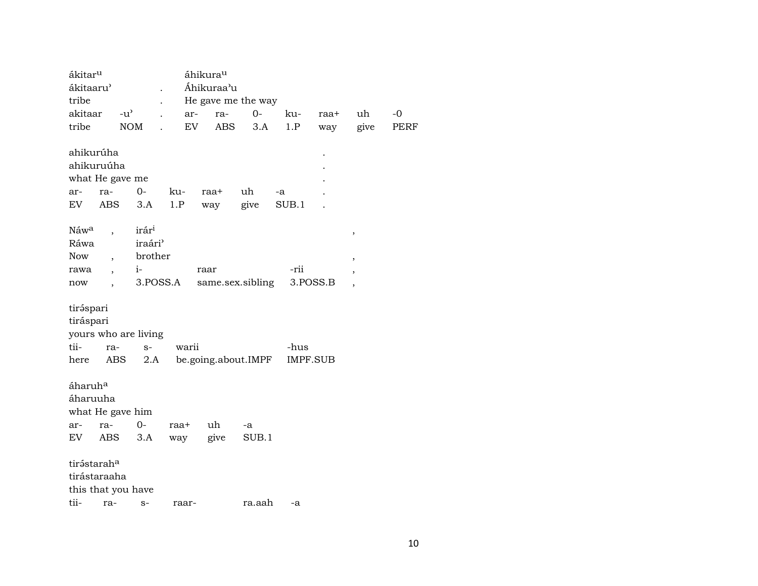| ákitar <sup>u</sup>     |                          |                      |       | áhikurau            |        |                 |          |                          |      |
|-------------------------|--------------------------|----------------------|-------|---------------------|--------|-----------------|----------|--------------------------|------|
| ákitaaru'               |                          |                      |       | Áhikuraa'u          |        |                 |          |                          |      |
| tribe                   |                          |                      |       | He gave me the way  |        |                 |          |                          |      |
| akitaar                 |                          | $-u^{\prime}$        | ar-   | ra-                 | $0-$   | ku-             | raa+     | uh                       | $-0$ |
| tribe                   |                          | <b>NOM</b>           | EV    | <b>ABS</b>          | 3.A    | 1.P             | way      | give                     | PERF |
| ahikurúha               |                          |                      |       |                     |        |                 |          |                          |      |
|                         | ahikuruúha               |                      |       |                     |        |                 |          |                          |      |
|                         | what He gave me          |                      |       |                     |        |                 |          |                          |      |
| ar-                     | ra-                      | $0-$                 | ku-   | raa+                | uh     | -a              |          |                          |      |
| EV.                     | ABS                      | 3.A                  | 1.P   | way                 | give   | SUB.1           |          |                          |      |
| Náw <sup>a</sup>        |                          | irár <sup>i</sup>    |       |                     |        |                 |          | $\, ,$                   |      |
| Ráwa                    |                          | iraári <sup>3</sup>  |       |                     |        |                 |          |                          |      |
| Now                     |                          | brother              |       |                     |        |                 |          | $^\mathrm{^\mathrm{o}}$  |      |
| rawa                    | $\overline{\phantom{a}}$ | $i-$                 |       | raar                |        | -rii            |          | ,                        |      |
| now                     | $\overline{\phantom{a}}$ | 3.POSS.A             |       | same.sex.sibling    |        |                 | 3.POSS.B | $\overline{\phantom{a}}$ |      |
| tiráspari               |                          |                      |       |                     |        |                 |          |                          |      |
| tiráspari               |                          |                      |       |                     |        |                 |          |                          |      |
|                         |                          | yours who are living |       |                     |        |                 |          |                          |      |
| tii-                    | ra-                      | $S-$                 | warii |                     |        | -hus            |          |                          |      |
| here                    | ABS                      | 2.A                  |       | be.going.about.IMPF |        | <b>IMPF.SUB</b> |          |                          |      |
|                         |                          |                      |       |                     |        |                 |          |                          |      |
| áharuh <sup>a</sup>     |                          |                      |       |                     |        |                 |          |                          |      |
| áharuuha                |                          |                      |       |                     |        |                 |          |                          |      |
|                         | what He gave him         |                      |       |                     |        |                 |          |                          |      |
| ar-                     | ra-                      | $O -$                | raa+  | uh                  | -a     |                 |          |                          |      |
| EV                      | ABS                      | 3.A                  | way   | give                | SUB.1  |                 |          |                          |      |
| tirástarah <sup>a</sup> |                          |                      |       |                     |        |                 |          |                          |      |
|                         | tirástaraaha             |                      |       |                     |        |                 |          |                          |      |
|                         | this that you have       |                      |       |                     |        |                 |          |                          |      |
| tii-                    | ra-                      | $S-$                 | raar- |                     | ra.aah | -a              |          |                          |      |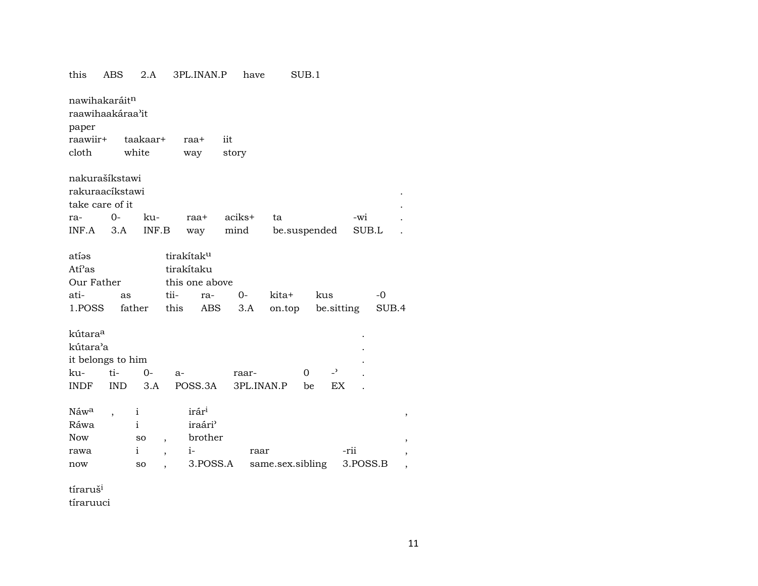| this                                          | ABS        | 2.A                                                 |                          | 3PL.INAN.P             |        | have       | SUB.1            |                            |          |       |   |
|-----------------------------------------------|------------|-----------------------------------------------------|--------------------------|------------------------|--------|------------|------------------|----------------------------|----------|-------|---|
| nawihakaráit <sup>n</sup><br>raawihaakáraa'it |            |                                                     |                          |                        |        |            |                  |                            |          |       |   |
| paper                                         |            |                                                     |                          |                        |        |            |                  |                            |          |       |   |
| raawiir+                                      |            | taakaar+                                            |                          | raa+                   | iit    |            |                  |                            |          |       |   |
| cloth                                         |            | white                                               |                          | way                    | story  |            |                  |                            |          |       |   |
| nakurašíkstawi                                |            |                                                     |                          |                        |        |            |                  |                            |          |       |   |
| rakuraacíkstawi                               |            |                                                     |                          |                        |        |            |                  |                            |          |       |   |
| take care of it                               |            |                                                     |                          |                        |        |            |                  |                            |          |       |   |
| ra-                                           | $O -$      | ku-                                                 |                          | raa+                   | aciks+ |            | ta               |                            | -wi      |       |   |
| INF.A                                         | 3.A        | $\ensuremath{\mathsf{INF}}.\ensuremath{\mathsf{B}}$ |                          | way                    | mind   |            |                  | be.suspended               | SUB.L    |       |   |
|                                               |            |                                                     |                          |                        |        |            |                  |                            |          |       |   |
| atíəs                                         |            |                                                     |                          | tirakítak <sup>u</sup> |        |            |                  |                            |          |       |   |
| Atí <sup>2</sup> as                           |            |                                                     |                          | tirakítaku             |        |            |                  |                            |          |       |   |
| Our Father                                    |            |                                                     |                          | this one above         |        |            |                  |                            |          |       |   |
| ati-                                          | as         |                                                     | tii-                     | ra-                    | $0-$   |            | kita+            | kus                        |          | $-0$  |   |
| 1.POSS                                        |            | father                                              | this                     | ABS                    |        | 3.A        | on.top           | be sitting                 |          | SUB.4 |   |
|                                               |            |                                                     |                          |                        |        |            |                  |                            |          |       |   |
| kútara <sup>a</sup>                           |            |                                                     |                          |                        |        |            |                  |                            |          |       |   |
| kútara'a                                      |            |                                                     |                          |                        |        |            |                  |                            |          |       |   |
| it belongs to him                             |            |                                                     |                          |                        |        |            |                  |                            |          |       |   |
| ku-                                           | ti-        | $0-$                                                | a-                       |                        | raar-  |            |                  | $\overline{a}$<br>$\Omega$ |          |       |   |
| INDF                                          | <b>IND</b> | 3.A                                                 |                          | POSS.3A                |        | 3PL.INAN.P |                  | EX<br>be                   |          |       |   |
|                                               |            |                                                     |                          | irár <sup>i</sup>      |        |            |                  |                            |          |       |   |
| Náw <sup>a</sup>                              |            | $\mathbf{i}$                                        |                          |                        |        |            |                  |                            |          |       | , |
| Ráwa                                          |            | $\mathbf{i}$                                        |                          | iraári <sup></sup>     |        |            |                  |                            |          |       |   |
| <b>Now</b>                                    |            | SO                                                  | $\overline{\phantom{a}}$ | brother                |        |            |                  |                            |          |       | , |
| rawa                                          |            | $\mathbf{i}$                                        |                          | $i-$                   |        | raar       |                  |                            | -rii     |       |   |
| now                                           |            | so                                                  |                          | 3.POSS.A               |        |            | same.sex.sibling |                            | 3.POSS.B |       |   |

 $\rm{t}$ íraruš $^{\rm i}$ tíraruuci

11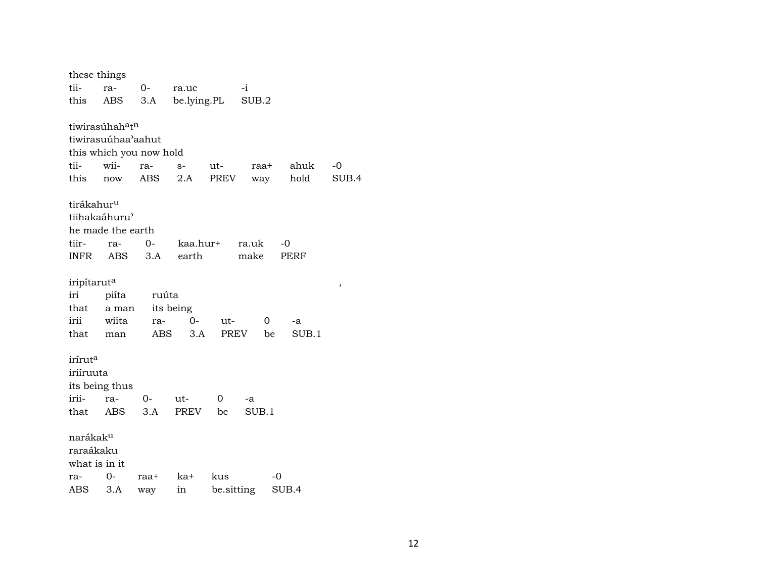| these things            |                    |                         |             |            |       |             |       |
|-------------------------|--------------------|-------------------------|-------------|------------|-------|-------------|-------|
| tii-                    | ra-                | $O-$                    | ra.uc       |            | -i    |             |       |
| this                    | ABS                | 3.A                     | be.lying.PL |            | SUB.2 |             |       |
|                         |                    |                         |             |            |       |             |       |
|                         | tiwirasúhahatn     |                         |             |            |       |             |       |
|                         | tiwirasuúhaa'aahut |                         |             |            |       |             |       |
|                         |                    | this which you now hold |             |            |       |             |       |
| tii-                    | wii-               | ra-                     | $S-$        | ut-        | raa+  | ahuk        | $-0$  |
| this                    | now                | ABS                     | 2.A         | PREV       | way   | hold        | SUB.4 |
| tirákahur <sup>u</sup>  |                    |                         |             |            |       |             |       |
| tiihakaáhuru'           |                    |                         |             |            |       |             |       |
|                         | he made the earth  |                         |             |            |       |             |       |
| tiir-                   | ra-                | $0-$                    | kaa.hur+    |            | ra.uk | -0          |       |
| <b>INFR</b>             | ABS                | 3.A                     | earth       |            | make  | <b>PERF</b> |       |
|                         |                    |                         |             |            |       |             |       |
| iripítarut <sup>a</sup> |                    |                         |             |            |       |             | ,     |
| iri                     | piíta              | ruúta                   |             |            |       |             |       |
| that                    | a man              |                         | its being   |            |       |             |       |
| irii                    | wiita              | ra-                     | $0-$        | ut-        | 0     | -a          |       |
| that                    | man                | ABS                     | 3.A         |            | PREV  | SUB.1<br>be |       |
|                         |                    |                         |             |            |       |             |       |
| irírut <sup>a</sup>     |                    |                         |             |            |       |             |       |
| iriíruuta               |                    |                         |             |            |       |             |       |
| its being thus          |                    |                         |             |            |       |             |       |
| irii-                   | ra-                | $O-$                    | ut-         | 0          | -a    |             |       |
| that                    | ABS                | 3.A                     | PREV        | be         | SUB.1 |             |       |
|                         |                    |                         |             |            |       |             |       |
| narákak <sup>u</sup>    |                    |                         |             |            |       |             |       |
| raraákaku               |                    |                         |             |            |       |             |       |
| what is in it           |                    |                         |             |            |       |             |       |
| ra-                     | $0-$               | raa+                    | ka+         | kus        |       | -0          |       |
| ABS                     | 3.A                | way                     | in          | be.sitting |       | SUB.4       |       |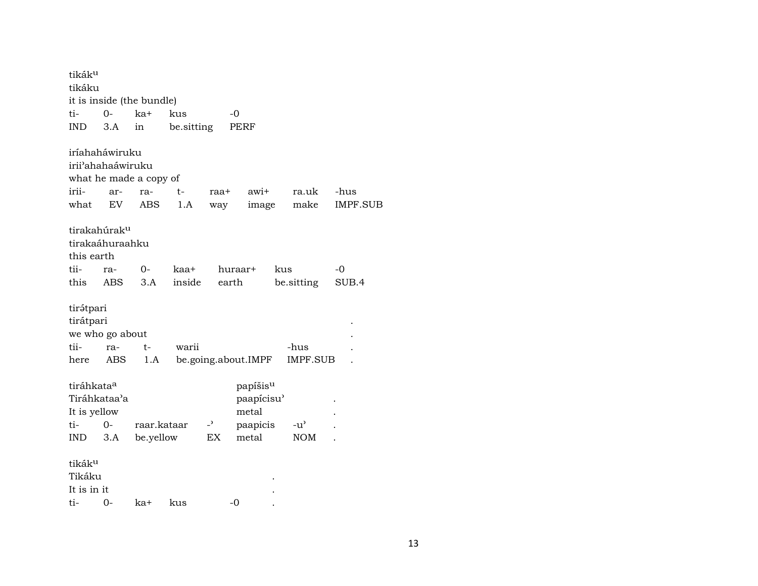| tikák <sup>u</sup>     |                          |                           |            |       |                     |                 |                 |
|------------------------|--------------------------|---------------------------|------------|-------|---------------------|-----------------|-----------------|
| tikáku                 |                          |                           |            |       |                     |                 |                 |
|                        |                          | it is inside (the bundle) |            |       |                     |                 |                 |
| ti-                    | $0-$                     | ka+                       | kus        |       | -0                  |                 |                 |
| <b>IND</b>             | 3.A                      | in                        | be.sitting |       | PERF                |                 |                 |
|                        | iríahaháwiruku           |                           |            |       |                     |                 |                 |
|                        | irii'ahahaáwiruku        |                           |            |       |                     |                 |                 |
|                        |                          | what he made a copy of    |            |       |                     |                 |                 |
| irii-                  | ar-                      | ra-                       | $t-$       | raa+  | awi+                | ra.uk           | -hus            |
| what                   | EV                       | ABS                       | 1.A        | way   | image               | make            | <b>IMPF.SUB</b> |
|                        | tirakahúrak <sup>u</sup> |                           |            |       |                     |                 |                 |
|                        | tirakaáhuraahku          |                           |            |       |                     |                 |                 |
| this earth             |                          |                           |            |       |                     |                 |                 |
| tii-                   | ra-                      | 0-                        | kaa+       |       | huraar+             | kus             | -0              |
| this                   | ABS                      | 3.A                       | inside     | earth |                     | be.sitting      | SUB.4           |
| tirátpari              |                          |                           |            |       |                     |                 |                 |
| tirátpari              |                          |                           |            |       |                     |                 |                 |
|                        | we who go about          |                           |            |       |                     |                 |                 |
| tii-                   | ra-                      | t-                        | warii      |       |                     | -hus            |                 |
| here                   | ABS                      | 1.A                       |            |       | be.going.about.IMPF | <b>IMPF.SUB</b> |                 |
| tiráhkata <sup>a</sup> |                          |                           |            |       | papíšisu            |                 |                 |
|                        | Tiráhkataa'a             |                           |            |       | paapícisu'          |                 |                 |
| It is yellow           |                          |                           |            |       | metal               |                 |                 |
| ti-                    | $0-$                     | raar.kataar               |            | $-2$  | paapicis            | $-u'$           |                 |
| IND                    | 3.A                      | be.yellow                 |            | EX    | metal               | <b>NOM</b>      |                 |
| tikák <sup>u</sup>     |                          |                           |            |       |                     |                 |                 |
| Tikáku                 |                          |                           |            |       |                     |                 |                 |
| It is in it            |                          |                           |            |       |                     |                 |                 |
| ti-                    | $0-$                     | ka+                       | kus        |       | -0                  |                 |                 |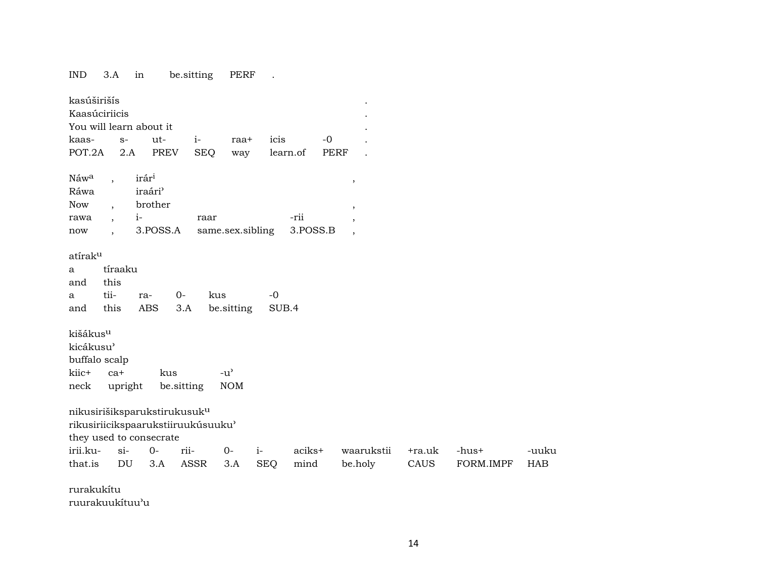IND 3.A in be.sitting PERF .

| kasúširišís          | Kaasúciriicis                            |                     |                                    |                  |          |          |             |            |        |           |
|----------------------|------------------------------------------|---------------------|------------------------------------|------------------|----------|----------|-------------|------------|--------|-----------|
|                      | You will learn about it                  |                     |                                    |                  |          |          |             |            |        |           |
| kaas-                | $S-$                                     | ut-                 | $i-$                               | raa+             | icis     |          | $-0$        |            |        |           |
| POT.2A               | 2.A                                      | PREV                | <b>SEQ</b>                         | way              | learn.of |          | <b>PERF</b> |            |        |           |
|                      |                                          |                     |                                    |                  |          |          |             |            |        |           |
| Náwa                 | $\overline{ }$ ,                         | irár <sup>i</sup>   |                                    |                  |          |          |             | $\, ,$     |        |           |
| Ráwa                 |                                          | iraári <sup>3</sup> |                                    |                  |          |          |             |            |        |           |
| Now                  | $\ddot{\phantom{0}}$                     | brother             |                                    |                  |          |          |             | $\, ,$     |        |           |
| rawa                 | $\ddot{\phantom{a}}$                     | $i-$                | raar                               |                  |          | -rii     |             |            |        |           |
| now                  |                                          | 3.POSS.A            |                                    | same.sex.sibling |          | 3.POSS.B |             | $\cdot$    |        |           |
| atírak <sup>u</sup>  |                                          |                     |                                    |                  |          |          |             |            |        |           |
| a                    | tíraaku                                  |                     |                                    |                  |          |          |             |            |        |           |
| and                  | this                                     |                     |                                    |                  |          |          |             |            |        |           |
| a                    | tii-                                     | ra-                 | $O-$<br>kus                        |                  | $-0$     |          |             |            |        |           |
| and                  | this                                     | ABS                 | 3.A                                | be sitting       | SUB.4    |          |             |            |        |           |
|                      |                                          |                     |                                    |                  |          |          |             |            |        |           |
| kišákus <sup>u</sup> |                                          |                     |                                    |                  |          |          |             |            |        |           |
| kicákusu'            |                                          |                     |                                    |                  |          |          |             |            |        |           |
|                      | buffalo scalp                            |                     |                                    |                  |          |          |             |            |        |           |
| kiic+                | ca+                                      | kus                 |                                    | $-u^{\prime}$    |          |          |             |            |        |           |
| neck                 | upright                                  | be.sitting          |                                    | <b>NOM</b>       |          |          |             |            |        |           |
|                      |                                          |                     |                                    |                  |          |          |             |            |        |           |
|                      | nikusirišiksparukstirukusuk <sup>u</sup> |                     |                                    |                  |          |          |             |            |        |           |
|                      |                                          |                     | rikusiriicikspaarukstiiruukúsuuku' |                  |          |          |             |            |        |           |
|                      | they used to consecrate                  |                     |                                    |                  |          |          |             |            |        |           |
| irii.ku-             | $si-$                                    | $0-$                | rii-                               | $O -$            | $i-$     | aciks+   |             | waarukstii | +ra.uk | -hus+     |
| that.is              | DU                                       | 3.A                 | ASSR                               | 3.A              | SEQ      | mind     |             | be.holy    | CAUS   | FORM.IMPF |
|                      |                                          |                     |                                    |                  |          |          |             |            |        |           |

rurakukítu ruurakuukítuu'u -uuku  $HAB$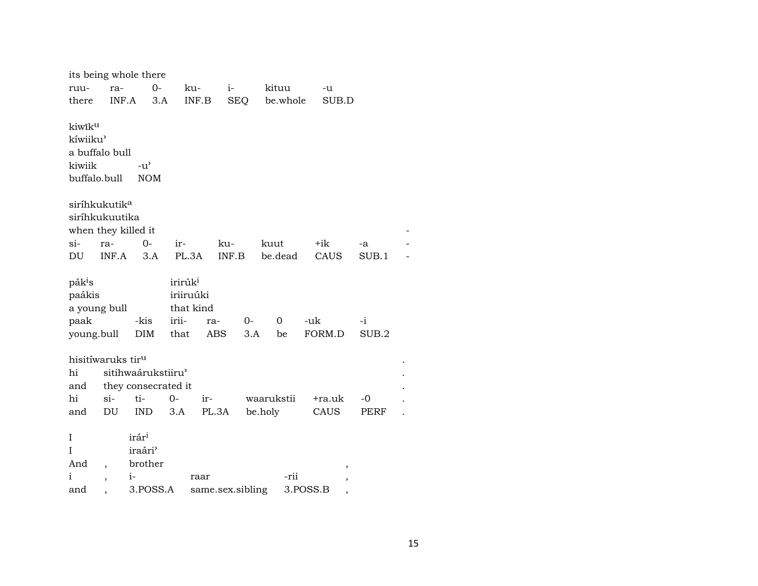|                                                                    |        | its being whole there                               |                                           |                  |       |             |              |          |                          |               |
|--------------------------------------------------------------------|--------|-----------------------------------------------------|-------------------------------------------|------------------|-------|-------------|--------------|----------|--------------------------|---------------|
| ruu-                                                               | ra-    | $O -$                                               |                                           | ku-              | $i-$  |             | kituu        |          | -u                       |               |
| there                                                              | INF.A  | 3.A                                                 |                                           | INF.B            |       |             | SEQ be.whole |          | SUB.D                    |               |
| kiwiku<br>kíwiiku'<br>a buffalo bull<br>kiwiik                     |        | $-u^{\prime}$                                       |                                           |                  |       |             |              |          |                          |               |
| buffalo.bull                                                       |        | <b>NOM</b>                                          |                                           |                  |       |             |              |          |                          |               |
| siríhkukutik <sup>a</sup><br>siríhkukuutika<br>when they killed it |        |                                                     |                                           |                  |       |             |              |          |                          |               |
| $\sin$                                                             | ra-    | $0-$                                                | ir-                                       |                  | ku-   |             | kuut         |          | $+ik$                    | -a            |
| DU                                                                 | INF.A  | 3.A                                                 |                                           | PL.3A            | INF.B |             | be.dead      |          | CAUS                     | SUB.1         |
| pák <sup>i</sup> s<br>paákis<br>a young bull<br>paak<br>young.bull |        | -kis<br>DIM                                         | irirúk <sup>i</sup><br>iriiruúki<br>irii- | that kind<br>ra- | ABS   | $O-$<br>3.A | 0<br>be      |          | -uk<br>FORM.D            | $-i$<br>SUB.2 |
|                                                                    |        |                                                     | that                                      |                  |       |             |              |          |                          |               |
| hisitíwaruks tir <sup>u</sup>                                      |        |                                                     |                                           |                  |       |             |              |          |                          |               |
| hi                                                                 |        | sitihwaárukstiiru'                                  |                                           |                  |       |             |              |          |                          |               |
| and                                                                |        | they consecrated it                                 |                                           |                  |       |             |              |          |                          |               |
| hi                                                                 | $\sin$ | ti-                                                 | $0-$                                      | ir-              |       |             | waarukstii   |          | +ra.uk<br>CAUS           | -0            |
| and                                                                | DU     | <b>IND</b>                                          | 3.A                                       | PL.3A            |       |             | be.holy      |          |                          | PERF          |
| $\rm I$<br>I<br>And                                                |        | irár <sup>i</sup><br>iraári <sup>3</sup><br>brother |                                           |                  |       |             |              |          |                          |               |
| i                                                                  |        | $i-$                                                |                                           | raar             |       |             |              | -rii     | ,<br>$\,$                |               |
| and                                                                |        | 3.POSS.A                                            |                                           | same.sex.sibling |       |             |              | 3.POSS.B | $\overline{\phantom{a}}$ |               |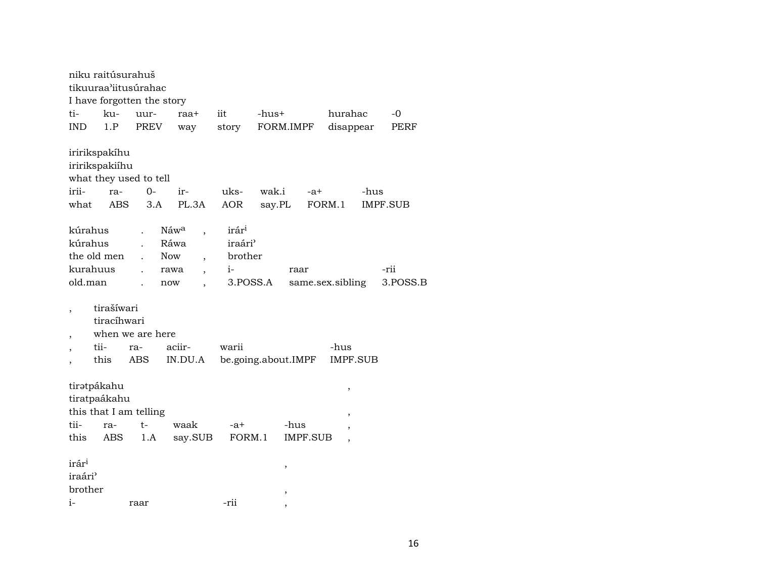| niku raitúsurahuš        |                           |                            |                  |                     |          |                  |                          |      |                 |
|--------------------------|---------------------------|----------------------------|------------------|---------------------|----------|------------------|--------------------------|------|-----------------|
|                          |                           | tikuuraa'iitusúrahac       |                  |                     |          |                  |                          |      |                 |
|                          |                           | I have forgotten the story |                  |                     |          |                  |                          |      |                 |
| ti-                      | ku-                       | uur-                       | raa+             | iit                 | -hus+    |                  | hurahac                  |      | -0              |
| <b>IND</b>               | 1.P                       | <b>PREV</b>                | way              | story               |          | FORM.IMPF        | disappear                |      | PERF            |
| iririkspakíhu            |                           |                            |                  |                     |          |                  |                          |      |                 |
| iririkspakiíhu           |                           |                            |                  |                     |          |                  |                          |      |                 |
|                          |                           | what they used to tell     |                  |                     |          |                  |                          |      |                 |
| irii-                    | ra-                       | $O -$                      | ir-              | uks-                | wak.i    | $-a+$            |                          | -hus |                 |
| what                     | <b>ABS</b>                | 3.A                        | PL.3A            | <b>AOR</b>          | say.PL   |                  | FORM.1                   |      | <b>IMPF.SUB</b> |
|                          |                           |                            |                  |                     |          |                  |                          |      |                 |
| kúrahus                  |                           |                            | Náw <sup>a</sup> | irár <sup>i</sup>   |          |                  |                          |      |                 |
| kúrahus                  |                           |                            | Ráwa             | iraári <sup>3</sup> |          |                  |                          |      |                 |
| the old men              |                           | <b>Now</b>                 | $\overline{ }$   | brother             |          |                  |                          |      |                 |
| kurahuus                 |                           |                            | rawa             | $i-$                |          | raar             |                          |      | -rii            |
| old.man                  |                           | now                        |                  |                     | 3.POSS.A | same.sex.sibling |                          |      | 3.POSS.B        |
|                          | tirašíwari<br>tiracíhwari |                            |                  |                     |          |                  |                          |      |                 |
|                          |                           | when we are here           |                  |                     |          |                  |                          |      |                 |
| $\overline{\phantom{a}}$ | tii-                      | ra-                        | aciir-           | warii               |          |                  | -hus                     |      |                 |
|                          | this                      | <b>ABS</b>                 | IN.DU.A          | be.going.about.IMPF |          |                  | IMPF.SUB                 |      |                 |
|                          |                           |                            |                  |                     |          |                  |                          |      |                 |
| tiratpákahu              |                           |                            |                  |                     |          |                  | ,                        |      |                 |
| tiratpaákahu             |                           |                            |                  |                     |          |                  |                          |      |                 |
|                          |                           | this that I am telling     |                  |                     |          |                  | $\overline{\phantom{a}}$ |      |                 |
| tii-                     | ra-                       | $t-$                       | waak             | -a+                 |          | -hus             |                          |      |                 |
| this                     | ABS                       | 1.A                        | say.SUB          | FORM.1              |          | IMPF.SUB         |                          |      |                 |
| irár <sup>i</sup>        |                           |                            |                  |                     | ,        |                  |                          |      |                 |
| iraári <sup>3</sup>      |                           |                            |                  |                     |          |                  |                          |      |                 |
| brother                  |                           |                            |                  |                     |          |                  |                          |      |                 |
| i-                       |                           | raar                       |                  | -rii                | ,        |                  |                          |      |                 |
|                          |                           |                            |                  |                     |          |                  |                          |      |                 |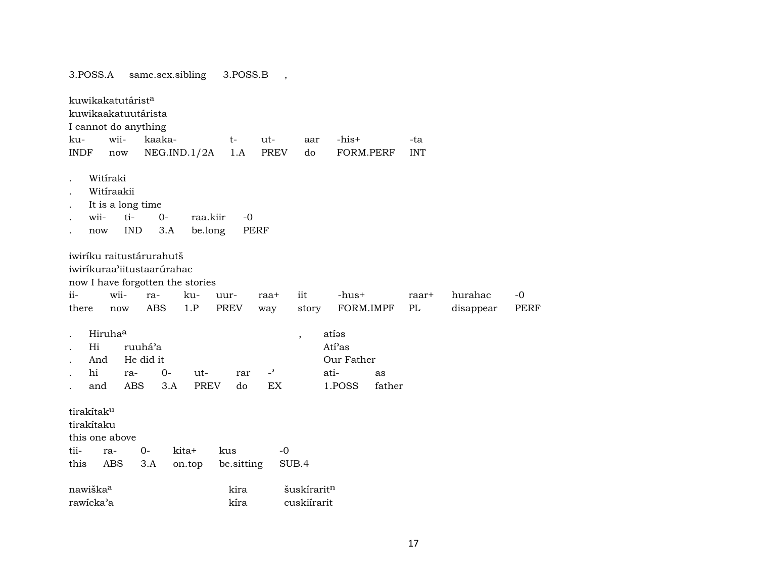3.POSS.A same.sex.sibling 3.POSS.B ,

kuwikakatutárist<sup>a</sup> kuwikaakatuutárista I cannot do anything ku- wii- kaaka- t- ut- aar -his+ -ta INDF now NEG.IND.1/2A 1.A PREV do FORM.PERF INT . Witíraki . Witíraakii . It is a long time . wii- ti- 0- raa.kiir -0 . now IND 3.A be.long PERF iwiríku raitustárurahutš iwiríkuraa"iitustaarúrahac now I have forgotten the stories ii- wii- ra- ku- uur- raa+ iit -hus+ raar+ hurahac -0 there now ABS 1.P PREV way story FORM.IMPF PL disappear PERF . Hiruha<sup>a</sup> , atíəs . Hi ruuhá"a Atí"as And He did it **Our Father** . hi ra- 0- ut- rar -<sup>></sup> ati- as . and ABS 3.A PREV do EX 1.POSS father tirakítak<sup>u</sup> tirakítaku this one above tii- ra- 0- kita+ kus -0 this ABS 3.A on.top be.sitting SUB.4 nawiška<sup>a</sup> kira šuskírarit<sup>n</sup> rawícka"a kíra cuskiírarit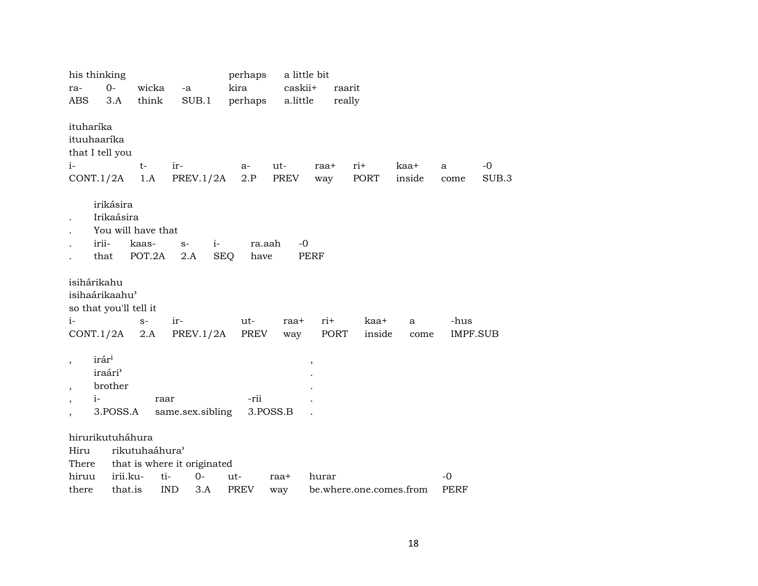| his thinking                                  |                    |                             |                  |            | perhaps |          | a little bit             |        |        |                 |                  |
|-----------------------------------------------|--------------------|-----------------------------|------------------|------------|---------|----------|--------------------------|--------|--------|-----------------|------------------|
| ra-                                           | $O -$              | wicka                       | -a               |            | kira    | caskii+  | raarit                   |        |        |                 |                  |
| ABS                                           | 3.A                | think                       | SUB.1            |            | perhaps | a.little | really                   |        |        |                 |                  |
|                                               |                    |                             |                  |            |         |          |                          |        |        |                 |                  |
| ituharíka                                     |                    |                             |                  |            |         |          |                          |        |        |                 |                  |
| ituuhaaríka                                   |                    |                             |                  |            |         |          |                          |        |        |                 |                  |
| that I tell you                               |                    |                             |                  |            |         |          |                          |        |        |                 |                  |
| $i-$                                          |                    | $t-$                        | ir-              |            | a-      | ut-      | raa+                     | ri+    | kaa+   | a               | $-0$             |
| CONT.1/2A                                     |                    | 1.A                         | PREV.1/2A        |            | 2.P     | PREV     | way                      | PORT   | inside | come            | SUB <sub>3</sub> |
|                                               |                    |                             |                  |            |         |          |                          |        |        |                 |                  |
|                                               | irikásira          |                             |                  |            |         |          |                          |        |        |                 |                  |
|                                               | Irikaásira         |                             |                  |            |         |          |                          |        |        |                 |                  |
|                                               |                    | You will have that          |                  |            |         |          |                          |        |        |                 |                  |
| irii-                                         |                    | kaas-                       | $S-$             | $1-$       | ra.aah  | $-0$     |                          |        |        |                 |                  |
| that                                          |                    | POT.2A                      | 2.A              | <b>SEQ</b> | have    |          | <b>PERF</b>              |        |        |                 |                  |
|                                               |                    |                             |                  |            |         |          |                          |        |        |                 |                  |
| isihárikahu                                   |                    |                             |                  |            |         |          |                          |        |        |                 |                  |
| isihaárikaahu'                                |                    |                             |                  |            |         |          |                          |        |        |                 |                  |
| so that you'll tell it                        |                    |                             |                  |            |         |          |                          |        |        |                 |                  |
| $i-$                                          |                    | $S-$                        | ir-              |            | ut-     | raa+     | $ri+$                    | kaa+   | a      | -hus            |                  |
| CONT.1/2A                                     |                    | 2.A                         | PREV.1/2A        |            | PREV    | way      | PORT                     | inside | come   | <b>IMPF.SUB</b> |                  |
|                                               |                    |                             |                  |            |         |          |                          |        |        |                 |                  |
| irár <sup>i</sup><br>$\overline{\phantom{a}}$ |                    |                             |                  |            |         |          | $\overline{\phantom{a}}$ |        |        |                 |                  |
|                                               | iraári <sup></sup> |                             |                  |            |         |          |                          |        |        |                 |                  |
|                                               | brother            |                             |                  |            |         |          |                          |        |        |                 |                  |
| $\overline{\phantom{a}}$<br>$i-$              |                    | raar                        |                  |            | -rii    |          |                          |        |        |                 |                  |
| $\overline{\phantom{a}}$                      | 3.POSS.A           |                             | same.sex.sibling |            |         | 3.POSS.B |                          |        |        |                 |                  |
|                                               |                    |                             |                  |            |         |          |                          |        |        |                 |                  |
| hirurikutuháhura                              |                    |                             |                  |            |         |          |                          |        |        |                 |                  |
| Hiru                                          |                    | rikutuhaáhura'              |                  |            |         |          |                          |        |        |                 |                  |
| There                                         |                    | that is where it originated |                  |            |         |          |                          |        |        |                 |                  |
| hiruu                                         | irii.ku-           | ti-                         | $0 -$            | ut-        |         |          |                          |        |        |                 |                  |
|                                               |                    |                             |                  |            |         | raa+     | hurar                    |        |        | $-0$            |                  |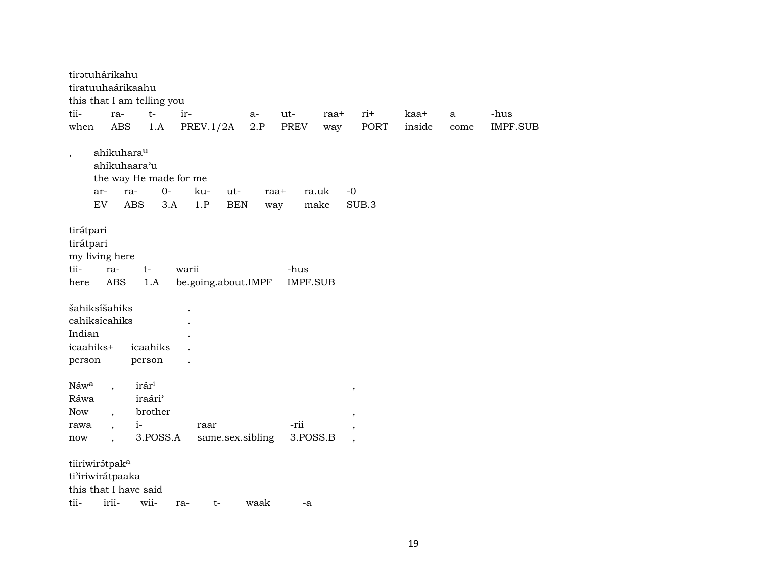| tiratuhárikahu             |                            |                     |                     |                  |             |               |                          |        |      |                 |
|----------------------------|----------------------------|---------------------|---------------------|------------------|-------------|---------------|--------------------------|--------|------|-----------------|
|                            | tiratuuhaárikaahu          |                     |                     |                  |             |               |                          |        |      |                 |
|                            | this that I am telling you |                     |                     |                  |             |               |                          |        |      |                 |
| tii-                       | ra-                        | $t-$                | ir-                 | a-               | ut-         | raa+          | $ri+$                    | kaa+   | a    | -hus            |
| when                       | <b>ABS</b>                 | 1.A                 | PREV.1/2A           | $2.P$            | <b>PREV</b> | way           | PORT                     | inside | come | <b>IMPF.SUB</b> |
| $\overline{\phantom{a}}$   | ahikuharau                 |                     |                     |                  |             |               |                          |        |      |                 |
|                            | ahíkuhaara'u               |                     |                     |                  |             |               |                          |        |      |                 |
|                            | the way He made for me     |                     |                     |                  |             |               |                          |        |      |                 |
| ar-                        | ra-                        | $O -$               | ku-                 | ut-              | raa+        | $-0$<br>ra.uk |                          |        |      |                 |
| ${\rm EV}$                 | <b>ABS</b>                 | 3.A                 | 1.P                 | <b>BEN</b>       | way         | make          | SUB.3                    |        |      |                 |
| tirátpari                  |                            |                     |                     |                  |             |               |                          |        |      |                 |
| tirátpari                  |                            |                     |                     |                  |             |               |                          |        |      |                 |
| my living here             |                            |                     |                     |                  |             |               |                          |        |      |                 |
| tii-                       | ra-                        | $t-$                | warii               |                  | -hus        |               |                          |        |      |                 |
| here                       | <b>ABS</b>                 | 1.A                 | be.going.about.IMPF |                  | IMPF.SUB    |               |                          |        |      |                 |
|                            |                            |                     |                     |                  |             |               |                          |        |      |                 |
| šahiksíšahiks              |                            |                     |                     |                  |             |               |                          |        |      |                 |
| cahiksícahiks              |                            |                     |                     |                  |             |               |                          |        |      |                 |
| Indian                     |                            |                     |                     |                  |             |               |                          |        |      |                 |
| icaahiks+                  |                            | icaahiks            |                     |                  |             |               |                          |        |      |                 |
| person                     |                            | person              |                     |                  |             |               |                          |        |      |                 |
|                            |                            |                     |                     |                  |             |               |                          |        |      |                 |
| Náwa                       | $\ddot{\phantom{0}}$       | irár <sup>i</sup>   |                     |                  |             |               | $\, ,$                   |        |      |                 |
| Ráwa                       |                            | iraári <sup>3</sup> |                     |                  |             |               |                          |        |      |                 |
| Now                        | $\overline{\phantom{a}}$   | brother             |                     |                  |             |               | $^\mathrm{^\mathrm{o}}$  |        |      |                 |
| rawa                       | $\ddot{\phantom{1}}$       | $i-$                | raar                |                  | -rii        |               | $\overline{\phantom{a}}$ |        |      |                 |
| now                        |                            | 3.POSS.A            |                     | same.sex.sibling | 3.POSS.B    |               | $\overline{\phantom{a}}$ |        |      |                 |
| tiiriwirátpak <sup>a</sup> |                            |                     |                     |                  |             |               |                          |        |      |                 |
|                            | ti'iriwirátpaaka           |                     |                     |                  |             |               |                          |        |      |                 |
|                            | this that I have said      |                     |                     |                  |             |               |                          |        |      |                 |
| tii-                       | irii-                      | wii-                | $t-$<br>ra-         | waak             | -a          |               |                          |        |      |                 |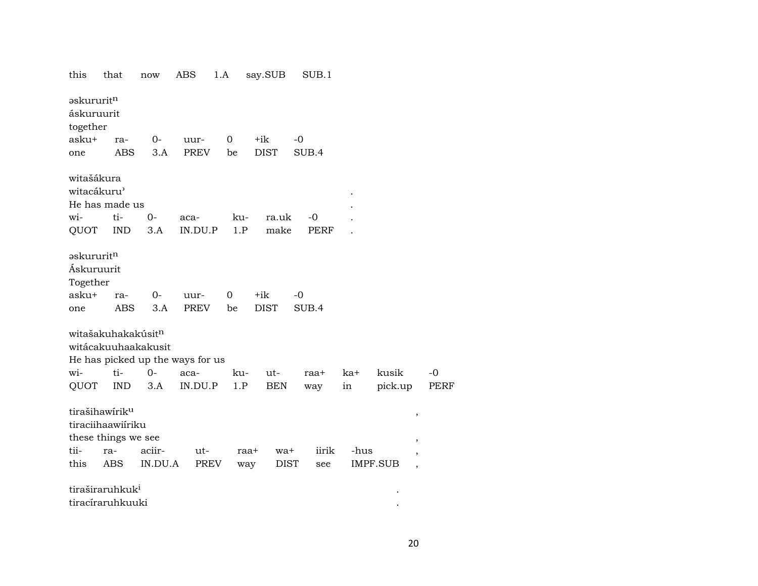| this                                                             | that                                                                   | now                 | ABS                              | 1.A               | say.SUB              | SUB.1         |      |                                      |             |
|------------------------------------------------------------------|------------------------------------------------------------------------|---------------------|----------------------------------|-------------------|----------------------|---------------|------|--------------------------------------|-------------|
| əskururit <sup>n</sup><br>áskuruurit                             |                                                                        |                     |                                  |                   |                      |               |      |                                      |             |
| together<br>asku+                                                | ra-                                                                    | $0-$                | uur-                             | $\Omega$          | $+ik$                | $-0$          |      |                                      |             |
| one                                                              | ABS                                                                    | 3.A                 | PREV                             | be                | <b>DIST</b>          | SUB.4         |      |                                      |             |
|                                                                  |                                                                        |                     |                                  |                   |                      |               |      |                                      |             |
| witašákura                                                       |                                                                        |                     |                                  |                   |                      |               |      |                                      |             |
| witacákuru <sup>3</sup>                                          |                                                                        |                     |                                  |                   |                      |               |      |                                      |             |
|                                                                  | He has made us                                                         |                     |                                  |                   |                      |               |      |                                      |             |
| wi-                                                              | ti-                                                                    | 0-                  | aca-                             | ku-               | ra.uk                | -0            |      |                                      |             |
| QUOT                                                             | <b>IND</b>                                                             | 3.A                 | IN.DU.P                          | 1.P               | make                 | <b>PERF</b>   |      |                                      |             |
| askururit <sup>n</sup><br>Áskuruurit<br>Together<br>asku+<br>one | ra-<br><b>ABS</b>                                                      | 0-<br>3.A           | uur-<br><b>PREV</b>              | $\mathbf 0$<br>be | $+ik$<br><b>DIST</b> | $-0$<br>SUB.4 |      |                                      |             |
|                                                                  | witašakuhakakúsitn                                                     | witácakuuhaakakusit | He has picked up the ways for us |                   |                      |               |      |                                      |             |
| wi-                                                              | ti-                                                                    | $0-$                | aca-                             | ku-               | ut-                  | raa+          | ka+  | kusik                                | $-0$        |
| QUOT                                                             | <b>IND</b>                                                             | 3.A                 | IN.DU.P                          | 1.P               | <b>BEN</b>           | way           | in   | pick.up                              | <b>PERF</b> |
|                                                                  | tirašihawírik <sup>u</sup><br>tiraciihaawiíriku<br>these things we see |                     |                                  |                   |                      |               |      | $\,$<br>$\,$                         |             |
| tii-                                                             | ra-                                                                    | aciir-              | ut-                              | raa+              | wa+                  | iirik         | -hus | ,                                    |             |
| this                                                             | <b>ABS</b>                                                             | IN.DU.A             | PREV                             | way               | <b>DIST</b>          | see           |      | IMPF.SUB<br>$\overline{\phantom{a}}$ |             |
|                                                                  |                                                                        |                     |                                  |                   |                      |               |      |                                      |             |
|                                                                  | tiraširaruhkuk <sup>i</sup>                                            |                     |                                  |                   |                      |               |      |                                      |             |
|                                                                  | tiracíraruhkuuki                                                       |                     |                                  |                   |                      |               |      |                                      |             |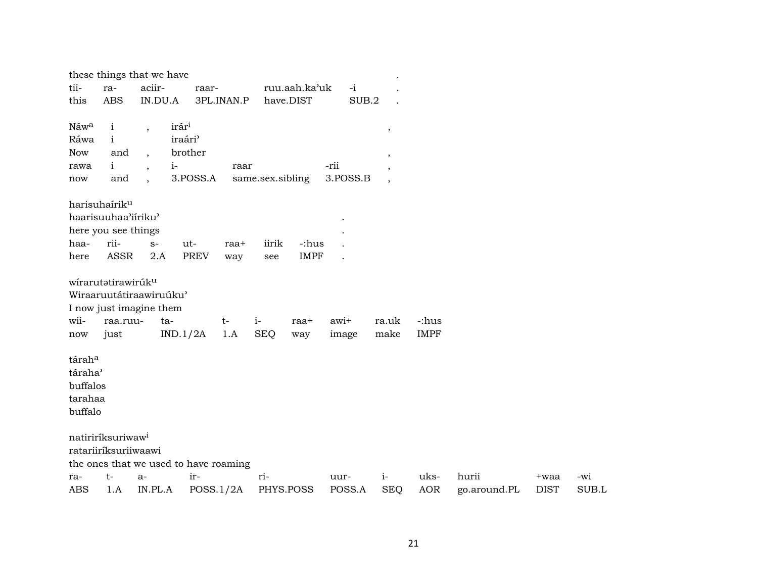|                     | these things that we have      |                          |                                       |            |                  |               |          |            |             |              |             |       |
|---------------------|--------------------------------|--------------------------|---------------------------------------|------------|------------------|---------------|----------|------------|-------------|--------------|-------------|-------|
| tii-                | ra-                            | aciir-                   | raar-                                 |            |                  | ruu.aah.ka'uk | $-i$     |            |             |              |             |       |
| this                | <b>ABS</b>                     | IN.DU.A                  |                                       | 3PL.INAN.P |                  | have.DIST     | SUB.2    |            |             |              |             |       |
|                     |                                |                          |                                       |            |                  |               |          |            |             |              |             |       |
| Náwa                | $\mathbf{i}$                   |                          | irár <sup>i</sup>                     |            |                  |               |          | $\,$       |             |              |             |       |
| Ráwa                | $\mathbf{i}$                   |                          | iraári <sup>3</sup>                   |            |                  |               |          |            |             |              |             |       |
| <b>Now</b>          | and                            | $\ddot{\phantom{0}}$     | brother                               |            |                  |               |          | $\,$       |             |              |             |       |
| rawa                | $\mathbf{i}$                   |                          | $i-$                                  | raar       |                  |               | -rii     |            |             |              |             |       |
| now                 | and                            | $\overline{\phantom{a}}$ | 3.POSS.A                              |            | same.sex.sibling |               | 3.POSS.B | $\cdot$    |             |              |             |       |
|                     |                                |                          |                                       |            |                  |               |          |            |             |              |             |       |
|                     | harisuhaírik <sup>u</sup>      |                          |                                       |            |                  |               |          |            |             |              |             |       |
|                     | haarisuuhaa'iiriku'            |                          |                                       |            |                  |               |          |            |             |              |             |       |
|                     | here you see things            |                          |                                       |            |                  |               |          |            |             |              |             |       |
| haa-                | rii-                           | $S-$                     | ut-                                   | raa+       | iirik            | -:hus         |          |            |             |              |             |       |
| here                | <b>ASSR</b>                    | 2.A                      | PREV                                  | way        | see              | <b>IMPF</b>   |          |            |             |              |             |       |
|                     |                                |                          |                                       |            |                  |               |          |            |             |              |             |       |
|                     | wirarutatirawirúk <sup>u</sup> |                          |                                       |            |                  |               |          |            |             |              |             |       |
|                     | Wiraaruutátiraawiruúku'        |                          |                                       |            |                  |               |          |            |             |              |             |       |
|                     | I now just imagine them        |                          |                                       |            |                  |               |          |            |             |              |             |       |
| wii-                | raa.ruu-                       |                          | ta-                                   | $t-$       | $i-$             | raa+          | awi+     | ra.uk      | -:hus       |              |             |       |
| now                 | just                           |                          | IND.1/2A                              | 1.A        | <b>SEQ</b>       | way           | image    | make       | <b>IMPF</b> |              |             |       |
|                     |                                |                          |                                       |            |                  |               |          |            |             |              |             |       |
| táraha              |                                |                          |                                       |            |                  |               |          |            |             |              |             |       |
| táraha <sup>3</sup> |                                |                          |                                       |            |                  |               |          |            |             |              |             |       |
| buffalos            |                                |                          |                                       |            |                  |               |          |            |             |              |             |       |
| tarahaa             |                                |                          |                                       |            |                  |               |          |            |             |              |             |       |
| buffalo             |                                |                          |                                       |            |                  |               |          |            |             |              |             |       |
|                     | natiriríksuriwaw <sup>i</sup>  |                          |                                       |            |                  |               |          |            |             |              |             |       |
|                     |                                |                          |                                       |            |                  |               |          |            |             |              |             |       |
|                     | ratariiríksuriiwaawi           |                          |                                       |            |                  |               |          |            |             |              |             |       |
|                     | $t-$                           |                          | the ones that we used to have roaming |            |                  |               |          |            |             |              |             |       |
| ra-                 |                                | a-                       | ir-                                   |            | ri-              |               | uur-     | $i-$       | uks-        | hurii        | +waa        | -wi   |
| <b>ABS</b>          | 1.A                            | IN.PL.A                  | POSS.1/2A                             |            | PHYS.POSS        |               | POSS.A   | <b>SEQ</b> | <b>AOR</b>  | go.around.PL | <b>DIST</b> | SUB.L |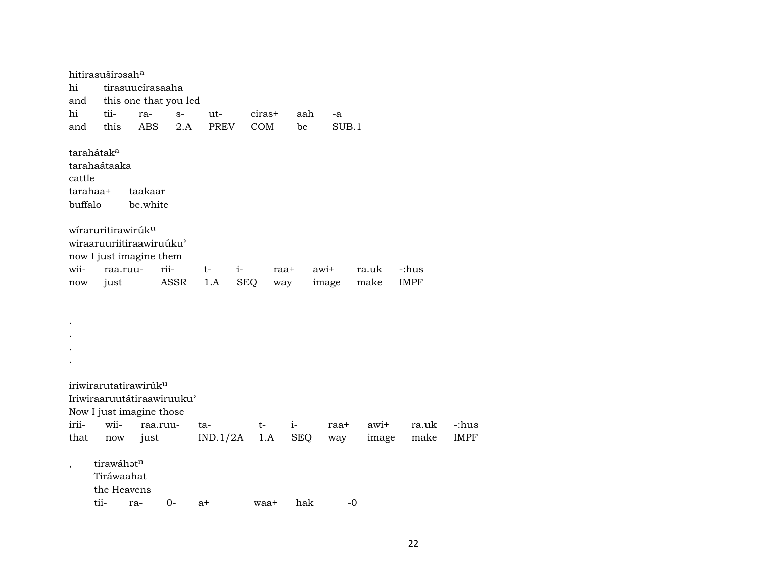hitirasušírəsah<sup>a</sup> hi tirasuucírasaaha and this one that you led hi tii- ra- s- ut- ciras+ aah -a and this ABS 2.A PREV COM be SUB.1 tarahátak° tarahaátaaka cattle tarahaa+ taakaar be.white wíraruritirawirúk<sup>u</sup> wiraaruuriitiraawiruúku" now I just imagine them wii- raa.ruu- rii- t- i- raa+ awi+ ra.uk -:hus now just ASSR 1.A SEQ way image make IMPF . . . . iriwirarutatirawirúk<sup>u</sup> Iriwiraaruutátiraawiruuku" Now I just imagine those irii- wii- raa.ruu- ta- t- i- raa+ awi+ ra.uk -:hus that now just IND.1/2A 1.A SEQ way image make IMPF , tirawáhət<sup>n</sup> Tiráwaahat the Heavens tii- ra- 0- a+ waa+ hak -0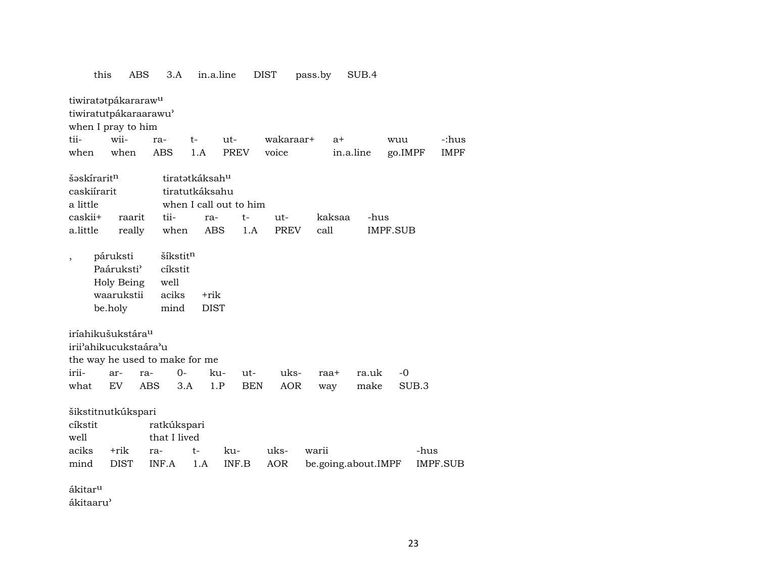this **ABS** 3.A in.a.line **DIST** pass.by SUB.4 tiwiratatpákararaw<sup>u</sup> tiwiratutpákaraarawu' when I pray to him tiiwiira $t$ utwakaraar+  $a+$ wuu -:hus when when **ABS**  $1.A$ **PREV** voice in.a.line go.IMPF **IMPF** šəskirarit<sup>n</sup> tiratatkáksah<sup>u</sup> caskiírarit tiratutkáksahu a little when I call out to him caskii+ tii $t-$ -hus raarit ra $ut$ kaksaa really **PREV** call **IMPF.SUB** a.little when ABS  $1.A$ páruksti šíkstitn  $\,$ Paáruksti<sup></sup> cíkstit Holy Being well waarukstii aciks  $+{\rm rik}$ be.holy **DIST** mind iríahikušukstára<sup>u</sup> irii'ahikucukstaára'u the way he used to make for me iriiarra- $O$ ku $ut$ uksraa+ ra.uk  $-0$ **AOR** what **EV ABS**  $3.A$  $1.P$ **BEN** make SUB.3 way šikstitnutkúkspari ratkúkspari cíkstit well that I lived aciks  $+{\rm rik}$  $t$ kuukswarii -hus ra-INF.A be.going.about.IMPF mind **DIST**  $1.A$ INF.B AOR **IMPF.SUB** ákitar<sup>u</sup>

ákitaaru<sup>3</sup>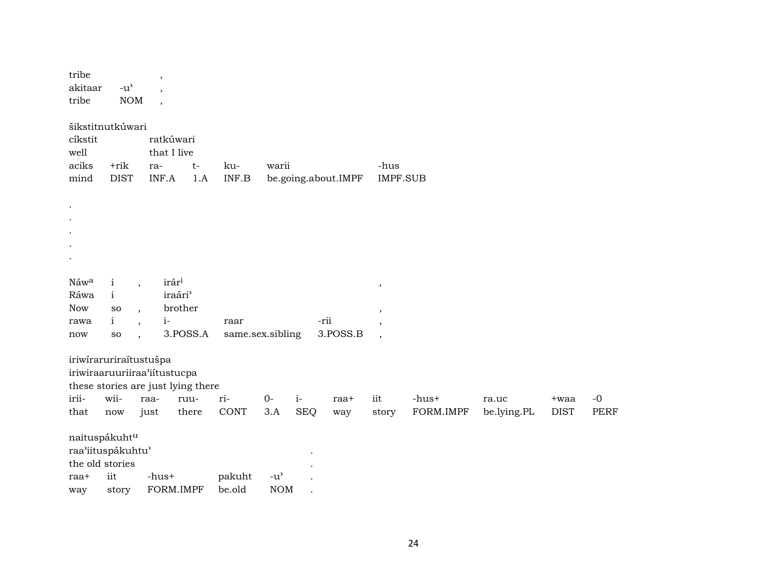| tribe<br>akitaar<br>tribe                                         | $-u$ <sup><math>\prime</math></sup><br><b>NOM</b> |                          | $\,$<br>$\overline{\phantom{a}}$<br>$\overline{\phantom{a}}$ |       |                          |                                                   |            |      |                     |                          |           |             |             |      |
|-------------------------------------------------------------------|---------------------------------------------------|--------------------------|--------------------------------------------------------------|-------|--------------------------|---------------------------------------------------|------------|------|---------------------|--------------------------|-----------|-------------|-------------|------|
| šikstitnutkúwari<br>cíkstit<br>well<br>aciks                      | $+{\rm rik}$                                      |                          | ratkúwari<br>that I live<br>ra-                              | $t-$  | ku-                      | warii                                             |            |      |                     | -hus                     |           |             |             |      |
| mind                                                              | <b>DIST</b>                                       |                          | INF.A                                                        | 1.A   | INF.B                    |                                                   |            |      | be.going.about.IMPF | <b>IMPF.SUB</b>          |           |             |             |      |
| $\bullet$                                                         |                                                   |                          |                                                              |       |                          |                                                   |            |      |                     |                          |           |             |             |      |
|                                                                   |                                                   |                          |                                                              |       |                          |                                                   |            |      |                     |                          |           |             |             |      |
|                                                                   |                                                   |                          |                                                              |       |                          |                                                   |            |      |                     |                          |           |             |             |      |
| Náwa                                                              | $\mathbf{i}$                                      |                          | irár <sup>i</sup>                                            |       |                          |                                                   |            |      |                     | $\,$                     |           |             |             |      |
| Ráwa                                                              | $\mathbf{i}$                                      |                          | iraári <sup>3</sup>                                          |       |                          |                                                   |            |      |                     |                          |           |             |             |      |
| <b>Now</b>                                                        | SO                                                | $\overline{\phantom{a}}$ | brother                                                      |       |                          |                                                   |            |      |                     | $\cdot$                  |           |             |             |      |
| rawa                                                              | $\mathbf{i}$<br>${\bf SO}$                        | $\overline{\phantom{a}}$ | $i-$<br>3.POSS.A                                             |       | raar<br>same.sex.sibling |                                                   |            | -rii | 3.POSS.B            |                          |           |             |             |      |
| now                                                               |                                                   | $\cdot$                  |                                                              |       |                          |                                                   |            |      |                     | $\overline{\phantom{a}}$ |           |             |             |      |
| iriwiraruriraitustušpa                                            |                                                   |                          | iriwiraaruuriiraa'iitustucpa                                 |       |                          |                                                   |            |      |                     |                          |           |             |             |      |
| irii-                                                             | wii-                                              | raa-                     | these stories are just lying there                           | ruu-  | ri-                      | $0-$                                              | $i-$       |      | raa+                | iit                      | -hus+     | ra.uc       | +waa        | $-0$ |
| that                                                              | $\operatorname{now}$                              | just                     |                                                              | there | CONT                     | 3.A                                               | <b>SEQ</b> |      | way                 | story                    | FORM.IMPF | be.lying.PL | <b>DIST</b> | PERF |
| naituspákuht <sup>u</sup><br>raa'iituspákuhtu'<br>the old stories |                                                   |                          |                                                              |       |                          |                                                   |            |      |                     |                          |           |             |             |      |
| raa+<br>way                                                       | iit<br>story                                      |                          | -hus+<br>FORM.IMPF                                           |       | pakuht<br>be.old         | $-u$ <sup><math>\prime</math></sup><br><b>NOM</b> |            |      |                     |                          |           |             |             |      |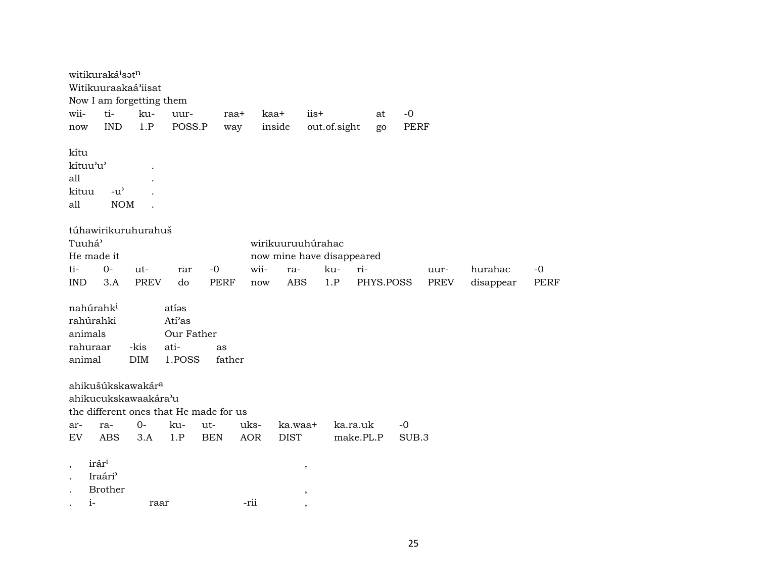|                             | witikuraká <sup>i</sup> sat <sup>n</sup><br>Witikuuraakaá'iisat<br>Now I am forgetting them |             |                                                 |              |            |                                                      |              |           |             |             |           |             |
|-----------------------------|---------------------------------------------------------------------------------------------|-------------|-------------------------------------------------|--------------|------------|------------------------------------------------------|--------------|-----------|-------------|-------------|-----------|-------------|
| wii-                        | ti-                                                                                         | ku-         | uur-                                            | raa+         | kaa+       | iis+                                                 |              | at        | $-0$        |             |           |             |
| now                         | <b>IND</b>                                                                                  | 1.P         | POSS.P                                          | way          | inside     |                                                      | out.of.sight | go        | <b>PERF</b> |             |           |             |
| kítu<br>all<br>kituu<br>all | kítuu'u'<br>$-u^{\prime}$<br><b>NOM</b>                                                     |             |                                                 |              |            |                                                      |              |           |             |             |           |             |
| Tuuhá'                      | túhawirikuruhurahuš<br>He made it                                                           |             |                                                 |              |            | wirikuuruuhúrahac<br>now mine have disappeared       |              |           |             |             |           |             |
| ti-                         | $0-$                                                                                        | $ut -$      | rar                                             | $-0$         | wii-       | ra-                                                  | ku-          | ri-       |             | uur-        | hurahac   | $-0$        |
| <b>IND</b>                  | 3.A                                                                                         | PREV        | do                                              | <b>PERF</b>  | now        | <b>ABS</b>                                           | 1.P          | PHYS.POSS |             | <b>PREV</b> | disappear | <b>PERF</b> |
| animal                      | nahúrahk <sup>i</sup><br>rahúrahki<br>animals<br>rahuraar                                   | -kis<br>DIM | atías<br>Atí'as<br>Our Father<br>ati-<br>1.POSS | as<br>father |            |                                                      |              |           |             |             |           |             |
|                             | ahikušúkskawakár <sup>a</sup><br>ahikucukskawaakára'u                                       |             | the different ones that He made for us          |              |            |                                                      |              |           |             |             |           |             |
| ar-                         | ra-                                                                                         | $O -$       | ku-                                             | ut-          | uks-       | ka.waa+                                              | ka.ra.uk     |           | $-0$        |             |           |             |
| EV                          | <b>ABS</b>                                                                                  | 3.A         | 1.P                                             | <b>BEN</b>   | <b>AOR</b> | <b>DIST</b>                                          |              | make.PL.P | SUB.3       |             |           |             |
| $\overline{\phantom{a}}$    | irár <sup>i</sup><br>Iraári <sup>3</sup><br><b>Brother</b><br>$i-$                          | raar        |                                                 |              | -rii       | $\overline{\phantom{a}}$<br>$\overline{\phantom{a}}$ |              |           |             |             |           |             |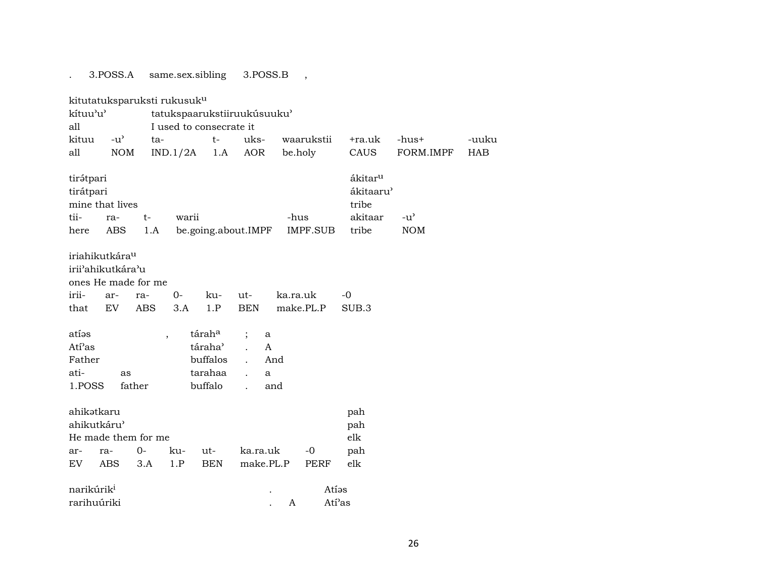## . 3.POSS.A same.sex.sibling 3.POSS.B ,

| kitutatuksparuksti rukusuk <sup>u</sup>                                  |                                                            |                                                  |                         |                                                               |                             |            |  |  |  |  |  |  |  |
|--------------------------------------------------------------------------|------------------------------------------------------------|--------------------------------------------------|-------------------------|---------------------------------------------------------------|-----------------------------|------------|--|--|--|--|--|--|--|
| kítuu'u'                                                                 |                                                            | tatukspaarukstiiruukúsuuku'                      |                         |                                                               |                             |            |  |  |  |  |  |  |  |
| all                                                                      | I used to consecrate it                                    |                                                  |                         |                                                               |                             |            |  |  |  |  |  |  |  |
| $-u^{\prime}$<br>kituu                                                   | ta-                                                        | $t-$<br>uks-                                     | waarukstii              | +ra.uk                                                        | -hus+                       | -uuku      |  |  |  |  |  |  |  |
| all<br><b>NOM</b>                                                        | IND.1/2A                                                   | <b>AOR</b><br>1.A                                | be.holy                 | CAUS                                                          | FORM.IMPF                   | <b>HAB</b> |  |  |  |  |  |  |  |
| tirátpari<br>tirátpari<br>mine that lives<br>tii-<br>ra-<br>ABS<br>here  | warii<br>$t-$<br>1.A                                       | be.going.about.IMPF                              | -hus<br><b>IMPF.SUB</b> | ákitar <sup>u</sup><br>ákitaaru'<br>tribe<br>akitaar<br>tribe | $-u^{\prime}$<br><b>NOM</b> |            |  |  |  |  |  |  |  |
| iriahikutkára <sup>u</sup><br>irii'ahikutkára'u<br>ones He made for me   |                                                            |                                                  |                         |                                                               |                             |            |  |  |  |  |  |  |  |
| irii-<br>ar-<br>EV<br>that                                               | $0-$<br>ra-<br><b>ABS</b><br>3.A                           | ku-<br>ut-<br>1.P<br><b>BEN</b>                  | ka.ra.uk<br>make.PL.P   | $-0$<br>SUB.3                                                 |                             |            |  |  |  |  |  |  |  |
| atías<br>Atí <sup>2</sup> as<br>Father<br>ati-<br>as<br>1.POSS<br>father | táraha<br>$\overline{ }$<br>táraha <sup>3</sup><br>buffalo | a<br>A<br>buffalos<br>And<br>tarahaa<br>a<br>and |                         |                                                               |                             |            |  |  |  |  |  |  |  |
| ahikətkaru<br>ahikutkáru <sup></sup><br>He made them for me              |                                                            |                                                  |                         | pah<br>pah<br>elk                                             |                             |            |  |  |  |  |  |  |  |
| ar-<br>ra-                                                               | $0-$<br>ku-                                                | ka.ra.uk<br>ut-                                  | $-0$                    | pah                                                           |                             |            |  |  |  |  |  |  |  |
| EV<br>ABS                                                                | 1.P<br>3.A                                                 | <b>BEN</b><br>make.PL.P                          | <b>PERF</b>             | elk                                                           |                             |            |  |  |  |  |  |  |  |
| narikúrik <sup>i</sup><br>rarihuúriki                                    |                                                            |                                                  | Atias<br>Atí'as<br>A    |                                                               |                             |            |  |  |  |  |  |  |  |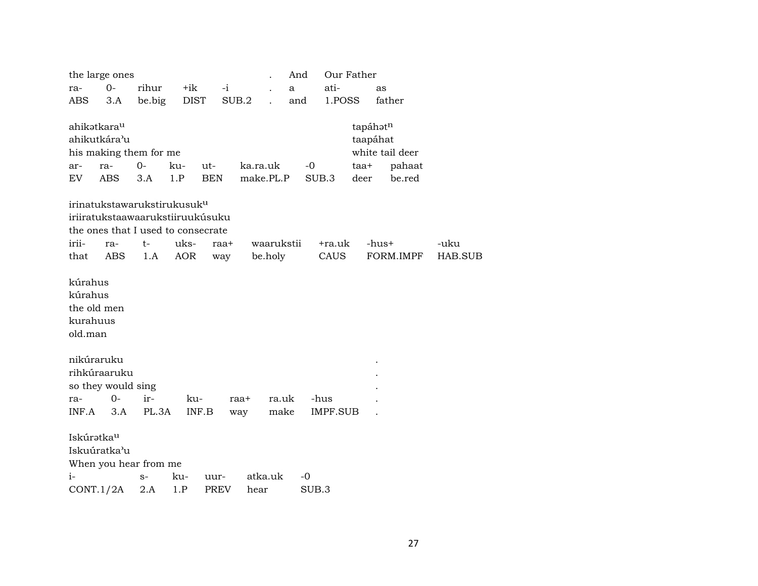|             | the large ones         |        |                                         |                                  |               | And   | Our Father |                 |         |
|-------------|------------------------|--------|-----------------------------------------|----------------------------------|---------------|-------|------------|-----------------|---------|
| ra-         | $0-$                   | rihur  | $+ik$                                   | $-i$                             |               | a     | ati-       | as              |         |
| ABS         | 3.A                    | be.big | <b>DIST</b>                             |                                  | SUB.2         | and   | 1.POSS     | father          |         |
|             |                        |        |                                         |                                  |               |       |            |                 |         |
| ahikatkarau |                        |        |                                         |                                  |               |       |            | tapáhotn        |         |
|             | ahikutkára'u           |        |                                         |                                  |               |       |            | taapáhat        |         |
|             | his making them for me |        |                                         |                                  |               |       |            | white tail deer |         |
| ar-         | ra-                    | $O -$  | ku-                                     | ut-                              | ka.ra.uk      | $-0$  |            | taa+<br>pahaat  |         |
| EV          | <b>ABS</b>             | 3.A    | 1.P                                     | <b>BEN</b>                       | make.PL.P     |       | SUB.3      | deer<br>be.red  |         |
|             |                        |        |                                         |                                  |               |       |            |                 |         |
|             |                        |        | irinatukstawarukstirukusuk <sup>u</sup> |                                  |               |       |            |                 |         |
|             |                        |        |                                         | iriiratukstaawaarukstiiruukúsuku |               |       |            |                 |         |
|             |                        |        | the ones that I used to consecrate      |                                  |               |       |            |                 |         |
| irii-       | ra-                    | $t-$   | uks-                                    | raa+                             | waarukstii    |       | +ra.uk     | -hus+           | -uku    |
| that        | <b>ABS</b>             | 1.A    | AOR                                     | way                              | be.holy       |       | CAUS       | FORM.IMPF       | HAB.SUB |
|             |                        |        |                                         |                                  |               |       |            |                 |         |
| kúrahus     |                        |        |                                         |                                  |               |       |            |                 |         |
| kúrahus     |                        |        |                                         |                                  |               |       |            |                 |         |
| the old men |                        |        |                                         |                                  |               |       |            |                 |         |
| kurahuus    |                        |        |                                         |                                  |               |       |            |                 |         |
|             |                        |        |                                         |                                  |               |       |            |                 |         |
| old.man     |                        |        |                                         |                                  |               |       |            |                 |         |
|             |                        |        |                                         |                                  |               |       |            |                 |         |
| nikúraruku  |                        |        |                                         |                                  |               |       |            |                 |         |
|             | rihkúraaruku           |        |                                         |                                  |               |       |            |                 |         |
|             | so they would sing     |        |                                         |                                  |               |       |            |                 |         |
| ra-         | $0 -$                  | ir-    | ku-                                     |                                  | ra.uk<br>raa+ |       | -hus       |                 |         |
| INF.A       | 3.A                    | PL.3A  |                                         | INF.B                            | make<br>way   |       | IMPF.SUB   |                 |         |
|             |                        |        |                                         |                                  |               |       |            |                 |         |
| Iskúratkau  |                        |        |                                         |                                  |               |       |            |                 |         |
|             | Iskuúratka'u           |        |                                         |                                  |               |       |            |                 |         |
|             | When you hear from me  |        |                                         |                                  |               |       |            |                 |         |
| $i-$        |                        | $S-$   | ku-                                     | uur-                             | atka.uk       | $-0$  |            |                 |         |
| CONT.1/2A   |                        | 2.A    | 1.P                                     | <b>PREV</b>                      | hear          | SUB.3 |            |                 |         |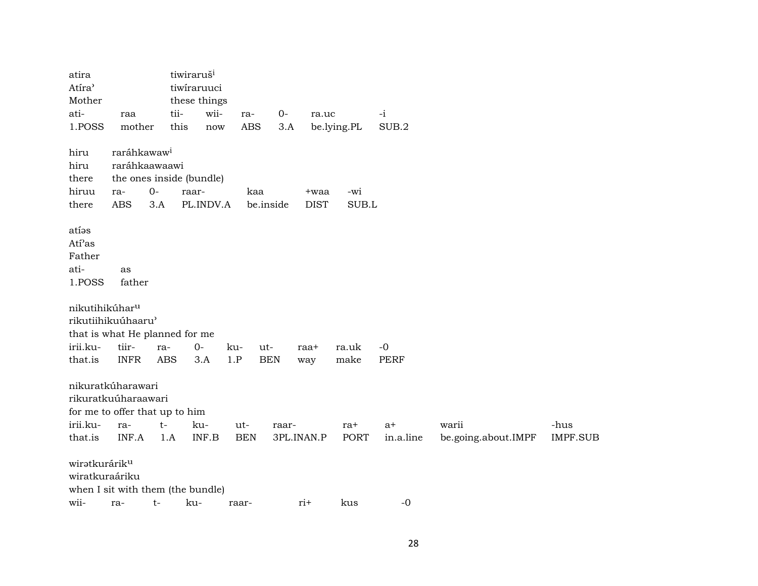atira tiwiraruš<sup>i</sup> Atíra' tiwíraruuci Mother these things ati- raa tii- wii- ra- 0- ra.uc -i 1.POSS mother this now ABS 3.A be.lying.PL SUB.2 hiru raráhkawaw<sup>i</sup> hiru raráhkaawaawi there the ones inside (bundle) hiruu ra- 0- raar- kaa +waa -wi there ABS 3.A PL.INDV.A be.inside DIST SUB.L atíəs Atí<sup>2</sup>as Father ati- as 1.POSS father nikutihikúharµ rikutiihikuúhaaru" that is what He planned for me irii.ku- tiir- ra- 0- ku- ut- raa+ ra.uk -0 that.is INFR ABS 3.A 1.P BEN way make PERF nikuratkúharawari rikuratkuúharaawari for me to offer that up to him irii.ku- ra- t- ku- ut- raar- ra+ a+ warii -hus that.is INF.A 1.A INF.B BEN 3PL.INAN.P PORT in.a.line be.going.about.IMPF IMPF.SUB wiratkurárik<sup>u</sup> wiratkuraáriku when I sit with them (the bundle) wii- ra- t- ku- raar- ri+ kus -0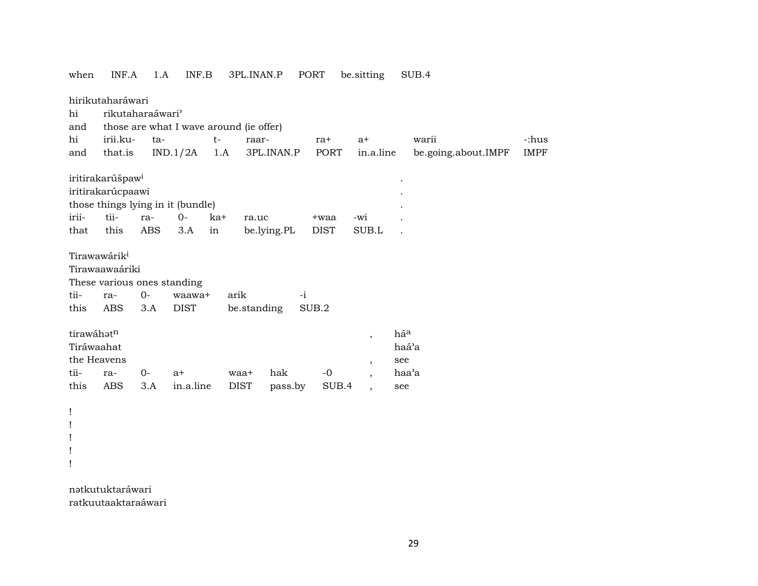when INF.A 1.A INF.B 3PL.INAN.P PORT be.sitting SUB.4 hirikutaharáwari hi rikutaharaáwari" and those are what I wave around (ie offer) hi irii.ku- ta- t- raar- ra+ a+ warii -:hus and that.is IND.1/2A 1.A 3PL.INAN.P PORT in.a.line be.going.about.IMPF IMPF iritirakarúšpaw<sup>i</sup> iritirakarúcpaawi . those things lying in it (bundle) . irii- tii- ra- 0- ka+ ra.uc +waa -wi . that this ABS 3.A in be.lying.PL DIST SUB.L . Tirawawárik<sup>i</sup> Tirawaawaáriki These various ones standing tii- ra- 0- waawa+ arik -i this ABS 3.A DIST be.standing SUB.2 tirawáhət $^{\rm n}$  , há $^{\rm a}$ Tiráwaahat haá"a the Heavens , see , see , see , see , see , see , see , see , see , see , see , see , see , see , see , see , see , see , see , see , see , see , see , see , see , see , see , see , see , see , see , see , see , see , see tii- ra- 0- a+ waa+ hak -0 , haa"a this ABS 3.A in.a.line DIST pass.by SUB.4 , see ! ! ! !

natkutuktaráwari ratkuutaaktaraáwari

!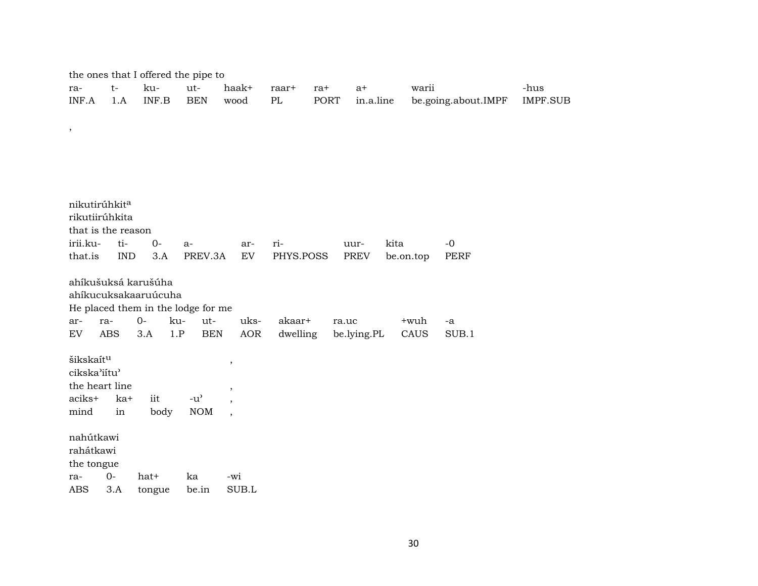|                           |            | the ones that I offered the pipe to |               |                          |                        |       |             |           |                     |          |
|---------------------------|------------|-------------------------------------|---------------|--------------------------|------------------------|-------|-------------|-----------|---------------------|----------|
| ra-                       | $t-$       | ku-                                 | ut-           | haak+                    | raar+                  | ra+   | $a+$        |           | warii               | -hus     |
| INF.A                     | 1.A        | INF.B                               | <b>BEN</b>    | wood                     | $\mathbf{P}\mathbf{L}$ | PORT  | in.a.line   |           | be.going.about.IMPF | IMPF.SUB |
|                           |            |                                     |               |                          |                        |       |             |           |                     |          |
| $^\mathrm{,}$             |            |                                     |               |                          |                        |       |             |           |                     |          |
|                           |            |                                     |               |                          |                        |       |             |           |                     |          |
|                           |            |                                     |               |                          |                        |       |             |           |                     |          |
|                           |            |                                     |               |                          |                        |       |             |           |                     |          |
| nikutirúhkit <sup>a</sup> |            |                                     |               |                          |                        |       |             |           |                     |          |
| rikutiirúhkita            |            |                                     |               |                          |                        |       |             |           |                     |          |
| that is the reason        |            |                                     |               |                          |                        |       |             |           |                     |          |
| irii.ku-                  | ti-        | $0-$                                | a-            | ar-                      | ri-                    |       | uur-        | kita      | $-0$                |          |
| that.is                   | <b>IND</b> | 3.A                                 | PREV.3A       | EV                       | PHYS.POSS              |       | PREV        | be.on.top | PERF                |          |
|                           |            | ahíkušuksá karušúha                 |               |                          |                        |       |             |           |                     |          |
|                           |            | ahíkucuksakaaruúcuha                |               |                          |                        |       |             |           |                     |          |
|                           |            | He placed them in the lodge for me  |               |                          |                        |       |             |           |                     |          |
| ar-                       | ra-        | $0-$<br>ku-                         | ut-           | uks-                     | akaar+                 | ra.uc |             | +wuh      | $-a$                |          |
| <b>EV</b>                 | <b>ABS</b> | 3.A<br>1.P                          | <b>BEN</b>    | AOR                      | dwelling               |       | be.lying.PL | CAUS      | SUB.1               |          |
| šikskaítu                 |            |                                     |               |                          |                        |       |             |           |                     |          |
| cikska'iítu'              |            |                                     |               | $\,$                     |                        |       |             |           |                     |          |
| the heart line            |            |                                     |               | ,                        |                        |       |             |           |                     |          |
| aciks+                    | ka+        | iit                                 | $-u^{\prime}$ | $\overline{\phantom{a}}$ |                        |       |             |           |                     |          |
| mind                      | in         | body                                | <b>NOM</b>    | $\overline{\phantom{a}}$ |                        |       |             |           |                     |          |
| nahútkawi                 |            |                                     |               |                          |                        |       |             |           |                     |          |
| rahátkawi                 |            |                                     |               |                          |                        |       |             |           |                     |          |
| the tongue                |            |                                     |               |                          |                        |       |             |           |                     |          |
| ra-                       | $0-$       | hat+                                | ka            | -wi                      |                        |       |             |           |                     |          |
| ABS                       | 3.A        | tongue                              | be.in         | SUB.L                    |                        |       |             |           |                     |          |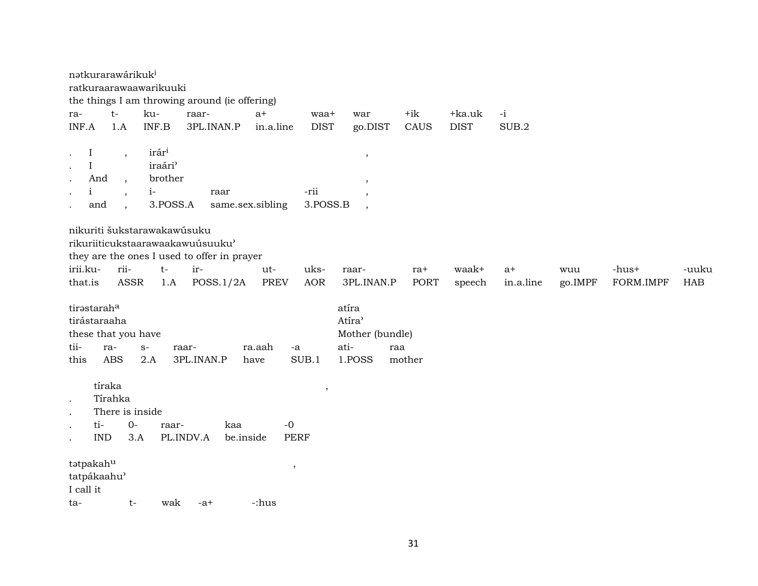| natkurarawárikuk <sup>i</sup>       |                          | ratkuraarawaawarikuuki      |                                  | the things I am throwing around (ie offering) |                          |             |                          |             |             |           |         |           |            |
|-------------------------------------|--------------------------|-----------------------------|----------------------------------|-----------------------------------------------|--------------------------|-------------|--------------------------|-------------|-------------|-----------|---------|-----------|------------|
| ra-<br>INF.A                        | $t-$                     | ku-<br>INF.B                | raar-                            | $a+$                                          |                          | waa+        | war                      | $+ik$       | +ka.uk      | $-i$      |         |           |            |
|                                     | 1.A                      |                             | 3PL.INAN.P                       |                                               | in.a.line                | <b>DIST</b> | go.DIST                  | CAUS        | <b>DIST</b> | SUB.2     |         |           |            |
| $\mathbf I$<br>$\ddot{\phantom{0}}$ | $\overline{\phantom{a}}$ | irár <sup>i</sup>           |                                  |                                               |                          |             | $\, ,$                   |             |             |           |         |           |            |
| $\bf{I}$                            |                          | iraári <sup>3</sup>         |                                  |                                               |                          |             |                          |             |             |           |         |           |            |
| And<br>$\cdot$                      | $\cdot$                  | brother                     |                                  |                                               |                          |             | $\cdot$                  |             |             |           |         |           |            |
| $\mathbf{i}$                        | $\cdot$                  | $i-$                        | raar                             |                                               |                          | -rii        | $\cdot$                  |             |             |           |         |           |            |
| and                                 |                          | 3.POSS.A                    |                                  | same.sex.sibling                              |                          | 3.POSS.B    | $\overline{\phantom{a}}$ |             |             |           |         |           |            |
|                                     |                          | nikuriti šukstarawakawúsuku |                                  |                                               |                          |             |                          |             |             |           |         |           |            |
|                                     |                          |                             | rikuriiticukstaarawaakawuúsuuku' |                                               |                          |             |                          |             |             |           |         |           |            |
|                                     |                          |                             |                                  | they are the ones I used to offer in prayer   |                          |             |                          |             |             |           |         |           |            |
| irii.ku-                            | rii-                     | $t-$                        | ir-                              |                                               | ut-                      | uks-        | raar-                    | ra+         | waak+       | $a+$      | wuu     | -hus+     | -uuku      |
| that.is                             | ASSR                     | 1.A                         | POSS.1/2A                        |                                               | <b>PREV</b>              | AOR         | 3PL.INAN.P               | <b>PORT</b> | speech      | in.a.line | go.IMPF | FORM.IMPF | <b>HAB</b> |
| tirastaraha                         |                          |                             |                                  |                                               |                          |             | atíra                    |             |             |           |         |           |            |
| tirástaraaha                        |                          |                             |                                  |                                               |                          |             | Atíra <sup></sup>        |             |             |           |         |           |            |
| these that you have                 |                          |                             |                                  |                                               |                          |             | Mother (bundle)          |             |             |           |         |           |            |
| tii-                                | ra-                      | $S-$                        | raar-                            | ra.aah                                        | -a                       |             | ati-                     | raa         |             |           |         |           |            |
| this                                | <b>ABS</b>               | 2.A                         | 3PL.INAN.P                       | have                                          |                          | SUB.1       | 1.POSS                   | mother      |             |           |         |           |            |
|                                     |                          |                             |                                  |                                               |                          |             |                          |             |             |           |         |           |            |
|                                     | tíraka                   |                             |                                  |                                               |                          | $\, ,$      |                          |             |             |           |         |           |            |
| $\bullet$                           | Tírahka                  |                             |                                  |                                               |                          |             |                          |             |             |           |         |           |            |
| $\cdot$                             | There is inside          |                             |                                  |                                               |                          |             |                          |             |             |           |         |           |            |
| ti-<br>$\bullet$                    | $O -$                    | raar-                       |                                  | kaa                                           | $-0$                     |             |                          |             |             |           |         |           |            |
| <b>IND</b><br>$\ddot{\phantom{a}}$  | 3.A                      |                             | PL.INDV.A                        | be.inside                                     | <b>PERF</b>              |             |                          |             |             |           |         |           |            |
| tatpakahu                           |                          |                             |                                  |                                               | $\overline{\phantom{a}}$ |             |                          |             |             |           |         |           |            |
| tatpákaahu'                         |                          |                             |                                  |                                               |                          |             |                          |             |             |           |         |           |            |
| I call it                           |                          |                             |                                  |                                               |                          |             |                          |             |             |           |         |           |            |
| ta-                                 | $t-$                     | wak                         | $-a+$                            | -:hus                                         |                          |             |                          |             |             |           |         |           |            |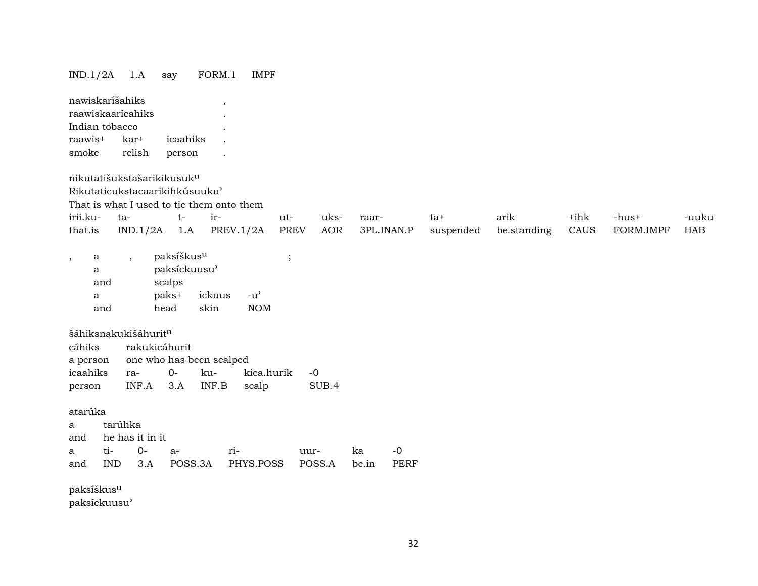### IND.1/2A 1.A say FORM.1 IMPF

| nawiskaríšahiks   |        |          |  |  |  |  |  |  |  |
|-------------------|--------|----------|--|--|--|--|--|--|--|
| raawiskaaricahiks |        |          |  |  |  |  |  |  |  |
| Indian tobacco    |        |          |  |  |  |  |  |  |  |
| raawis+           | kar+   | icaahiks |  |  |  |  |  |  |  |
| smoke             | relish | person   |  |  |  |  |  |  |  |

nikutatišukstašarikikusukµ

Rikutaticukstacaarikihkúsuuku"

That is what I used to tie them onto them

| irii.ku- ta- |  |  | raar- | arık                                                                                        | ·hus+ | -uuku |
|--------------|--|--|-------|---------------------------------------------------------------------------------------------|-------|-------|
|              |  |  |       | that.is IND.1/2A 1.A PREV.1/2A PREV AOR 3PL.INAN.P suspended be.standing CAUS FORM.IMPF HAB |       |       |

| a   | paksíškus <sup>u</sup> |        |        |  |
|-----|------------------------|--------|--------|--|
| a   | paksíckuusu'           |        |        |  |
| and | scalps                 |        |        |  |
| a   | paks+                  | ickuus | $-11'$ |  |
| and | head                   | skin   | NOM    |  |

šáhi $k$ snakukišáhurit $<sup>n</sup>$ </sup> cáhiks rakukicáhurit a person one who has been scalped icaahiks ra- 0- ku- kica.hurik -0 person INF.A 3.A INF.B scalp SUB.4

atarúka

a tarúhka

and he has it in it

| a ti- 0- |  |                                                 | uur- |  |
|----------|--|-------------------------------------------------|------|--|
|          |  | and IND 3.A POSS.3A PHYS.POSS POSS.A be.in PERF |      |  |

paksíškusµ

paksíckuusu"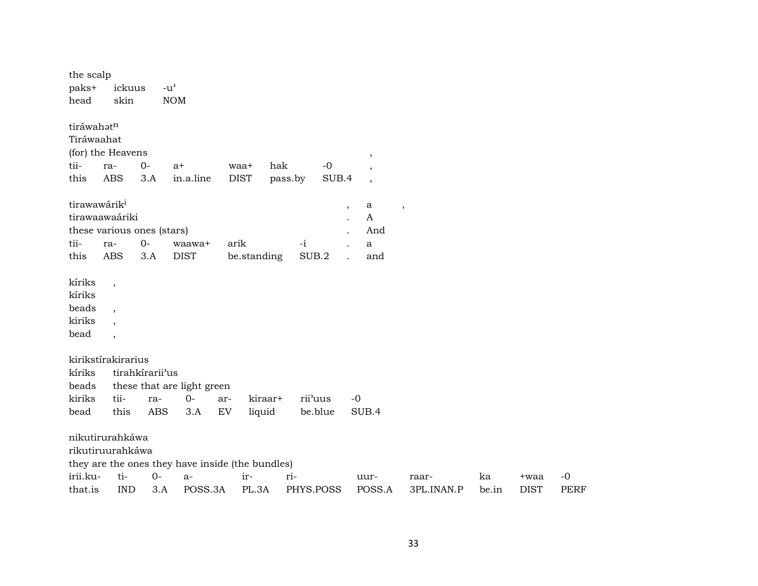| the scalp                  |                          |                 |                                                  |             |         |           |                               |            |       |             |
|----------------------------|--------------------------|-----------------|--------------------------------------------------|-------------|---------|-----------|-------------------------------|------------|-------|-------------|
| paks+                      | ickuus                   |                 | $-u^{\prime}$                                    |             |         |           |                               |            |       |             |
| head                       | skin                     |                 | <b>NOM</b>                                       |             |         |           |                               |            |       |             |
|                            |                          |                 |                                                  |             |         |           |                               |            |       |             |
| tiráwahatn                 |                          |                 |                                                  |             |         |           |                               |            |       |             |
| Tiráwaahat                 |                          |                 |                                                  |             |         |           |                               |            |       |             |
| (for) the Heavens          |                          |                 |                                                  |             |         |           | $^\mathrm{,}$                 |            |       |             |
| tii-                       | ra-                      | $0-$            | $a+$                                             | waa+        | hak     | $-0$      | $\overline{\phantom{a}}$      |            |       |             |
| this                       | <b>ABS</b>               | 3.A             | in.a.line                                        | <b>DIST</b> | pass.by | SUB.4     | $\overline{\phantom{a}}$      |            |       |             |
| tirawawárik <sup>i</sup>   |                          |                 |                                                  |             |         |           | a<br>$\overline{\phantom{a}}$ | $\,$       |       |             |
| tirawaawaáriki             |                          |                 |                                                  |             |         |           | A                             |            |       |             |
| these various ones (stars) |                          |                 |                                                  |             |         |           | And                           |            |       |             |
| tii-                       | ra-                      | $0-$            | waawa+                                           | arik        |         | $-i$      | $\mathbf{a}$                  |            |       |             |
| this                       | <b>ABS</b>               | 3.A             | <b>DIST</b>                                      | be.standing |         | SUB.2     | and                           |            |       |             |
|                            |                          |                 |                                                  |             |         |           |                               |            |       |             |
| kíriks                     | $\overline{\phantom{a}}$ |                 |                                                  |             |         |           |                               |            |       |             |
| kíriks                     |                          |                 |                                                  |             |         |           |                               |            |       |             |
| beads                      | $\overline{ }$           |                 |                                                  |             |         |           |                               |            |       |             |
| kiriks                     | $\overline{\phantom{a}}$ |                 |                                                  |             |         |           |                               |            |       |             |
| bead                       | $\overline{\phantom{a}}$ |                 |                                                  |             |         |           |                               |            |       |             |
| kirikstírakirarius         |                          |                 |                                                  |             |         |           |                               |            |       |             |
| kíriks                     |                          | tirahkirarii'us |                                                  |             |         |           |                               |            |       |             |
| beads                      |                          |                 | these that are light green                       |             |         |           |                               |            |       |             |
| kiriks                     | tii-                     | ra-             | $0-$                                             | ar-         | kiraar+ | rii'uus   | $-0$                          |            |       |             |
| bead                       | this                     | <b>ABS</b>      | 3.A                                              | EV          | liquid  | be.blue   | SUB.4                         |            |       |             |
| nikutirurahkáwa            |                          |                 |                                                  |             |         |           |                               |            |       |             |
| rikutiruurahkáwa           |                          |                 |                                                  |             |         |           |                               |            |       |             |
|                            |                          |                 | they are the ones they have inside (the bundles) |             |         |           |                               |            |       |             |
| irii.ku-                   | ti-                      | $0-$            | $a-$                                             | ir-         |         | ri-       | uur-                          | raar-      | ka    | +waa        |
| that.is                    | <b>IND</b>               | 3.A             | POSS.3A                                          |             | PL.3A   | PHYS.POSS | POSS.A                        | 3PL.INAN.P | be.in | <b>DIST</b> |

 $-0$ PERF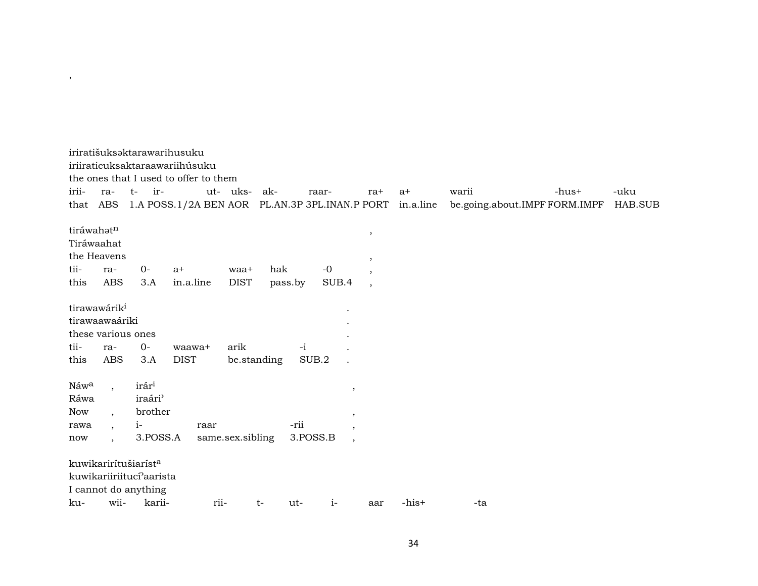|                          |                      | iriratišuksaktarawarihusuku      |                                                |                  |             |          |       |         |                          |           |       |                               |         |
|--------------------------|----------------------|----------------------------------|------------------------------------------------|------------------|-------------|----------|-------|---------|--------------------------|-----------|-------|-------------------------------|---------|
|                          |                      |                                  | iriiraticuksaktaraawariihúsuku                 |                  |             |          |       |         |                          |           |       |                               |         |
|                          |                      |                                  | the ones that I used to offer to them          |                  |             |          |       |         |                          |           |       |                               |         |
| irii-                    | ra-                  | ir-<br>$t-$                      |                                                | ut- uks-         | ak-         |          | raar- |         | ra+                      | $a+$      | warii | -hus+                         | -uku    |
| that ABS                 |                      |                                  | 1.A POSS.1/2A BEN AOR PL.AN.3P 3PL.INAN.P PORT |                  |             |          |       |         |                          | in.a.line |       | be.going.about.IMPF FORM.IMPF | HAB.SUB |
| tiráwahatn               |                      |                                  |                                                |                  |             |          |       |         |                          |           |       |                               |         |
| Tiráwaahat               |                      |                                  |                                                |                  |             |          |       |         | $\overline{\phantom{a}}$ |           |       |                               |         |
| the Heavens              |                      |                                  |                                                |                  |             |          |       |         |                          |           |       |                               |         |
| tii-                     | ra-                  | $0-$                             | $a+$                                           | waa+             | hak         |          | $-0$  |         |                          |           |       |                               |         |
| this                     | ABS                  | 3.A                              | in.a.line                                      | <b>DIST</b>      |             | pass.by  | SUB.4 |         |                          |           |       |                               |         |
|                          |                      |                                  |                                                |                  |             |          |       |         |                          |           |       |                               |         |
| tirawawárik <sup>i</sup> |                      |                                  |                                                |                  |             |          |       |         |                          |           |       |                               |         |
| tirawaawaáriki           |                      |                                  |                                                |                  |             |          |       |         |                          |           |       |                               |         |
|                          |                      | these various ones               |                                                |                  |             |          |       |         |                          |           |       |                               |         |
| tii-                     | ra-                  | $0-$                             | waawa+                                         | arik             |             | $-i$     |       |         |                          |           |       |                               |         |
| this                     | <b>ABS</b>           | 3.A                              | <b>DIST</b>                                    |                  | be.standing |          | SUB.2 |         |                          |           |       |                               |         |
|                          |                      |                                  |                                                |                  |             |          |       |         |                          |           |       |                               |         |
| Náwa                     | $\ddot{\phantom{1}}$ | irár <sup>i</sup>                |                                                |                  |             |          |       | $\,$    |                          |           |       |                               |         |
| Ráwa                     |                      | iraári <sup>3</sup>              |                                                |                  |             |          |       |         |                          |           |       |                               |         |
| Now                      |                      | brother                          |                                                |                  |             |          |       | $\cdot$ |                          |           |       |                               |         |
| rawa                     |                      | $i-$                             | raar                                           |                  |             | -rii     |       |         |                          |           |       |                               |         |
| now                      |                      | 3.POSS.A                         |                                                | same.sex.sibling |             | 3.POSS.B |       | $\cdot$ |                          |           |       |                               |         |
|                          |                      | kuwikarirítušiaríst <sup>a</sup> |                                                |                  |             |          |       |         |                          |           |       |                               |         |
|                          |                      | kuwikariiriitucí'aarista         |                                                |                  |             |          |       |         |                          |           |       |                               |         |
|                          |                      | I cannot do anything             |                                                |                  |             |          |       |         |                          |           |       |                               |         |
| ku-                      | wii-                 | karii-                           |                                                | rii-             | t-          | ut-      | $i-$  |         | aar                      | -his+     | -ta   |                               |         |

 $\overline{\phantom{a}}$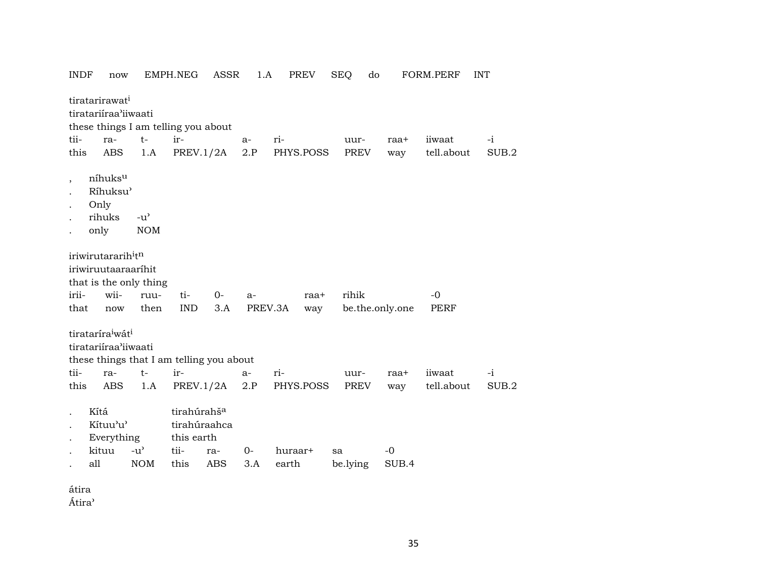| <b>INDF</b>                                  | now                                                              |                                          | EMPH.NEG                                                              | <b>ASSR</b>  | 1.A           |                  | PREV | <b>SEQ</b>     | do    |                 | FORM.PERF  | <b>INT</b> |
|----------------------------------------------|------------------------------------------------------------------|------------------------------------------|-----------------------------------------------------------------------|--------------|---------------|------------------|------|----------------|-------|-----------------|------------|------------|
|                                              | tiratarirawat <sup>i</sup><br>tiratariíraa'iiwaati               | these things I am telling you about      |                                                                       |              |               |                  |      |                |       |                 |            |            |
| tii-                                         | ra-                                                              | $t-$                                     | ir-                                                                   |              | $a-$          | ri-              |      |                | uur-  | raa+            | iiwaat     | $-i$       |
| this                                         | <b>ABS</b>                                                       | 1.A                                      | PREV.1/2A                                                             |              | 2.P           | PHYS.POSS        |      |                | PREV  | way             | tell.about | SUB.2      |
| $\overline{\phantom{a}}$                     | níhuksu<br>Ríhuksu'<br>Only<br>rihuks<br>only                    | $-u^{\prime}$<br><b>NOM</b>              |                                                                       |              |               |                  |      |                |       |                 |            |            |
|                                              | iriwirutararih <sup>i</sup> t <sup>n</sup>                       |                                          |                                                                       |              |               |                  |      |                |       |                 |            |            |
|                                              | iriwiruutaaraaríhit                                              |                                          |                                                                       |              |               |                  |      |                |       |                 |            |            |
|                                              |                                                                  | that is the only thing                   |                                                                       |              |               |                  |      |                |       |                 |            |            |
| irii-                                        | wii-                                                             | ruu-                                     | ti-<br><b>IND</b>                                                     | $0 -$<br>3.A | a-<br>PREV.3A |                  | raa+ |                | rihik |                 | $-0$       |            |
| that                                         | now                                                              | then                                     |                                                                       |              |               |                  | way  |                |       | be.the.only.one | PERF       |            |
|                                              | tirataríra <sup>i</sup> wát <sup>i</sup><br>tiratariiraa'iiwaati | these things that I am telling you about |                                                                       |              |               |                  |      |                |       |                 |            |            |
| tii-                                         | ra-                                                              | $t-$                                     | ir-                                                                   |              | $a-$          | ri-              |      |                | uur-  | raa+            | iiwaat     | $-i$       |
| this                                         | ABS                                                              | 1.A                                      | PREV.1/2A                                                             |              | 2.P           | PHYS.POSS        |      |                | PREV  | way             | tell.about | SUB.2      |
| $\ddot{\phantom{0}}$<br>$\ddot{\phantom{0}}$ | Kítá<br>Kítuu'u'<br>Everything<br>kituu<br>all                   | $-u^{\prime}$<br><b>NOM</b>              | tirahúrahš <sup>a</sup><br>tirahúraahca<br>this earth<br>tii-<br>this | ra-<br>ABS   | $0-$<br>3.A   | huraar+<br>earth |      | sa<br>be.lying |       | $-0$<br>SUB.4   |            |            |
|                                              |                                                                  |                                          |                                                                       |              |               |                  |      |                |       |                 |            |            |

átira Átira<sup></sup>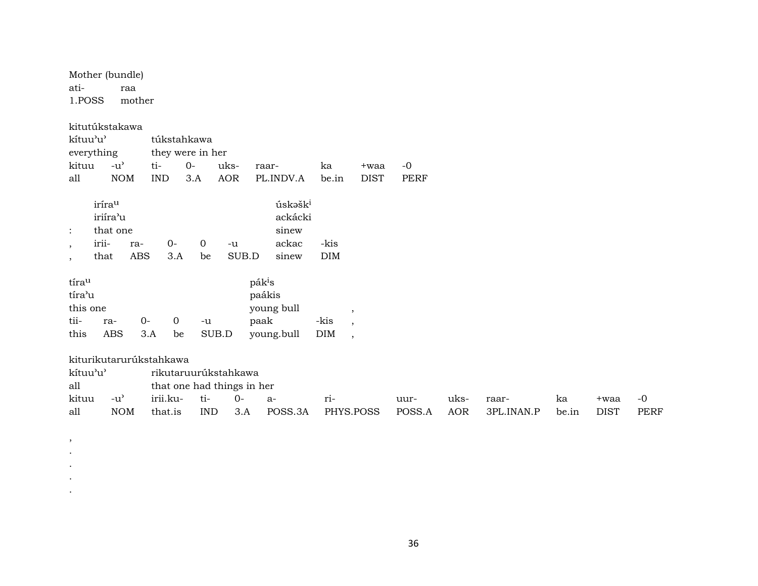| Mother (bundle)<br>ati-<br>1.POSS                                               | raa                                               | mother            |                     |                                                |                                                    |                                      |                                                           |                    |                          |                     |                    |                     |             |                     |                     |
|---------------------------------------------------------------------------------|---------------------------------------------------|-------------------|---------------------|------------------------------------------------|----------------------------------------------------|--------------------------------------|-----------------------------------------------------------|--------------------|--------------------------|---------------------|--------------------|---------------------|-------------|---------------------|---------------------|
| kitutúkstakawa<br>kítuu'u'<br>everything<br>kituu<br>all                        | $-u$ <sup><math>\prime</math></sup><br><b>NOM</b> |                   | ti-<br><b>IND</b>   | túkstahkawa<br>they were in her<br>$O-$<br>3.A | uks-<br><b>AOR</b>                                 | raar-                                | PL.INDV.A                                                 | ka<br>be.in        | +waa<br><b>DIST</b>      | $-0$<br><b>PERF</b> |                    |                     |             |                     |                     |
| $\ddot{\cdot}$<br>irii-<br>$\overline{\phantom{a}}$<br>$\overline{\phantom{a}}$ | irírau<br>iriíra'u<br>that one<br>that            | ra-<br><b>ABS</b> | $0-$<br>3.A         | 0<br>be                                        | -u<br>SUB.D                                        |                                      | úskašk <sup>i</sup><br>ackácki<br>sinew<br>ackac<br>sinew | -kis<br><b>DIM</b> |                          |                     |                    |                     |             |                     |                     |
| tírau<br>tíra'u<br>this one<br>tii-                                             | ra-                                               | $0-$              | $\mathbf 0$         | $-u$                                           |                                                    | pák <sup>i</sup> s<br>paákis<br>paak | young bull                                                | -kis               | $\cdot$                  |                     |                    |                     |             |                     |                     |
| this                                                                            | <b>ABS</b>                                        | 3.A               | be                  |                                                | SUB.D                                              |                                      | young.bull                                                | DIM                | $\overline{\phantom{a}}$ |                     |                    |                     |             |                     |                     |
| kiturikutarurúkstahkawa<br>kítuu'u'<br>all                                      |                                                   |                   |                     |                                                | rikutaruurúkstahkawa<br>that one had things in her |                                      |                                                           |                    |                          |                     |                    |                     |             |                     |                     |
| kituu<br>all                                                                    | $-u^{\prime}$<br>NOM                              |                   | irii.ku-<br>that.is | ti-<br><b>IND</b>                              | $0-$<br>3.A                                        |                                      | $a-$<br>POSS.3A                                           | ri-                | PHYS.POSS                | uur-<br>POSS.A      | uks-<br><b>AOR</b> | raar-<br>3PL.INAN.P | ka<br>be.in | +waa<br><b>DIST</b> | $-0$<br><b>PERF</b> |

, . . . .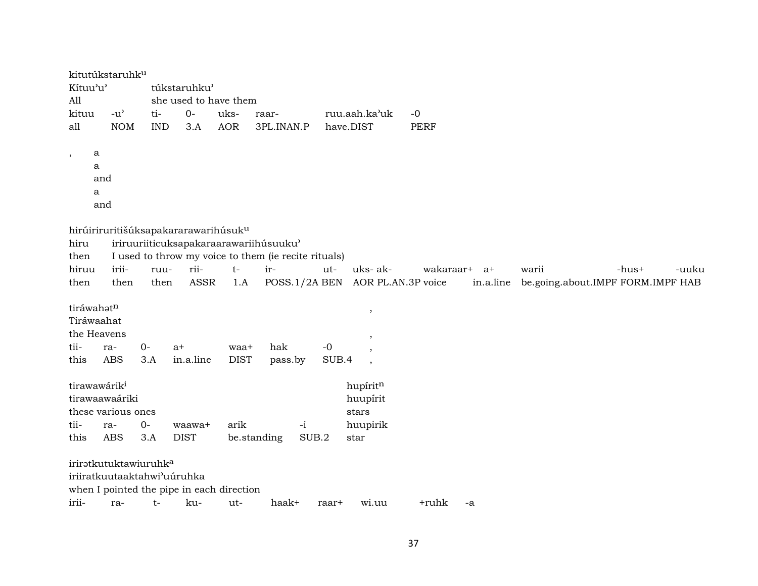|                          | kitutúkstaruhk <sup>u</sup>       |            |                                           |             |                                                      |       |                                  |             |           |                                   |       |       |
|--------------------------|-----------------------------------|------------|-------------------------------------------|-------------|------------------------------------------------------|-------|----------------------------------|-------------|-----------|-----------------------------------|-------|-------|
| Kítuu'u'                 |                                   |            | túkstaruhku'                              |             |                                                      |       |                                  |             |           |                                   |       |       |
| All                      |                                   |            | she used to have them                     |             |                                                      |       |                                  |             |           |                                   |       |       |
| kituu                    | $-u^{\prime}$                     | ti-        | $0-$                                      | uks-        | raar-                                                |       | ruu.aah.ka'uk                    | $-0$        |           |                                   |       |       |
| all                      | <b>NOM</b>                        | <b>IND</b> | 3.A                                       | <b>AOR</b>  | 3PL.INAN.P                                           |       | have.DIST                        | <b>PERF</b> |           |                                   |       |       |
| $\overline{\phantom{a}}$ | a                                 |            |                                           |             |                                                      |       |                                  |             |           |                                   |       |       |
|                          | a                                 |            |                                           |             |                                                      |       |                                  |             |           |                                   |       |       |
|                          | and                               |            |                                           |             |                                                      |       |                                  |             |           |                                   |       |       |
|                          | a                                 |            |                                           |             |                                                      |       |                                  |             |           |                                   |       |       |
|                          | and                               |            |                                           |             |                                                      |       |                                  |             |           |                                   |       |       |
|                          |                                   |            | hirúiriruritišúksapakararawarihúsuku      |             |                                                      |       |                                  |             |           |                                   |       |       |
| hiru                     |                                   |            |                                           |             | iriruuriiticuksapakaraarawariihusuuku'               |       |                                  |             |           |                                   |       |       |
| then                     |                                   |            |                                           |             | I used to throw my voice to them (ie recite rituals) |       |                                  |             |           |                                   |       |       |
| hiruu                    | irii-                             | ruu-       | rii-                                      | $t-$        | ir-                                                  | ut-   | uks- ak-                         | wakaraar+   | a+        | warii                             | -hus+ | -uuku |
| then                     | then                              | then       | ASSR                                      | 1.A         |                                                      |       | POSS.1/2A BEN AOR PL.AN.3P voice |             | in.a.line | be.going.about.IMPF FORM.IMPF HAB |       |       |
|                          | tiráwahatn                        |            |                                           |             |                                                      |       | $^\mathrm{,}$                    |             |           |                                   |       |       |
|                          | Tiráwaahat                        |            |                                           |             |                                                      |       |                                  |             |           |                                   |       |       |
|                          | the Heavens                       |            |                                           |             |                                                      |       |                                  |             |           |                                   |       |       |
| tii-                     | ra-                               | $0-$       | a+                                        | waa+        | hak                                                  | $-0$  |                                  |             |           |                                   |       |       |
| this                     | <b>ABS</b>                        | 3.A        | in.a.line                                 | <b>DIST</b> | pass.by                                              | SUB.4 |                                  |             |           |                                   |       |       |
|                          | tirawawárik <sup>i</sup>          |            |                                           |             |                                                      |       | hupíritn                         |             |           |                                   |       |       |
|                          | tirawaawaáriki                    |            |                                           |             |                                                      |       | huupírit                         |             |           |                                   |       |       |
|                          | these various ones                |            |                                           |             |                                                      |       | stars                            |             |           |                                   |       |       |
| tii-                     | ra-                               | $0-$       | waawa+                                    | arik        | $-i$                                                 |       | huupirik                         |             |           |                                   |       |       |
| this                     | <b>ABS</b>                        | 3.A        | <b>DIST</b>                               |             | be.standing                                          | SUB.2 | star                             |             |           |                                   |       |       |
|                          | iriratkutuktawiuruhk <sup>a</sup> |            |                                           |             |                                                      |       |                                  |             |           |                                   |       |       |
|                          |                                   |            | iriiratkuutaaktahwi'uúruhka               |             |                                                      |       |                                  |             |           |                                   |       |       |
|                          |                                   |            | when I pointed the pipe in each direction |             |                                                      |       |                                  |             |           |                                   |       |       |
| irii-                    | ra-                               | $t-$       | ku-                                       | ut-         | haak+                                                | raar+ | wi.uu                            | +ruhk       | -a        |                                   |       |       |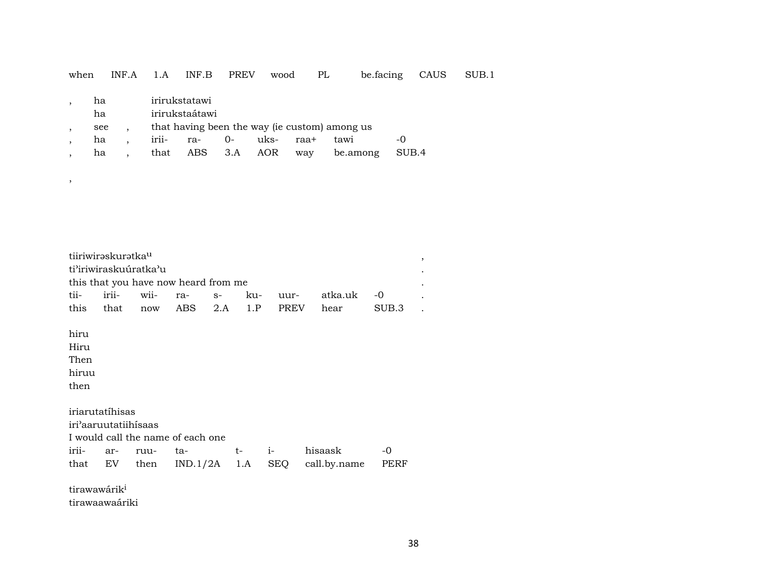| when    |          | INF.A | 1.A   | INF.B                           | PREV |      | PL<br>wood |                                               | be facing | CAUS  | SUB.1 |
|---------|----------|-------|-------|---------------------------------|------|------|------------|-----------------------------------------------|-----------|-------|-------|
| $\cdot$ | ha<br>ha |       |       | irirukstatawi<br>irirukstaátawi |      |      |            |                                               |           |       |       |
|         |          |       |       |                                 |      |      |            |                                               |           |       |       |
|         | see      |       |       |                                 |      |      |            | that having been the way (ie custom) among us |           |       |       |
| $\cdot$ | ha       |       | irii- | ra-                             | $0-$ | uks- | raa+       | tawi                                          | $-()$     |       |       |
|         | ha       |       | that  | ABS                             | 3.A  | AOR  | way        | be.among                                      |           | SUB.4 |       |
|         |          |       |       |                                 |      |      |            |                                               |           |       |       |

tiiriwirəskurətka<sup>u</sup>  $\,$  , ti'iriwiraskuúratka'u  $\ddot{\phantom{0}}$ this that you have now heard from me  $\cdot$ tiiiriiwiira- $S$ ku- $-0$ uuratka.uk  $\ddot{\phantom{a}}$ this that ABS  $2.A$  $1.P$ **PREV** hear SUB.3 now  $\ddot{\phantom{a}}$ 

hiru

 $\, ,$ 

Hiru Then

hiruu

then

iriarutatíhisas

iri'aaruutatiihísaas

I would call the name of each one

| $\cdots$ | irii- ar- ruu- ta- |  | t- i- hisaask -0                                |  |
|----------|--------------------|--|-------------------------------------------------|--|
|          |                    |  | that EV then IND.1/2A 1.A SEQ call.by.name PERF |  |

tirawawárik<sup>i</sup>

tirawaawaáriki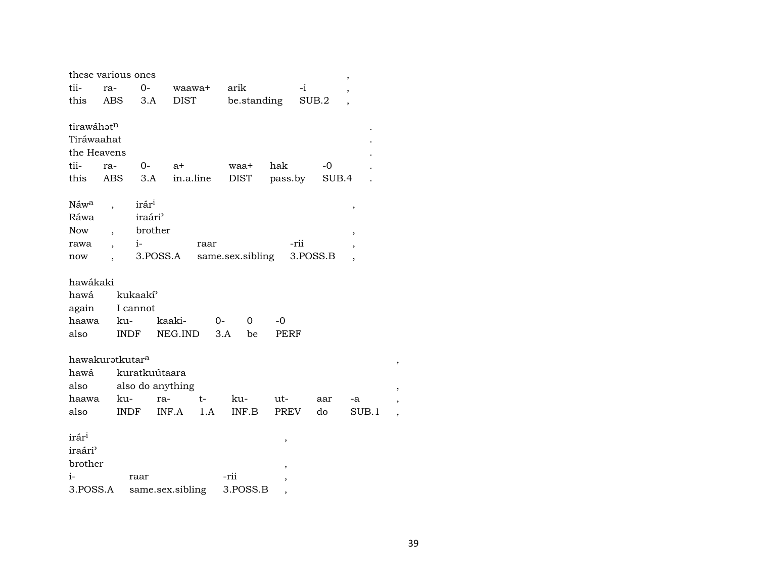|                     | these various ones       |                      |                  |      |                  |             |          |       | ,                        |
|---------------------|--------------------------|----------------------|------------------|------|------------------|-------------|----------|-------|--------------------------|
| tii-                | ra-                      | $0-$                 | waawa+           |      | arik             |             | $-i$     |       | ,                        |
| this                | ABS                      | 3.A                  | <b>DIST</b>      |      | be.standing      |             | SUB.2    |       |                          |
|                     |                          |                      |                  |      |                  |             |          |       |                          |
| tirawáhatn          |                          |                      |                  |      |                  |             |          |       |                          |
| Tiráwaahat          |                          |                      |                  |      |                  |             |          |       |                          |
| the Heavens         |                          |                      |                  |      |                  |             |          |       |                          |
| tii-                | ra-                      | $0-$                 | $a+$             |      | waa+             | hak         |          | $-0$  |                          |
| this                | ABS                      | 3.A                  | in.a.line        |      | <b>DIST</b>      | pass.by     |          | SUB.4 |                          |
|                     |                          |                      |                  |      |                  |             |          |       |                          |
| Náw <sup>a</sup>    |                          | irár <sup>i</sup>    |                  |      |                  |             |          |       | $\,$                     |
| Ráwa                |                          | iraári <sup>3</sup>  |                  |      |                  |             |          |       |                          |
| Now                 | $\overline{ }$           | brother              |                  |      |                  |             |          |       | $\,$                     |
| rawa                | $\overline{\phantom{a}}$ | $i-$                 | raar             |      |                  |             | -rii     |       | $\,$                     |
| now                 | $\ddot{\phantom{0}}$     | 3.POSS.A             |                  |      | same.sex.sibling |             | 3.POSS.B |       | $\overline{\phantom{a}}$ |
| hawákaki            |                          |                      |                  |      |                  |             |          |       |                          |
| hawá                |                          | kukaaki <sup>3</sup> |                  |      |                  |             |          |       |                          |
| again               |                          | I cannot             |                  |      |                  |             |          |       |                          |
| haawa               | ku-                      |                      | kaaki-           | 0-   | 0                | -0          |          |       |                          |
| also                |                          | INDF                 | NEG.IND          | 3.A  | be               | <b>PERF</b> |          |       |                          |
|                     |                          |                      |                  |      |                  |             |          |       |                          |
|                     | hawakuratkutara          |                      |                  |      |                  |             |          |       |                          |
| hawá                |                          | kuratkuútaara        |                  |      |                  |             |          |       |                          |
| also                |                          | also do anything     |                  |      |                  |             |          |       |                          |
| haawa               | ku-                      | ra-                  | t-               |      | ku-              | ut-         |          | aar   | -a                       |
| also                |                          | INDF                 | INF.A            | 1.A  | INF.B            | PREV        |          | do    | SUB.1                    |
|                     |                          |                      |                  |      |                  |             |          |       |                          |
| irár <sup>i</sup>   |                          |                      |                  |      |                  | ,           |          |       |                          |
| iraári <sup>3</sup> |                          |                      |                  |      |                  |             |          |       |                          |
| brother             |                          |                      |                  |      |                  | ,           |          |       |                          |
| $i-$                |                          | raar                 |                  | -rii |                  |             |          |       |                          |
| 3.POSS.A            |                          |                      | same.sex.sibling |      | 3.POSS.B         | ,           |          |       |                          |

 $\overline{\phantom{a}}$ 

 $\,$  ,  $\,$  ,  $\overline{\phantom{a}}$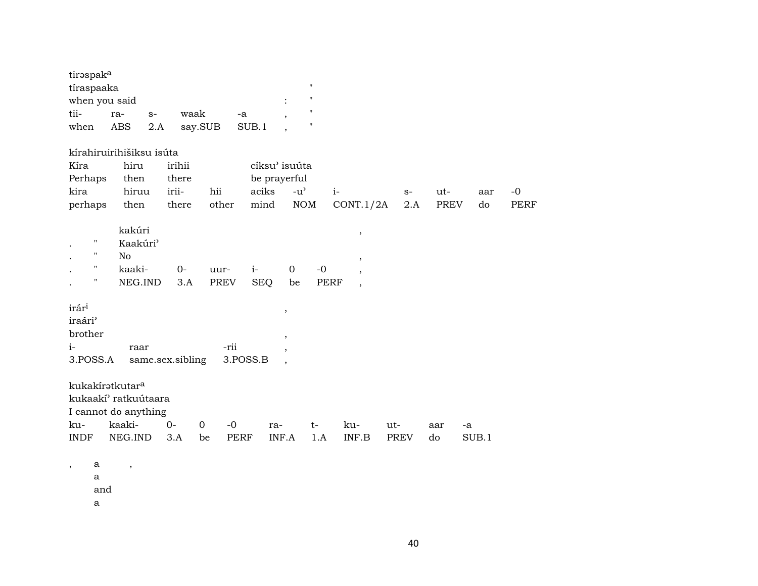| tiraspaka<br>tíraspaaka                  |     |                          |       |                  |             |             |            |                                                      | $\pmb{\mathsf{H}}$                  |             |                          |      |    |      |       |             |
|------------------------------------------|-----|--------------------------|-------|------------------|-------------|-------------|------------|------------------------------------------------------|-------------------------------------|-------------|--------------------------|------|----|------|-------|-------------|
| when you said                            |     |                          |       |                  |             |             |            | $\ddot{\cdot}$                                       | $\pmb{\mathsf{H}}$                  |             |                          |      |    |      |       |             |
| tii-                                     |     | ra-                      | $S-$  | waak             |             | -a          |            |                                                      | $\pmb{\mathsf{H}}$                  |             |                          |      |    |      |       |             |
| when                                     |     | <b>ABS</b>               | $2.A$ |                  | say.SUB     |             | SUB.1      |                                                      | $\pmb{\mathsf{H}}$                  |             |                          |      |    |      |       |             |
|                                          |     |                          |       |                  |             |             |            |                                                      |                                     |             |                          |      |    |      |       |             |
| kírahiruirihišiksu isúta                 |     |                          |       |                  |             |             |            |                                                      |                                     |             |                          |      |    |      |       |             |
| Kíra                                     |     | hiru                     |       | irihii           |             |             |            | cíksu' isuúta                                        |                                     |             |                          |      |    |      |       |             |
| Perhaps                                  |     | then                     |       | there            |             |             |            | be prayerful                                         |                                     |             |                          |      |    |      |       |             |
| kira                                     |     | hiruu                    |       | irii-            | hii         |             | aciks      |                                                      | $-u$ <sup><math>\prime</math></sup> | $i-$        |                          | $S-$ |    | ut-  | aar   | $-0$        |
| perhaps                                  |     | then                     |       | there            |             | other       | mind       |                                                      | $\rm{NOM}$                          |             | CONT.1/2A                | 2.A  |    | PREV | do    | <b>PERF</b> |
|                                          |     |                          |       |                  |             |             |            |                                                      |                                     |             |                          |      |    |      |       |             |
|                                          |     | kakúri                   |       |                  |             |             |            |                                                      |                                     |             | $\, ,$                   |      |    |      |       |             |
| П                                        |     | Kaakúri'                 |       |                  |             |             |            |                                                      |                                     |             |                          |      |    |      |       |             |
| $\pmb{\mathsf{H}}$                       |     | No                       |       |                  |             |             |            |                                                      |                                     |             | $^\mathrm{,}$            |      |    |      |       |             |
| "                                        |     | kaaki-                   |       | $O -$            | uur-        |             | $i-$       | $\boldsymbol{0}$                                     | $-0$                                |             | $\, ,$                   |      |    |      |       |             |
| Ħ                                        |     | NEG.IND                  |       | 3.A              |             | PREV        | <b>SEQ</b> | be                                                   |                                     | <b>PERF</b> | $\overline{\phantom{a}}$ |      |    |      |       |             |
| irári                                    |     |                          |       |                  |             |             |            |                                                      |                                     |             |                          |      |    |      |       |             |
| iraári <sup></sup>                       |     |                          |       |                  |             |             |            | $\, ,$                                               |                                     |             |                          |      |    |      |       |             |
| brother                                  |     |                          |       |                  |             |             |            |                                                      |                                     |             |                          |      |    |      |       |             |
| $i-$                                     |     | raar                     |       |                  |             | -rii        |            | $\overline{\phantom{a}}$                             |                                     |             |                          |      |    |      |       |             |
| 3.POSS.A                                 |     |                          |       | same.sex.sibling |             | 3.POSS.B    |            | $\overline{\phantom{a}}$<br>$\overline{\phantom{a}}$ |                                     |             |                          |      |    |      |       |             |
|                                          |     |                          |       |                  |             |             |            |                                                      |                                     |             |                          |      |    |      |       |             |
| kukakíratkutar <sup>a</sup>              |     |                          |       |                  |             |             |            |                                                      |                                     |             |                          |      |    |      |       |             |
| kukaakí <sup>3</sup> ratkuútaara         |     |                          |       |                  |             |             |            |                                                      |                                     |             |                          |      |    |      |       |             |
| I cannot do anything                     |     |                          |       |                  |             |             |            |                                                      |                                     |             |                          |      |    |      |       |             |
| ku-                                      |     | kaaki-                   |       | $0-$             | $\mathbf 0$ | $-0$        |            | ra-                                                  | $t-$                                | ku-         |                          | ut-  |    | aar  | -a    |             |
| <b>INDF</b>                              |     | NEG.IND                  |       | 3.A              | be          | <b>PERF</b> |            | INF.A                                                | 1.A                                 |             | INF.B                    | PREV | do |      | SUB.1 |             |
|                                          |     |                          |       |                  |             |             |            |                                                      |                                     |             |                          |      |    |      |       |             |
| $\mathbf{a}$<br>$\overline{\phantom{a}}$ |     | $\overline{\phantom{a}}$ |       |                  |             |             |            |                                                      |                                     |             |                          |      |    |      |       |             |
| a                                        |     |                          |       |                  |             |             |            |                                                      |                                     |             |                          |      |    |      |       |             |
|                                          | and |                          |       |                  |             |             |            |                                                      |                                     |             |                          |      |    |      |       |             |
| a                                        |     |                          |       |                  |             |             |            |                                                      |                                     |             |                          |      |    |      |       |             |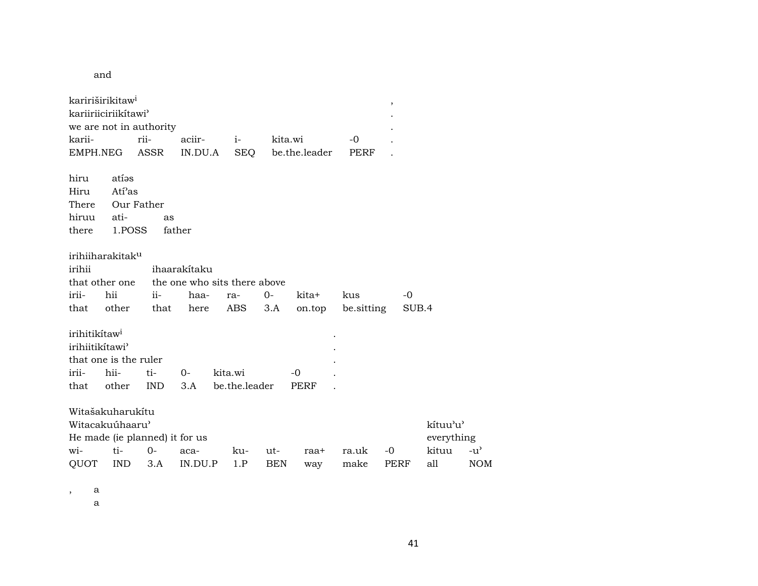and

| kaririširikitaw <sup>i</sup><br>kariiriiciriikitawi' |                     | we are not in authority        |              |                              |            |               |            | $^\mathrm{^\mathrm{o}}$ |       |            |               |
|------------------------------------------------------|---------------------|--------------------------------|--------------|------------------------------|------------|---------------|------------|-------------------------|-------|------------|---------------|
| karii-                                               |                     | rii-                           | aciir-       | $i-$                         | kita.wi    |               | $-0$       |                         |       |            |               |
| EMPH.NEG                                             |                     | ASSR                           | IN.DU.A      | SEQ                          |            | be.the.leader | PERF       |                         |       |            |               |
|                                                      |                     |                                |              |                              |            |               |            |                         |       |            |               |
| hiru                                                 | atíəs               |                                |              |                              |            |               |            |                         |       |            |               |
| Hiru                                                 | Atí <sup>2</sup> as |                                |              |                              |            |               |            |                         |       |            |               |
| There                                                |                     | Our Father                     |              |                              |            |               |            |                         |       |            |               |
| hiruu                                                | ati-                | as                             |              |                              |            |               |            |                         |       |            |               |
| there                                                | 1.POSS              |                                | father       |                              |            |               |            |                         |       |            |               |
|                                                      |                     |                                |              |                              |            |               |            |                         |       |            |               |
| irihiiharakitak <sup>u</sup>                         |                     |                                |              |                              |            |               |            |                         |       |            |               |
| irihii                                               |                     |                                | ihaarakítaku |                              |            |               |            |                         |       |            |               |
| that other one                                       |                     |                                |              | the one who sits there above |            |               |            |                         |       |            |               |
| irii-                                                | hii                 | ii-                            | haa-         | ra-                          | $0-$       | kita+         | kus        |                         | $-0$  |            |               |
| that                                                 | other               | that                           | here         | ABS                          | 3.A        | on.top        | be sitting |                         | SUB.4 |            |               |
|                                                      |                     |                                |              |                              |            |               |            |                         |       |            |               |
| irihitikítaw <sup>i</sup>                            |                     |                                |              |                              |            |               |            |                         |       |            |               |
| irihiitikítawi'                                      |                     |                                |              |                              |            |               |            |                         |       |            |               |
| that one is the ruler                                |                     |                                |              |                              |            |               |            |                         |       |            |               |
| irii-                                                | hii-                | ti-                            | 0-           | kita.wi                      |            | $-0$          |            |                         |       |            |               |
| that                                                 | other               | <b>IND</b>                     | 3.A          | be.the.leader                |            | PERF          |            |                         |       |            |               |
|                                                      |                     |                                |              |                              |            |               |            |                         |       |            |               |
| Witašakuharukítu                                     |                     |                                |              |                              |            |               |            |                         |       |            |               |
| Witacakuúhaaru'                                      |                     |                                |              |                              |            |               |            |                         |       | kítuu'u'   |               |
|                                                      |                     | He made (ie planned) it for us |              |                              |            |               |            |                         |       | everything |               |
| wi-                                                  | ti-                 | $0 -$                          | aca-         | ku-                          | ut-        | raa+          | ra.uk      | -0                      |       | kituu      | $-u^{\prime}$ |
| QUOT                                                 | <b>IND</b>          | 3.A                            | IN.DU.P      | 1.P                          | <b>BEN</b> | way           | make       | PERF                    |       | all        | <b>NOM</b>    |

, a

a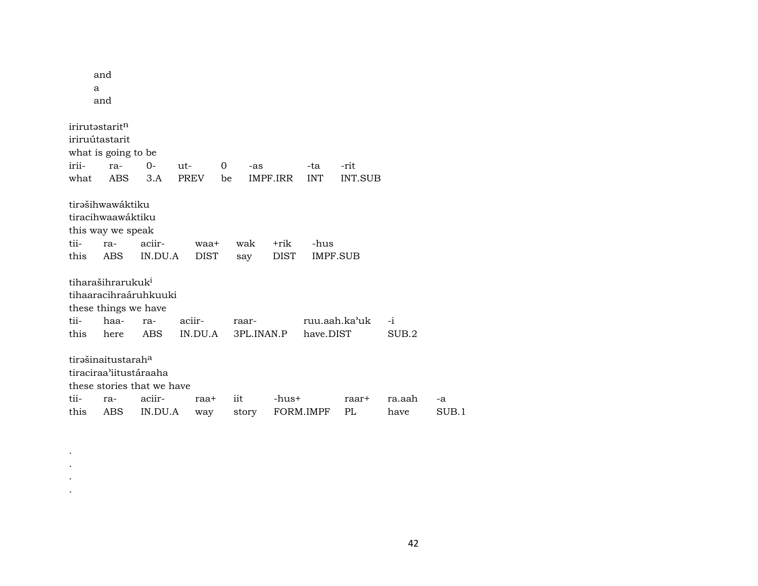and  $\mathbf{a}$ and irirutəstarit<sup>n</sup> iriruútastarit what is going to be iriira- $0-$ -rit  $ut \overline{0}$ -ta -as  $3.A$ ABS **INT.SUB** what PREV be IMPF.IRR **INT** tirəšihwawáktiku tiracihwaawáktiku this way we speak aciirtiirawaa+ wak +rik -hus this ABS IN.DU.A **DIST DIST** IMPF.SUB say tiharašihrarukuk<sup>i</sup> tihaaracihraáruhkuuki these things we have  $-i$ tiihaaaciirruu.aah.ka'uk raraar-IN.DU.A this here **ABS** 3PL.INAN.P have.DIST  $SUB.2$ tirəšinaitustarah<sup>a</sup> tiraciraa'iitustáraaha these stories that we have tiiaciiriit -hus+ raraa+ raar+ ra.aah  $-a$ IN.DU.A FORM.IMPF  $SUB.1$ this **ABS**  $PL$ have way story

 $\mathbf{r}$  $\bullet$  $\ddot{\phantom{a}}$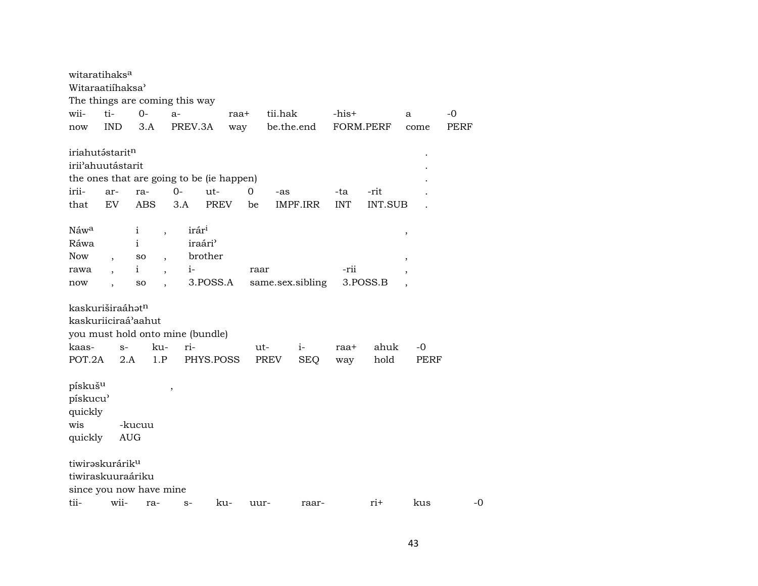witaratihaks<sup>a</sup> Witaraatiíhaksa<sup>3</sup> The things are coming this way  $0$  $a$ wiititii.hak -his+  $-0$ raa+  $\mathbf{a}$ **IND**  $3.A$ PREV.3A be.the.end **FORM.PERF PERF** now way come iriahutástarit<sup>n</sup> irii<sup>3</sup>ahuutástarit the ones that are going to be (ie happen) irii- $O$  $ut-$ -rit arra- $\Omega$ -as -ta that EV **ABS**  $3.A$ **PREV** be **IMPF.IRR INT INT.SUB**  $\overline{a}$ Náwa  $\,$  i irár<sup>i</sup>  $\overline{\phantom{a}}$  $\, ,$ iraári<sup></sup> Ráwa  $\mathbf{i}$ Now brother  $SO$  $\overline{\phantom{a}}$  $\overline{\phantom{a}}$  $\mathbf{i}$  $i-$ -rii raar rawa  $\ddot{\phantom{0}}$  $\cdot$  $\cdot$ same.sex.sibling 3.POSS.A 3.POSS.B now  $SO$  $\ddot{\phantom{1}}$  $\overline{ }$ kaskuriširaáhat<sup>n</sup> kaskuriiciraá'aahut you must hold onto mine (bundle) kaaskuri $i$ ahuk  $-0$  $S$  $ut$ raa+ hold POT.2A 2.A  $1.P$ PHYS.POSS PREV **SEQ PERF** way pískuš<sup>u</sup>  $\overline{\phantom{a}}$ pískucu<sup>3</sup> quickly wis -kucuu quickly **AUG** tiwirəskurárik<sup>u</sup> tiwiraskuuraáriku since you now have mine tiiwii $ri+$ kus  $-0$ rakuuur- $S$ raar-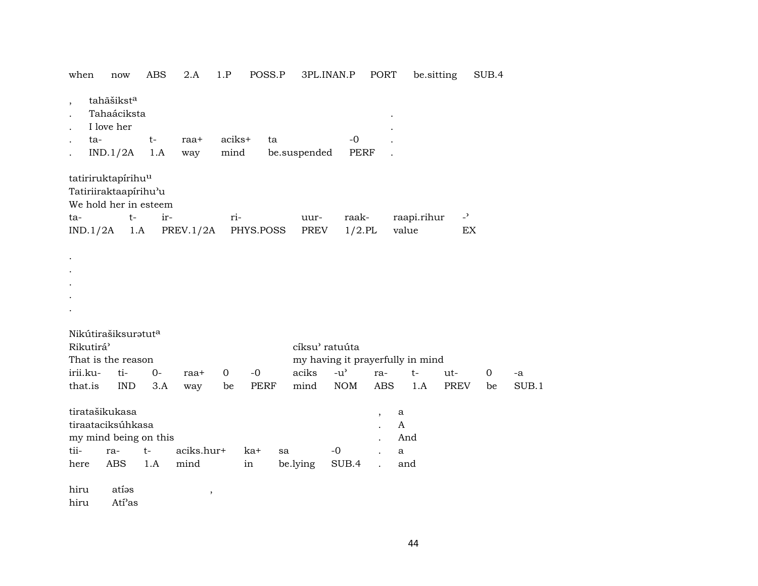| when                                                                             | now                                     | <b>ABS</b> | 2.A                      | 1.P         | POSS.P    |              | 3PL.INAN.P     |                                     | PORT                     | be.sitting                               |                                | SUB.4            |       |
|----------------------------------------------------------------------------------|-----------------------------------------|------------|--------------------------|-------------|-----------|--------------|----------------|-------------------------------------|--------------------------|------------------------------------------|--------------------------------|------------------|-------|
| $\,$<br>$\overline{a}$<br>ta-<br>$\ddot{\phantom{0}}$                            | tahãšiksta<br>Tahaáciksta<br>I love her | $t-$       | raa+                     | aciks+      | ta        |              |                | $-0$                                |                          |                                          |                                |                  |       |
|                                                                                  | IND.1/2A                                | 1.A        | way                      | mind        |           | be.suspended |                | PERF                                |                          |                                          |                                |                  |       |
| tatiriruktapírihu <sup>u</sup><br>Tatiriiraktaapírihu'u<br>We hold her in esteem |                                         |            |                          |             |           |              |                |                                     |                          |                                          |                                |                  |       |
| ta-                                                                              | $t-$                                    | ir-        |                          | ri-         |           |              | uur-           | raak-                               |                          | raapi.rihur<br>value                     | $\overline{\phantom{0}}$<br>EX |                  |       |
| IND.1/2A                                                                         | 1.A                                     |            | PREV.1/2A                |             | PHYS.POSS |              | PREV           | $1/2$ .PL                           |                          |                                          |                                |                  |       |
| $\ddot{\phantom{0}}$                                                             |                                         |            |                          |             |           |              |                |                                     |                          |                                          |                                |                  |       |
|                                                                                  |                                         |            |                          |             |           |              |                |                                     |                          |                                          |                                |                  |       |
|                                                                                  |                                         |            |                          |             |           |              |                |                                     |                          |                                          |                                |                  |       |
|                                                                                  |                                         |            |                          |             |           |              |                |                                     |                          |                                          |                                |                  |       |
| Nikútirašiksuratuta                                                              |                                         |            |                          |             |           |              |                |                                     |                          |                                          |                                |                  |       |
| Rikutirá <sup>3</sup>                                                            |                                         |            |                          |             |           |              | cíksu' ratuúta |                                     |                          |                                          |                                |                  |       |
| That is the reason<br>irii.ku-                                                   | ti-                                     | $0-$       | raa+                     | $\mathbf 0$ | $-0$      | aciks        |                | $-u$ <sup><math>\prime</math></sup> | ra-                      | my having it prayerfully in mind<br>$t-$ | ut-                            | $\boldsymbol{0}$ | -a    |
| that.is                                                                          | <b>IND</b>                              | 3.A        | way                      | be          | PERF      | mind         |                | <b>NOM</b>                          | <b>ABS</b>               | 1.A                                      | <b>PREV</b>                    | be               | SUB.1 |
| tiratašikukasa                                                                   |                                         |            |                          |             |           |              |                |                                     |                          |                                          |                                |                  |       |
| tiraataciksúhkasa                                                                |                                         |            |                          |             |           |              |                |                                     | $\overline{\phantom{a}}$ | а<br>$\mathbf{A}$                        |                                |                  |       |
| my mind being on this                                                            |                                         |            |                          |             |           |              |                |                                     |                          | And                                      |                                |                  |       |
| tii-                                                                             | ra-                                     | $t-$       | aciks.hur+               |             | ka+       | sa           | $-0$           |                                     |                          | a                                        |                                |                  |       |
| here                                                                             | <b>ABS</b>                              | 1.A        | mind                     |             | in        | be.lying     |                | SUB.4                               |                          | and                                      |                                |                  |       |
| hiru<br>hiru                                                                     | atías<br>Ati'as                         |            | $\overline{\phantom{a}}$ |             |           |              |                |                                     |                          |                                          |                                |                  |       |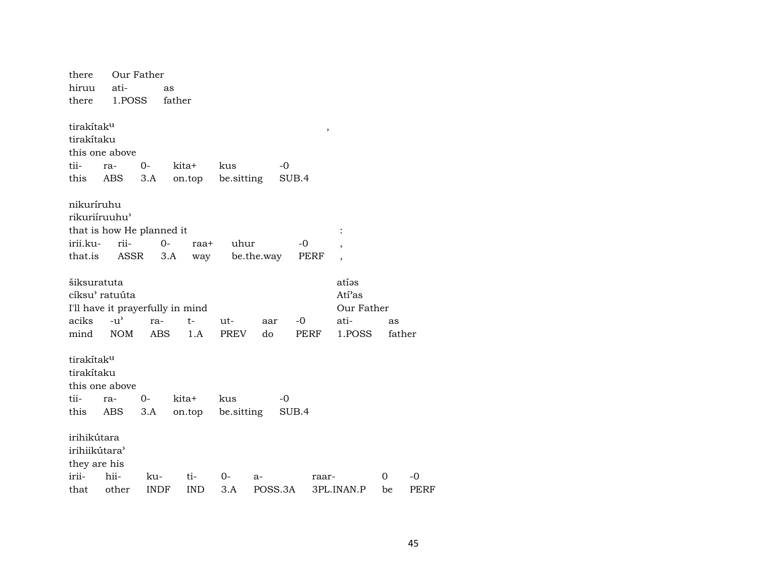| there                  |                           | Our Father  |                                  |             |            |       |                          |        |             |
|------------------------|---------------------------|-------------|----------------------------------|-------------|------------|-------|--------------------------|--------|-------------|
| hiruu                  | ati-                      |             | as                               |             |            |       |                          |        |             |
| there                  | 1.POSS                    |             | father                           |             |            |       |                          |        |             |
|                        |                           |             |                                  |             |            |       |                          |        |             |
| tirakítak <sup>u</sup> |                           |             |                                  |             |            |       | $\, ,$                   |        |             |
| tirakítaku             |                           |             |                                  |             |            |       |                          |        |             |
|                        | this one above            |             |                                  |             |            |       |                          |        |             |
| tii-                   | ra-                       | $0-$        | kita+                            | kus         | $-0$       |       |                          |        |             |
| this                   | ABS                       | 3.A         | on.top                           |             | be.sitting | SUB.4 |                          |        |             |
|                        |                           |             |                                  |             |            |       |                          |        |             |
| nikuríruhu             |                           |             |                                  |             |            |       |                          |        |             |
|                        | rikuriíruuhu'             |             |                                  |             |            |       |                          |        |             |
|                        | that is how He planned it |             |                                  |             |            |       |                          |        |             |
| irii.ku-               | rii-                      | $0-$        | raa+                             | uhur        |            | -0    | ,                        |        |             |
| that.is                |                           | ASSR        | 3.A                              | way         | be.the.way | PERF  | $\overline{\phantom{a}}$ |        |             |
| šiksuratuta            |                           |             |                                  |             |            |       | atías                    |        |             |
|                        | cíksu' ratuúta            |             |                                  |             |            |       | Ati'as                   |        |             |
|                        |                           |             | I'll have it prayerfully in mind |             |            |       | Our Father               |        |             |
| aciks                  | $-u^{\prime}$             | ra-         | $t-$                             | ut-         | aar        | -0    | ati-                     | as     |             |
| mind                   | <b>NOM</b>                | <b>ABS</b>  | 1.A                              | <b>PREV</b> | do         | PERF  | 1.POSS                   | father |             |
|                        |                           |             |                                  |             |            |       |                          |        |             |
| tirakítak <sup>u</sup> |                           |             |                                  |             |            |       |                          |        |             |
| tirakítaku             |                           |             |                                  |             |            |       |                          |        |             |
|                        | this one above            |             |                                  |             |            |       |                          |        |             |
| tii-                   | ra-                       | $0-$        | kita+                            | kus         | $-0$       |       |                          |        |             |
| this                   | ABS                       | 3.A         | on.top                           |             | be sitting | SUB.4 |                          |        |             |
| irihikútara            |                           |             |                                  |             |            |       |                          |        |             |
| irihiikútara'          |                           |             |                                  |             |            |       |                          |        |             |
|                        |                           |             |                                  |             |            |       |                          |        |             |
| they are his<br>irii-  | hii-                      | ku-         | ti-                              | 0-          |            |       |                          | 0      | $-0$        |
| that                   |                           |             |                                  | 3.A         | a-         | raar- |                          |        |             |
|                        | other                     | <b>INDF</b> | <b>IND</b>                       |             | POSS.3A    |       | 3PL.INAN.P               | be     | <b>PERF</b> |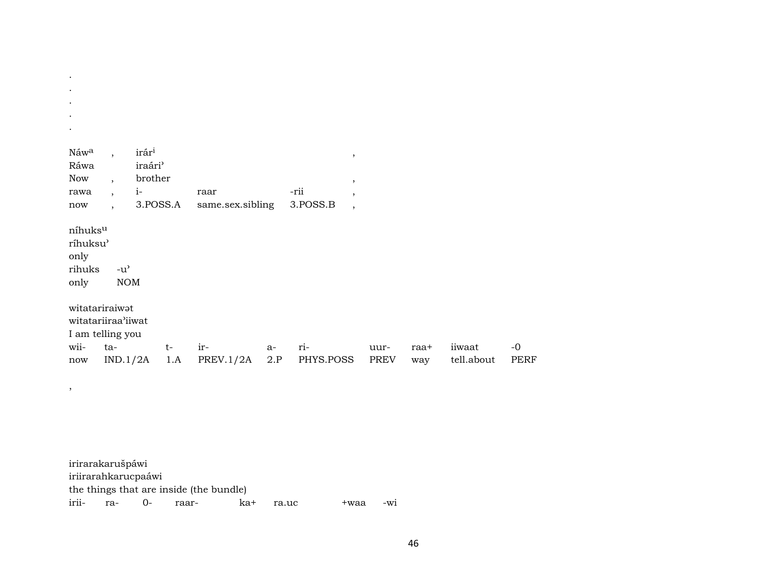| $\bullet$                                                               |                                                                                                    |                                                                         |             |                          |             |                  |                                                                      |                    |      |                      |                     |
|-------------------------------------------------------------------------|----------------------------------------------------------------------------------------------------|-------------------------------------------------------------------------|-------------|--------------------------|-------------|------------------|----------------------------------------------------------------------|--------------------|------|----------------------|---------------------|
| $\bullet$                                                               |                                                                                                    |                                                                         |             |                          |             |                  |                                                                      |                    |      |                      |                     |
| $\bullet$                                                               |                                                                                                    |                                                                         |             |                          |             |                  |                                                                      |                    |      |                      |                     |
| Náw <sup>a</sup><br>Ráwa<br><b>Now</b><br>rawa<br>now                   | $\overline{\phantom{a}}$<br>$\overline{\phantom{a}}$<br>$\overline{ }$<br>$\overline{\phantom{a}}$ | irár <sup>i</sup><br>iraári <sup>3</sup><br>brother<br>$i-$<br>3.POSS.A |             | raar<br>same.sex.sibling |             | -rii<br>3.POSS.B | $\,$<br>$\,$<br>$\overline{\phantom{a}}$<br>$\overline{\phantom{a}}$ |                    |      |                      |                     |
| níhuksu<br>ríhuksu'<br>only<br>rihuks<br>only                           | $-u^{\prime}$<br>$\rm{NOM}$                                                                        |                                                                         |             |                          |             |                  |                                                                      |                    |      |                      |                     |
| witatariraiwat<br>witatariiraa'iiwat<br>I am telling you<br>wii-<br>now | ta-<br>IND.1/2A                                                                                    |                                                                         | $t-$<br>1.A | ir-<br>PREV.1/2A         | $a-$<br>2.P | ri-<br>PHYS.POSS | uur-                                                                 | <b>PREV</b><br>way | raa+ | iiwaat<br>tell.about | $-0$<br><b>PERF</b> |

irirarakarušpáwi iriirarahkarucpaáwi the things that are inside (the bundle) iriira- $0$ raarka+ ra.uc  $+$ waa -wi

 $\mathcal{L}^{\pm}$  $\bullet$ 

 $\overline{\phantom{a}}$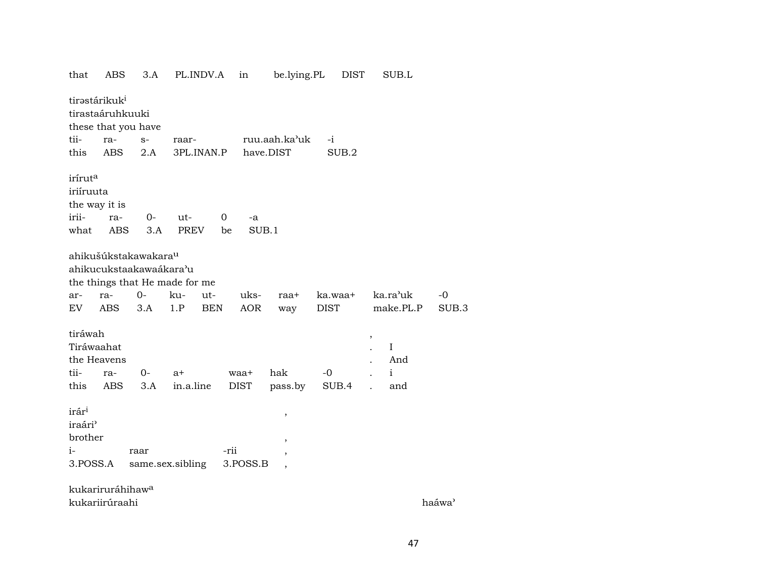| that                                          | ABS                                                      | 3.A                                                                         | PL.INDV.A                                                         | in                 | be.lying.PL              | <b>DIST</b>            | SUB.L                              |               |  |  |  |  |
|-----------------------------------------------|----------------------------------------------------------|-----------------------------------------------------------------------------|-------------------------------------------------------------------|--------------------|--------------------------|------------------------|------------------------------------|---------------|--|--|--|--|
| tirəstárikuk <sup>i</sup><br>tirastaáruhkuuki |                                                          | these that you have                                                         |                                                                   |                    |                          |                        |                                    |               |  |  |  |  |
| tii-                                          |                                                          |                                                                             |                                                                   |                    | ruu.aah.ka'uk            | $-i$                   |                                    |               |  |  |  |  |
| this                                          | ra-<br><b>ABS</b>                                        | $S-$<br>2.A                                                                 | raar-<br>3PL.INAN.P                                               |                    | have.DIST                | SUB.2                  |                                    |               |  |  |  |  |
|                                               |                                                          |                                                                             |                                                                   |                    |                          |                        |                                    |               |  |  |  |  |
| iríruta<br>iriíruuta<br>the way it is         |                                                          |                                                                             |                                                                   |                    |                          |                        |                                    |               |  |  |  |  |
| irii-                                         | ra-                                                      | $0-$                                                                        | ut-                                                               | 0<br>-a            |                          |                        |                                    |               |  |  |  |  |
| what                                          | <b>ABS</b>                                               | 3.A                                                                         | <b>PREV</b>                                                       | be                 | SUB.1                    |                        |                                    |               |  |  |  |  |
| ar-<br>EV                                     | ra-<br><b>ABS</b>                                        | ahikušúkstakawakara <sup>u</sup><br>ahikucukstaakawaákara'u<br>$O -$<br>3.A | the things that He made for me<br>ku-<br>ut-<br>1.P<br><b>BEN</b> | uks-<br><b>AOR</b> | raa+<br>way              | ka.waa+<br><b>DIST</b> | ka.ra'uk<br>make.PL.P              | $-0$<br>SUB.3 |  |  |  |  |
| tiráwah<br>Tiráwaahat<br>the Heavens<br>tii-  | ra-                                                      | 0-                                                                          | $a+$                                                              | waa+               | hak                      | $-0$                   | $\, ,$<br>I<br>And<br>$\mathbf{i}$ |               |  |  |  |  |
| this                                          | <b>ABS</b>                                               | 3.A                                                                         | in.a.line                                                         | <b>DIST</b>        | pass.by                  | SUB.4                  | and                                |               |  |  |  |  |
| irár <sup>i</sup><br>iraári <sup>3</sup>      | $\,$<br>brother<br>,                                     |                                                                             |                                                                   |                    |                          |                        |                                    |               |  |  |  |  |
| $i-$                                          |                                                          | raar                                                                        |                                                                   | -rii               |                          |                        |                                    |               |  |  |  |  |
| 3.POSS.A                                      |                                                          |                                                                             | same.sex.sibling                                                  | 3.POSS.B           | $\overline{\phantom{a}}$ |                        |                                    |               |  |  |  |  |
|                                               | kukariruráhihaw <sup>a</sup><br>kukariirúraahi<br>haáwa' |                                                                             |                                                                   |                    |                          |                        |                                    |               |  |  |  |  |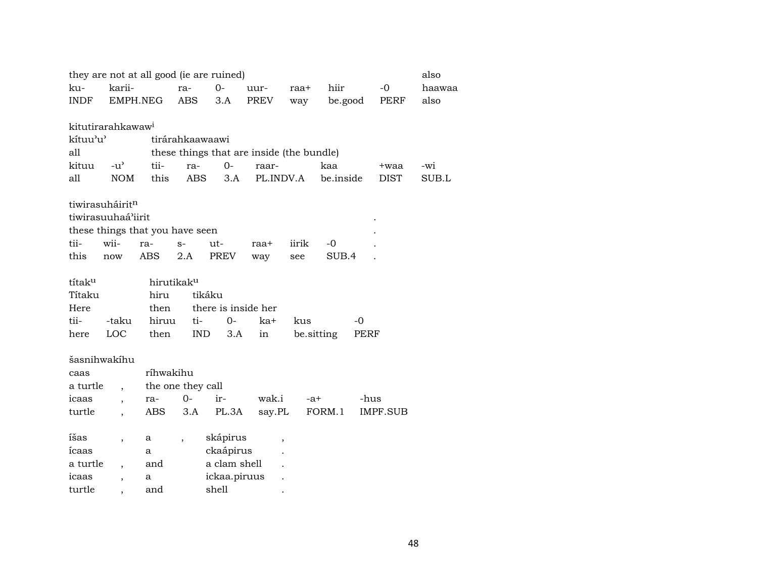|                    |                               | they are not at all good (ie are ruined) |                        |              |                                           |                          |            |      |             | also   |
|--------------------|-------------------------------|------------------------------------------|------------------------|--------------|-------------------------------------------|--------------------------|------------|------|-------------|--------|
| ku-                | karii-                        |                                          | ra-                    | $O -$        | uur-                                      | raa+                     | hiir       |      | $-0$        | haawaa |
| <b>INDF</b>        |                               | EMPH.NEG                                 | <b>ABS</b>             | 3.A          | PREV                                      | way                      | be.good    |      | PERF        | also   |
|                    |                               |                                          |                        |              |                                           |                          |            |      |             |        |
|                    | kitutirarahkawaw <sup>i</sup> |                                          |                        |              |                                           |                          |            |      |             |        |
| kítuu'u'           |                               |                                          | tirárahkaawaawi        |              |                                           |                          |            |      |             |        |
| all                |                               |                                          |                        |              | these things that are inside (the bundle) |                          |            |      |             |        |
| kituu              | $-u^{\prime}$                 | tii-                                     | ra-                    | $0-$         | raar-                                     |                          | kaa        |      | +waa        | -wi    |
| all                | <b>NOM</b>                    | this                                     | ABS                    | 3.A          | PL.INDV.A                                 |                          | be.inside  |      | <b>DIST</b> | SUB.L  |
|                    | tiwirasuháirit <sup>n</sup>   |                                          |                        |              |                                           |                          |            |      |             |        |
|                    | tiwirasuuhaá'iirit            |                                          |                        |              |                                           |                          |            |      |             |        |
|                    |                               | these things that you have seen          |                        |              |                                           |                          |            |      |             |        |
| tii-               | wii-                          | ra-                                      | $S-$                   | ut-          | raa+                                      | iirik                    | -0         |      |             |        |
| this               | now                           | ABS                                      | 2.A                    | PREV         | way                                       | see                      | SUB.4      |      |             |        |
|                    |                               |                                          |                        |              |                                           |                          |            |      |             |        |
| títak <sup>u</sup> |                               |                                          | hirutikak <sup>u</sup> |              |                                           |                          |            |      |             |        |
| Títaku             |                               | hiru                                     |                        | tikáku       |                                           |                          |            |      |             |        |
| Here               |                               | then                                     |                        |              | there is inside her                       |                          |            |      |             |        |
| tii-               | -taku                         | hiruu                                    | ti-                    | $0-$         | ka+                                       | kus                      |            | -0   |             |        |
| here               | LOC                           | then                                     | <b>IND</b>             | 3.A          | in                                        |                          | be.sitting | PERF |             |        |
|                    |                               |                                          |                        |              |                                           |                          |            |      |             |        |
|                    | šasnihwakíhu                  |                                          |                        |              |                                           |                          |            |      |             |        |
| caas               |                               | ríhwakihu                                |                        |              |                                           |                          |            |      |             |        |
| a turtle           | $\overline{\phantom{a}}$      |                                          | the one they call      |              |                                           |                          |            |      |             |        |
| icaas              | $\overline{\phantom{a}}$      | ra-                                      | $0-$                   | ir-          | wak.i                                     | -a+                      |            | -hus |             |        |
| turtle             |                               | <b>ABS</b>                               | 3.A                    | PL.3A        | say.PL                                    |                          | FORM.1     |      | IMPF.SUB    |        |
| íšas               |                               | a                                        |                        | skápirus     |                                           | $\overline{\phantom{a}}$ |            |      |             |        |
| ícaas              |                               | a                                        |                        | ckaápirus    |                                           |                          |            |      |             |        |
| a turtle           |                               | and                                      |                        | a clam shell |                                           |                          |            |      |             |        |
| icaas              |                               | a                                        |                        | ickaa.piruus |                                           |                          |            |      |             |        |
| turtle             |                               | and                                      |                        | shell        |                                           |                          |            |      |             |        |
|                    |                               |                                          |                        |              |                                           |                          |            |      |             |        |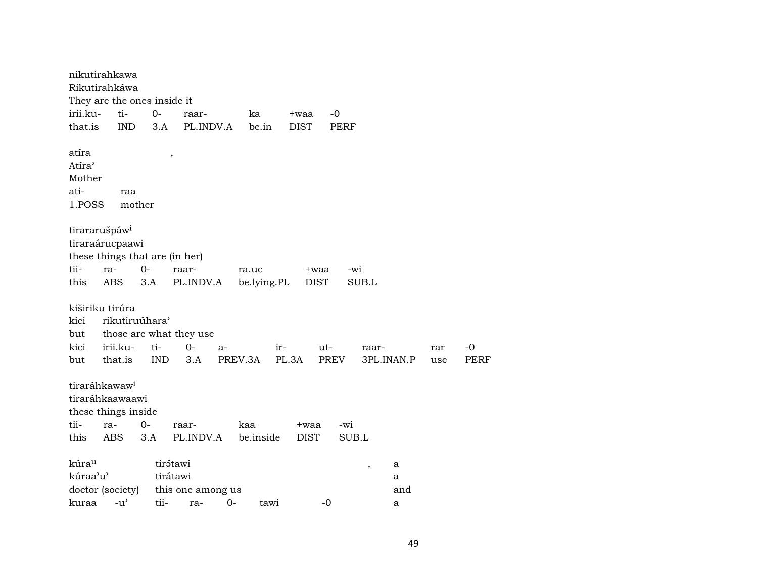nikutirahkawa Rikutirahkáwa They are the ones inside it irii.ku- ti- 0- raar- ka +waa -0 that.is IND 3.A PL.INDV.A be.in DIST PERF atíra , Atíra<sup></sup> Mother ati- raa 1.POSS mother tirararušpáw<sup>i</sup> tiraraárucpaawi these things that are (in her) tii- ra- 0- raar- ra.uc +waa -wi this ABS 3.A PL.INDV.A be.lying.PL DIST SUB.L kiširiku tirúra kici rikutiruúhara" but those are what they use kici irii.ku- ti- 0- a- ir- ut- raar- rar -0 but that.is IND 3.A PREV.3A PL.3A PREV 3PL.INAN.P use PERF tiraráhkawaw<sup>i</sup> tiraráhkaawaawi these things inside tii- ra- 0- raar- kaa +waa -wi this ABS 3.A PL.INDV.A be.inside DIST SUB.L kúraµ tir¿tawi , a kúraa'u' tirátawi sang tahun sahiji désa di kacamatan sahiji désa di kacamatan sahiji désa di kacamatan sahiji doctor (society) this one among us and and kuraa -u" tii- ra- 0- tawi -0 a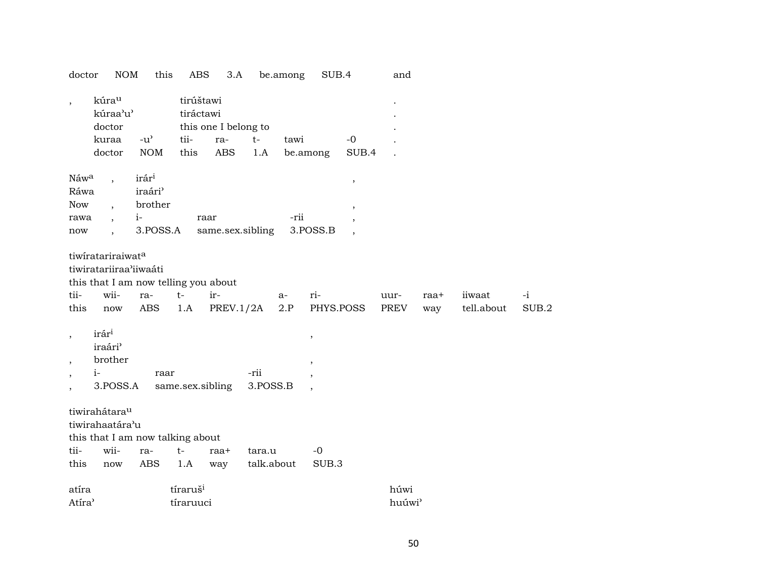| doctor                                                                 | <b>NOM</b>                                                 | this                                                                    | <b>ABS</b>                        | 3.A                  |            | be.among  | SUB.4                                                     |                                    | and                        |             |                      |               |
|------------------------------------------------------------------------|------------------------------------------------------------|-------------------------------------------------------------------------|-----------------------------------|----------------------|------------|-----------|-----------------------------------------------------------|------------------------------------|----------------------------|-------------|----------------------|---------------|
| $\overline{\phantom{a}}$                                               | kúrau<br>kúraa'u'<br>doctor                                |                                                                         | tirúštawi<br>tiráctawi            | this one I belong to |            |           |                                                           |                                    |                            |             |                      |               |
|                                                                        | kuraa                                                      | $-u^{\prime}$                                                           | tii-                              | ra-                  | $t-$       | tawi      |                                                           | $-0$                               |                            |             |                      |               |
|                                                                        | doctor                                                     | $\rm{NOM}$                                                              | this                              | $\operatorname{ABS}$ | 1.A        | be.among  |                                                           | SUB.4                              |                            |             |                      |               |
| Náwa<br>Ráwa<br>Now<br>rawa<br>now                                     | $\overline{\phantom{a}}$<br>$\overline{\phantom{a}}$       | irár <sup>i</sup><br>iraári <sup>3</sup><br>brother<br>$i-$<br>3.POSS.A | raar                              | same.sex.sibling     |            | -rii      | 3.POSS.B                                                  | $\, ,$<br>$\overline{\phantom{a}}$ |                            |             |                      |               |
| tii-<br>this                                                           | tiwiratariraiwata<br>tiwiratariiraa'iiwaáti<br>wii-<br>now | this that I am now telling you about<br>ra-<br>ABS                      | $t-$<br>1.A                       | ir-<br>PREV.1/2A     |            | a-<br>2.P | ri-<br>PHYS.POSS                                          |                                    | uur-<br>PREV               | raa+<br>way | iiwaat<br>tell.about | $-i$<br>SUB.2 |
| $\overline{\phantom{a}}$<br>$\overline{ }$<br>$\overline{\phantom{a}}$ | irár <sup>i</sup><br>iraári <sup></sup><br>brother<br>$i-$ | raar                                                                    |                                   |                      | -rii       |           | $\pmb{\mathcal{I}}$<br>$\, ,$<br>$\overline{\phantom{a}}$ |                                    |                            |             |                      |               |
|                                                                        | 3.POSS.A                                                   |                                                                         | same.sex.sibling                  |                      | 3.POSS.B   |           |                                                           |                                    |                            |             |                      |               |
|                                                                        | tiwirahátara <sup>u</sup><br>tiwirahaatára'u               | this that I am now talking about                                        |                                   |                      |            |           |                                                           |                                    |                            |             |                      |               |
| tii-                                                                   | wii-                                                       | ra-                                                                     | $t-$                              | raa+                 | tara.u     |           | $-0$                                                      |                                    |                            |             |                      |               |
| this                                                                   | now                                                        | ABS                                                                     | 1.A                               | way                  | talk.about |           | SUB.3                                                     |                                    |                            |             |                      |               |
|                                                                        |                                                            |                                                                         |                                   |                      |            |           |                                                           |                                    |                            |             |                      |               |
|                                                                        |                                                            |                                                                         |                                   |                      |            |           |                                                           |                                    |                            |             |                      |               |
| atíra<br>Atíra <sup></sup>                                             |                                                            |                                                                         | tíraruš <sup>i</sup><br>tíraruuci |                      |            |           |                                                           |                                    | húwi<br>huúwi <sup>3</sup> |             |                      |               |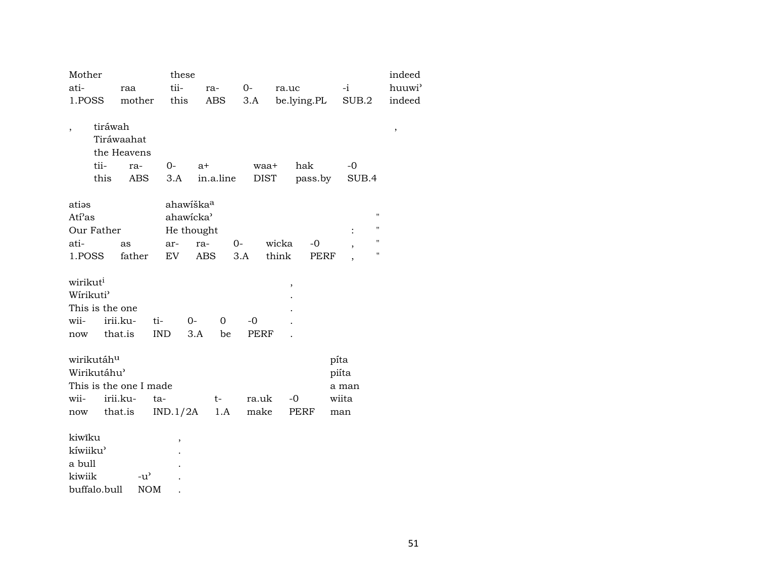|                     | Mother                  |                                   | these                 |                       |           |             |       |             |          | indeed             |
|---------------------|-------------------------|-----------------------------------|-----------------------|-----------------------|-----------|-------------|-------|-------------|----------|--------------------|
| ati-                |                         | raa                               | tii-                  |                       | ra-       | $O-$        | ra.uc |             | $-i$     | huuwi'             |
|                     | 1.POSS                  | mother                            | this                  |                       | ABS       | 3.A         |       | be.lying.PL | SUB.2    | indeed             |
|                     |                         |                                   |                       |                       |           |             |       |             |          |                    |
| $\overline{ }$      | tiráwah                 |                                   |                       |                       |           |             |       |             |          | $\, ,$             |
|                     |                         | Tiráwaahat                        |                       |                       |           |             |       |             |          |                    |
|                     |                         | the Heavens                       |                       |                       |           |             |       |             |          |                    |
|                     | tii-                    | ra-                               | $O-$                  | $a+$                  |           | waa+        |       | hak         | $-0$     |                    |
|                     | this                    | ABS                               | 3.A                   |                       | in.a.line | <b>DIST</b> |       | pass.by     | SUB.4    |                    |
| atios               |                         |                                   |                       | ahawiška <sup>a</sup> |           |             |       |             |          |                    |
| Atí <sup>2</sup> as |                         |                                   |                       | ahawicka'             |           |             |       |             |          | $\pmb{\mathsf{H}}$ |
|                     | Our Father              |                                   |                       | He thought            |           |             |       |             | $\vdots$ | $\mathbf{H}$       |
| ati-                |                         | as                                | ar-                   | ra-                   |           | $O-$        | wicka | $-0$        |          | $\pmb{\mathsf{H}}$ |
|                     | 1.POSS                  | father                            | EV                    | ABS                   |           | 3.A         | think | PERF        |          | $\pmb{\mathsf{H}}$ |
|                     |                         |                                   |                       |                       |           |             |       |             |          |                    |
|                     | wirikut <sup>i</sup>    |                                   |                       |                       |           |             |       | ,           |          |                    |
|                     | Wírikuti <sup>3</sup>   |                                   |                       |                       |           |             |       |             |          |                    |
|                     | This is the one         |                                   |                       |                       |           |             |       |             |          |                    |
| wii-                |                         | irii.ku-                          | ti-                   | $O-$                  | $\Omega$  | $-0$        |       |             |          |                    |
| now                 |                         | that.is                           | $\mathbf{IND}\xspace$ | 3.A                   | be        | PERF        |       |             |          |                    |
|                     |                         |                                   |                       |                       |           |             |       |             |          |                    |
|                     | wirikutáhu              |                                   |                       |                       |           |             |       |             | píta     |                    |
|                     | Wirikutáhu <sup>3</sup> |                                   |                       |                       |           |             |       |             | piíta    |                    |
|                     |                         | This is the one I made            |                       |                       |           |             |       |             | a man    |                    |
| wii-                |                         | irii.ku-                          | ta-                   |                       | $t-$      | ra.uk       |       | $-0$        | wiita    |                    |
| now                 |                         | that.is                           | IND.1/2A              |                       | 1.A       | make        |       | PERF        | man      |                    |
|                     | kiwiku                  |                                   |                       |                       |           |             |       |             |          |                    |
|                     | kíwiiku'                |                                   | ,                     |                       |           |             |       |             |          |                    |
|                     | a bull                  |                                   |                       |                       |           |             |       |             |          |                    |
|                     | kiwiik                  | $-u$ <sup><math>\sim</math></sup> |                       |                       |           |             |       |             |          |                    |
|                     |                         |                                   |                       |                       |           |             |       |             |          |                    |

buffalo.bull

NOM .

 $51$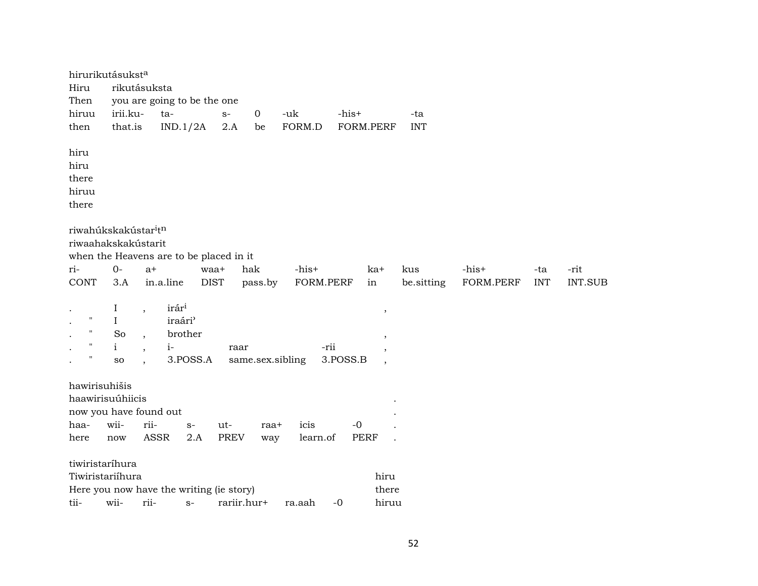| Hiru<br>Then<br>hiruu                   | hirurikutásuksta<br>rikutásuksta<br>irii.ku- | you are going to be the one<br>ta-                       | $\mathbf 0$<br>$S-$    | -uk              | -his+                    | -ta        |           |            |         |
|-----------------------------------------|----------------------------------------------|----------------------------------------------------------|------------------------|------------------|--------------------------|------------|-----------|------------|---------|
| then                                    | that.is                                      | IND.1/2A                                                 | 2.A<br>be              | FORM.D           | FORM.PERF                | <b>INT</b> |           |            |         |
| hiru<br>hiru<br>there<br>hiruu<br>there |                                              |                                                          |                        |                  |                          |            |           |            |         |
|                                         | riwahúkskakústar <sup>i</sup> t <sup>n</sup> |                                                          |                        |                  |                          |            |           |            |         |
|                                         | riwaahakskakústarit                          |                                                          |                        |                  |                          |            |           |            |         |
| ri-                                     | $O -$                                        | when the Heavens are to be placed in it<br>$a+$          | hak<br>waa+            | -his+            | ka+                      | kus        | -his+     | -ta        | -rit    |
| CONT                                    | 3.A                                          | in.a.line                                                | <b>DIST</b><br>pass.by | FORM.PERF        | in                       | be.sitting | FORM.PERF | <b>INT</b> | INT.SUB |
|                                         |                                              |                                                          |                        |                  |                          |            |           |            |         |
|                                         | $\bf{I}$                                     | irári<br>$\overline{\phantom{a}}$                        |                        |                  | $\, ,$                   |            |           |            |         |
| $\blacksquare$<br>$\pmb{\mathsf{H}}$    | $\rm I$                                      | iraári <sup>3</sup>                                      |                        |                  |                          |            |           |            |         |
| $\pmb{\mathsf{H}}$                      | So<br>$\overline{ }$                         | brother                                                  |                        |                  | $\overline{\phantom{a}}$ |            |           |            |         |
| $^{\prime}$                             | $\mathbf{i}$<br>SO                           | $i-$<br>3.POSS.A                                         | raar                   | same.sex.sibling | -rii<br>3.POSS.B         |            |           |            |         |
|                                         |                                              |                                                          |                        |                  | $\overline{\phantom{a}}$ |            |           |            |         |
| hawirisuhišis                           | haawirisuúhiicis<br>now you have found out   |                                                          |                        |                  |                          |            |           |            |         |
| haa-                                    | wii-                                         | rii-<br>$S-$                                             | ut-                    | icis<br>raa+     | $-0$                     |            |           |            |         |
| here                                    | now                                          | ASSR<br>2.A                                              | <b>PREV</b>            | way<br>learn.of  | <b>PERF</b>              |            |           |            |         |
|                                         |                                              |                                                          |                        |                  |                          |            |           |            |         |
| tiwiristaríhura                         |                                              |                                                          |                        |                  |                          |            |           |            |         |
| Tiwiristariíhura                        |                                              |                                                          |                        |                  | hiru                     |            |           |            |         |
| tii-                                    | wii-                                         | Here you now have the writing (ie story)<br>rii-<br>$S-$ | rariir.hur+            | ra.aah           | there<br>$-0$<br>hiruu   |            |           |            |         |
|                                         |                                              |                                                          |                        |                  |                          |            |           |            |         |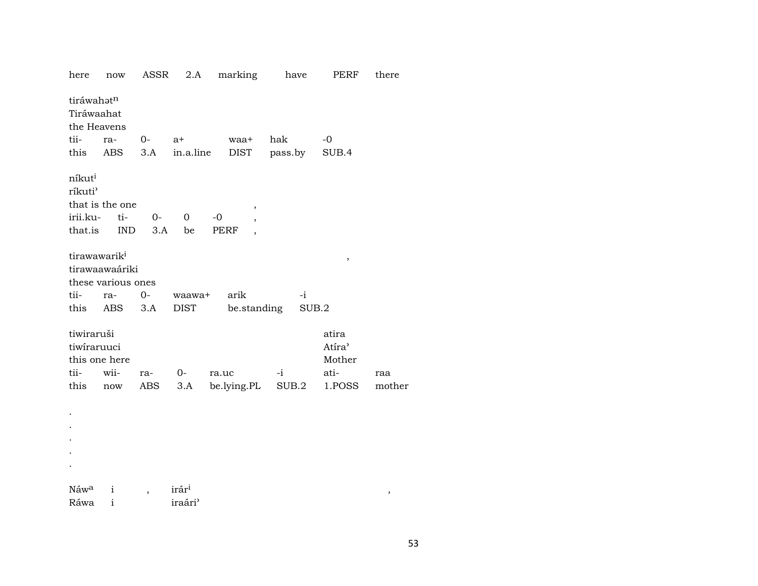| here                                                            | now                                                | ASSR                     | 2.A                         | marking                                     | have           | PERF                                                   | there         |
|-----------------------------------------------------------------|----------------------------------------------------|--------------------------|-----------------------------|---------------------------------------------|----------------|--------------------------------------------------------|---------------|
| tiráwahatn<br>Tiráwaahat<br>the Heavens<br>tii-                 | ra-<br>this ABS                                    | $0-$<br>3.A              | $a+$<br>in.a.line           | waa+<br><b>DIST</b>                         | hak<br>pass.by | $-0$<br>SUB.4                                          |               |
| níkut <sup>i</sup><br>ríkuti <sup></sup><br>irii.ku-<br>that.is | that is the one<br>ti-<br><b>IND</b>               | $0-$<br>3.A              | $\overline{0}$<br>be        | ,<br>-0<br>$\overline{\phantom{a}}$<br>PERF |                |                                                        |               |
| tirawawarik <sup>i</sup><br>tii-<br>this                        | tirawaawaáriki<br>these various ones<br>ra-<br>ABS | $0-$<br>3.A              | waawa+<br><b>DIST</b>       | arik<br>be.standing                         | $-i$<br>SUB.2  | $\,$                                                   |               |
| tiwiraruši<br>tiwiraruuci<br>tii-<br>this                       | this one here<br>wii-<br>now                       | ra-<br>ABS               | $0-$<br>3.A                 | ra.uc<br>be.lying.PL                        | $-i$<br>SUB.2  | atira<br>Atíra <sup></sup><br>Mother<br>ati-<br>1.POSS | raa<br>mother |
|                                                                 |                                                    |                          |                             |                                             |                |                                                        |               |
| Náwa<br>Ráwa                                                    | $\mathbf{i}$<br>i                                  | $\overline{\phantom{a}}$ | irári<br>iraári <sup></sup> |                                             |                |                                                        | ,             |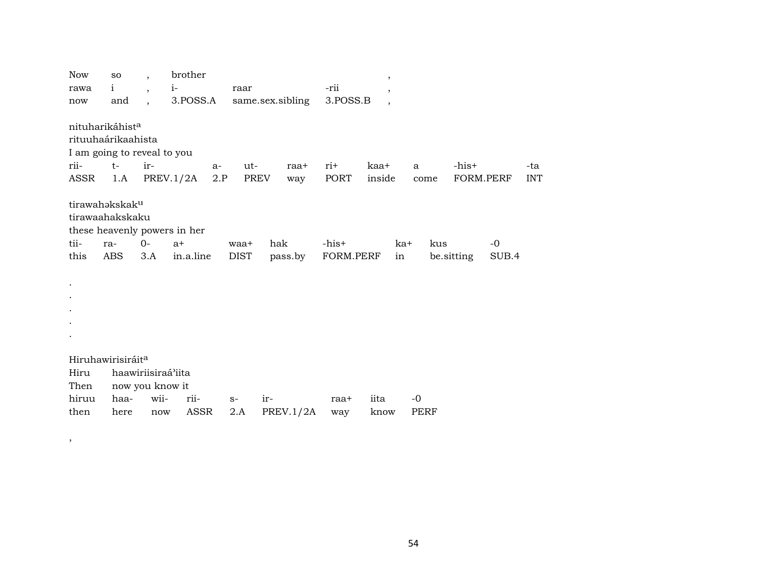| <b>Now</b>                    | SO           |                          | brother     |             |                  |           | $\,$                     |      |                     |            |
|-------------------------------|--------------|--------------------------|-------------|-------------|------------------|-----------|--------------------------|------|---------------------|------------|
| rawa                          | $\mathbf{i}$ | $\overline{\phantom{a}}$ | $i-$        | raar        |                  | -rii      | $\overline{\phantom{a}}$ |      |                     |            |
| now                           | and          | $\cdot$                  | 3.POSS.A    |             | same.sex.sibling | 3.POSS.B  | $\overline{ }$           |      |                     |            |
|                               |              |                          |             |             |                  |           |                          |      |                     |            |
| nituharikáhist <sup>a</sup>   |              |                          |             |             |                  |           |                          |      |                     |            |
| rituuhaárikaahista            |              |                          |             |             |                  |           |                          |      |                     |            |
| I am going to reveal to you   |              |                          |             |             |                  |           |                          |      |                     |            |
| rii-                          | $t-$         | ir-                      | $a-$        | ut-         | raa+             | $ri+$     | kaa+                     | a    | -his+               | -ta        |
| ASSR                          | 1.A          | PREV.1/2A                | 2.P         |             | PREV<br>way      | PORT      | inside                   | come | FORM.PERF           | <b>INT</b> |
|                               |              |                          |             |             |                  |           |                          |      |                     |            |
| tirawahəkskak <sup>u</sup>    |              |                          |             |             |                  |           |                          |      |                     |            |
| tirawaahakskaku               |              |                          |             |             |                  |           |                          |      |                     |            |
| these heavenly powers in her  |              |                          |             |             |                  |           |                          |      |                     |            |
| tii-                          | ra-          | $0 -$                    | $a+$        | waa+        | hak              | -his+     | ka+                      | kus  | $-0$                |            |
| this                          | <b>ABS</b>   | 3.A                      | in.a.line   | <b>DIST</b> | pass.by          | FORM.PERF | in                       |      | SUB.4<br>be.sitting |            |
|                               |              |                          |             |             |                  |           |                          |      |                     |            |
|                               |              |                          |             |             |                  |           |                          |      |                     |            |
|                               |              |                          |             |             |                  |           |                          |      |                     |            |
|                               |              |                          |             |             |                  |           |                          |      |                     |            |
|                               |              |                          |             |             |                  |           |                          |      |                     |            |
|                               |              |                          |             |             |                  |           |                          |      |                     |            |
| Hiruhawirisiráit <sup>a</sup> |              |                          |             |             |                  |           |                          |      |                     |            |
| Hiru                          |              | haawiriisiraá'iita       |             |             |                  |           |                          |      |                     |            |
|                               |              |                          |             |             |                  |           |                          |      |                     |            |
| Then                          |              | now you know it          |             |             |                  |           |                          | $-0$ |                     |            |
| hiruu                         | haa-         | wii-                     | rii-        | $S-$        | ir-              | raa+      | iita                     |      |                     |            |
| then                          | here         | now                      | <b>ASSR</b> | 2.A         | PREV.1/2A        | way       | know                     | PERF |                     |            |

 $\overline{\phantom{a}}$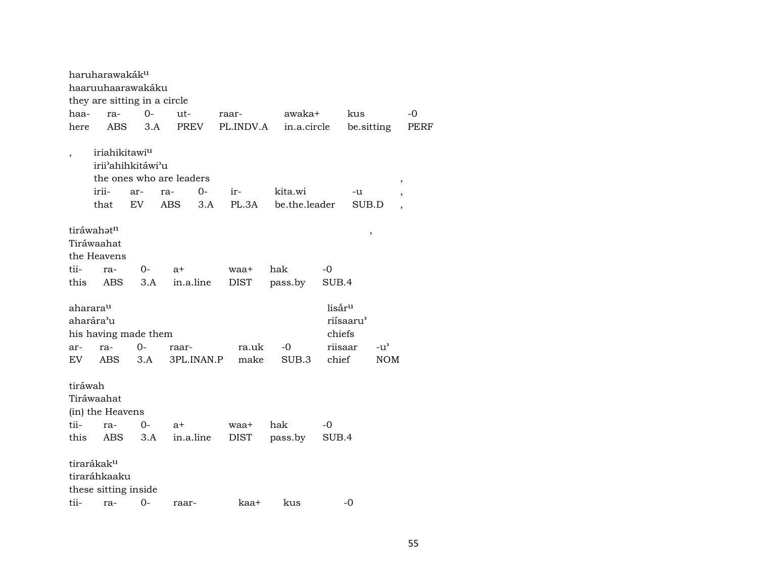|                         | haruharawakáku                                                 |           |                                          |                     |                |                                                                  |               |             |
|-------------------------|----------------------------------------------------------------|-----------|------------------------------------------|---------------------|----------------|------------------------------------------------------------------|---------------|-------------|
|                         | haaruuhaarawakáku                                              |           |                                          |                     |                |                                                                  |               |             |
|                         | they are sitting in a circle                                   |           |                                          |                     |                |                                                                  |               |             |
| haa-                    | ra-                                                            | $0-$      | ut-                                      | raar-               | awaka+         | kus                                                              |               | $-0$        |
| here                    | <b>ABS</b>                                                     | 3.A       | <b>PREV</b>                              | PL.INDV.A           | in.a.circle    |                                                                  | be.sitting    | <b>PERF</b> |
|                         | iriahikitawi <sup>u</sup><br>irii'ahihkitáwi'u<br>irii-        | ar-       | the ones who are leaders<br>$O -$<br>ra- | ir-                 | kita.wi        | -u                                                               | ,             |             |
|                         | that                                                           | EV        | ABS<br>3.A                               | PL.3A               | be.the.leader  |                                                                  | SUB.D         |             |
| tii-<br>this            | tiráwahatn<br>Tiráwaahat<br>the Heavens<br>ra-<br>ABS          | 0-<br>3.A | $a+$<br>in.a.line                        | waa+<br>DIST        | hak<br>pass.by | -0<br>SUB.4                                                      | $\,$          |             |
| ahararau<br>ar-         | aharára'u<br>his having made them<br>ra-                       | $O -$     | raar-                                    | ra.uk               | -0             | lisår <sup>u</sup><br>riísaaru <sup>3</sup><br>chiefs<br>riisaar | $-u^{\prime}$ |             |
| EV.                     | ABS                                                            | 3.A       | 3PL.INAN.P                               | make                | SUB.3          | chief                                                            | NOM           |             |
| tiráwah<br>tii-<br>this | Tiráwaahat<br>(in) the Heavens<br>ra-<br><b>ABS</b>            | 0-<br>3.A | a+<br>in.a.line                          | waa+<br><b>DIST</b> | hak<br>pass.by | -0<br>SUB.4                                                      |               |             |
|                         | tirarákak <sup>u</sup><br>tiraráhkaaku<br>these sitting inside |           |                                          |                     |                |                                                                  |               |             |
| tii-                    | ra-                                                            | $0-$      | raar-                                    | kaa+                | kus            | -0                                                               |               |             |
|                         |                                                                |           |                                          |                     |                |                                                                  |               |             |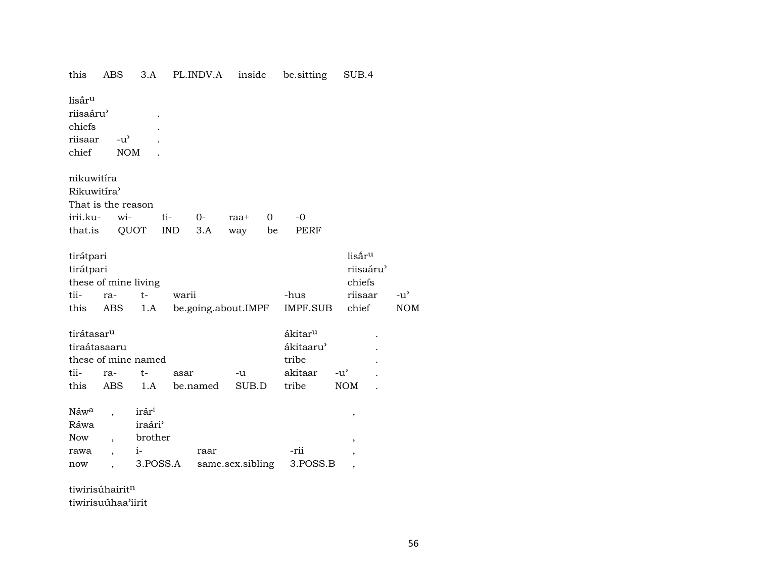| this                                                   | ABS                                | 3.A                                                         |                   | PL.INDV.A   | inside              |                | be.sitting                                                    |               | SUB.4                                                         |                   |
|--------------------------------------------------------|------------------------------------|-------------------------------------------------------------|-------------------|-------------|---------------------|----------------|---------------------------------------------------------------|---------------|---------------------------------------------------------------|-------------------|
| lisår <sup>u</sup><br>riisaáru'                        |                                    |                                                             |                   |             |                     |                |                                                               |               |                                                               |                   |
| chiefs                                                 |                                    |                                                             |                   |             |                     |                |                                                               |               |                                                               |                   |
| riisaar                                                | $-u^{\prime}$                      |                                                             |                   |             |                     |                |                                                               |               |                                                               |                   |
| chief                                                  | <b>NOM</b>                         |                                                             |                   |             |                     |                |                                                               |               |                                                               |                   |
| nikuwitíra<br>Rikuwitíra'<br>irii.ku-<br>that.is       | That is the reason<br>wi-          | QUOT                                                        | ti-<br><b>IND</b> | $0-$<br>3.A | raa+<br>way         | $\Omega$<br>be | $-0$<br>PERF                                                  |               |                                                               |                   |
| tirátpari<br>tirátpari<br>tii-<br>this                 | these of mine living<br>ra-<br>ABS | $t-$<br>1.A                                                 | warii             |             | be.going.about.IMPF |                | -hus<br>IMPF.SUB                                              |               | lisår <sup>u</sup><br>riisaáru'<br>chiefs<br>riisaar<br>chief | -u'<br><b>NOM</b> |
| tirátasar <sup>u</sup><br>tiraátasaaru<br>tii-<br>this | these of mine named<br>ra-<br>ABS  | t-<br>1.A                                                   | asar              | be.named    | -u<br>SUB.D         |                | ákitar <sup>u</sup><br>ákitaaru'<br>tribe<br>akitaar<br>tribe | $-u^{\prime}$ | <b>NOM</b>                                                    |                   |
| Náwa<br>Ráwa<br><b>Now</b><br>rawa<br>now              |                                    | irár <sup>i</sup><br>iraári <sup>3</sup><br>brother<br>$i-$ | 3.POSS.A          | raar        | same.sex.sibling    |                | -rii<br>3.POSS.B                                              |               | $\, ,$<br>,<br>$\overline{\phantom{a}}$<br>$\overline{ }$     |                   |

tiwirisúhairit $^n$ tiwirisuúhaa"iirit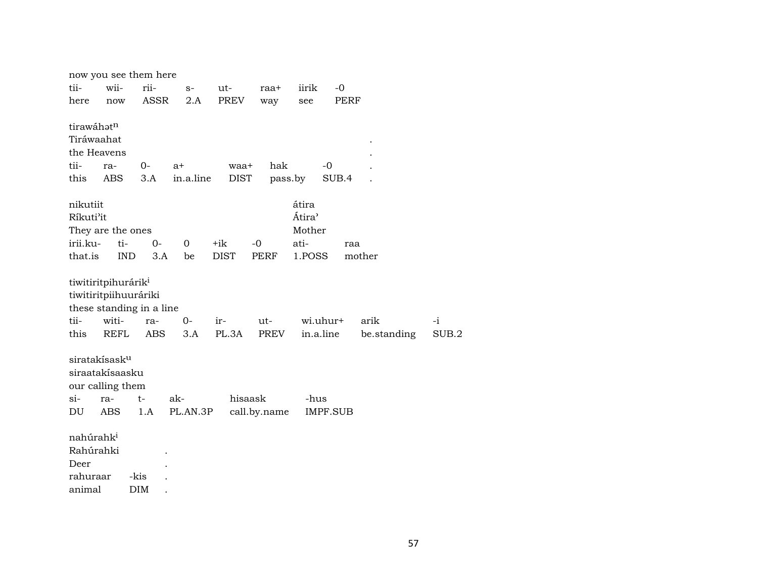|                        | now you see them here           |       |           |              |              |                   |             |             |
|------------------------|---------------------------------|-------|-----------|--------------|--------------|-------------------|-------------|-------------|
| tii-                   | wii-                            | rii-  | $S-$      | ut-          | raa+         | iirik             | $-0$        |             |
| here                   | now                             | ASSR  | 2.A       | <b>PREV</b>  | way          | see               | <b>PERF</b> |             |
|                        |                                 |       |           |              |              |                   |             |             |
| tirawáhat <sup>n</sup> |                                 |       |           |              |              |                   |             |             |
| Tiráwaahat             |                                 |       |           |              |              |                   |             |             |
| the Heavens            |                                 |       |           |              |              |                   |             |             |
| tii-                   | ra-                             | $0-$  | $a+$      | waa+         | hak          |                   | $-0$        |             |
| this                   | ABS                             | 3.A   | in.a.line | ${\rm DIST}$ |              | pass.by           | SUB.4       |             |
|                        |                                 |       |           |              |              |                   |             |             |
| nikutiit               |                                 |       |           |              |              | átira             |             |             |
| Ríkuti'it              |                                 |       |           |              |              | Átira <sup></sup> |             |             |
|                        | They are the ones               |       |           |              |              | Mother            |             |             |
| irii.ku-               | ti-                             | $0 -$ | 0         | $+ik$        | $-0$         | ati-              | raa         |             |
| that.is                | <b>IND</b>                      | 3.A   | be        | <b>DIST</b>  | PERF         | 1.POSS            |             | mother      |
|                        |                                 |       |           |              |              |                   |             |             |
|                        | tiwitiritpihurárik <sup>i</sup> |       |           |              |              |                   |             |             |
|                        | tiwitiritpiihuuráriki           |       |           |              |              |                   |             |             |
|                        | these standing in a line        |       |           |              |              |                   |             |             |
| tii-                   | witi-                           | ra-   | $0-$      | ir-          | $ut-$        | wi.uhur+          |             | arik        |
| this                   | REFL                            | ABS.  | 3.A       | PL.3A        | PREV         | in.a.line         |             | be.standing |
|                        |                                 |       |           |              |              |                   |             |             |
|                        | siratakísask <sup>u</sup>       |       |           |              |              |                   |             |             |
|                        | siraatakísaasku                 |       |           |              |              |                   |             |             |
|                        | our calling them                |       |           |              |              |                   |             |             |
| $\sin$                 | ra-                             | t-    | ak-       |              | hisaask      | -hus              |             |             |
| DU                     | ABS                             | 1.A   | PL.AN.3P  |              | call.by.name |                   | IMPF.SUB    |             |
|                        |                                 |       |           |              |              |                   |             |             |
| nahúrahk <sup>i</sup>  |                                 |       |           |              |              |                   |             |             |
| Rahúrahki              |                                 |       |           |              |              |                   |             |             |
| Deer                   |                                 |       |           |              |              |                   |             |             |
| rahuraar               |                                 | -kis  |           |              |              |                   |             |             |
| animal                 |                                 | DIM   |           |              |              |                   |             |             |

 $-i$  $SUB.2$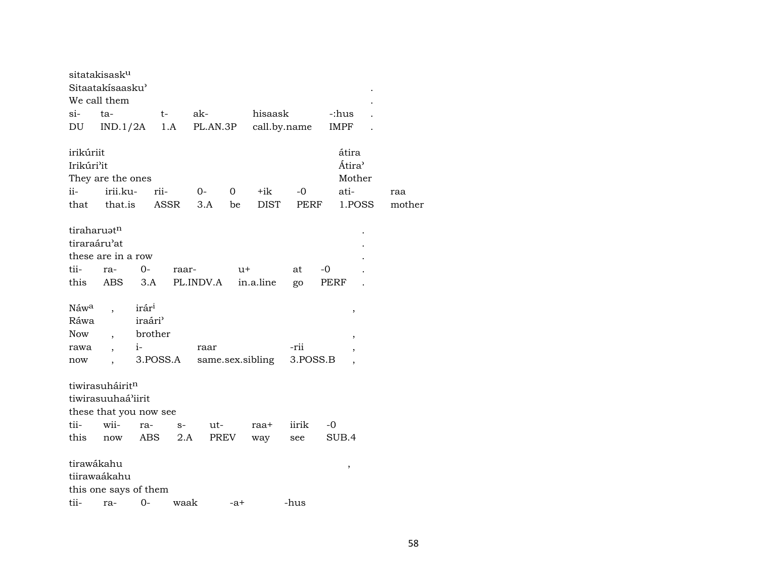|                  | sitatakisask <sup>u</sup> |                     |       |           |       |                  |          |      |                          |        |
|------------------|---------------------------|---------------------|-------|-----------|-------|------------------|----------|------|--------------------------|--------|
|                  | Sitaatakísaasku'          |                     |       |           |       |                  |          |      |                          |        |
|                  | We call them              |                     |       |           |       |                  |          |      |                          |        |
| $\sin$           | ta-                       |                     | $t-$  | ak-       |       | hisaask          |          |      | -:hus                    |        |
| DU               | IND.1/2A                  |                     | 1.A   | PL.AN.3P  |       | call.by.name     |          |      | IMPF                     |        |
|                  |                           |                     |       |           |       |                  |          |      |                          |        |
| irikúriit        |                           |                     |       |           |       |                  |          |      | átira                    |        |
| Irikúri'it       |                           |                     |       |           |       |                  |          |      | Átira <sup></sup>        |        |
|                  | They are the ones         |                     |       |           |       |                  |          |      | Mother                   |        |
| ii-              | irii.ku-                  | rii-                |       | $0-$      | 0     | $+ik$            | $-0$     |      | ati-                     | raa    |
| that             | that.is                   |                     | ASSR  | 3.A       | be    | <b>DIST</b>      | PERF     |      | 1.POSS                   | mother |
|                  |                           |                     |       |           |       |                  |          |      |                          |        |
| tiraharuatn      |                           |                     |       |           |       |                  |          |      |                          |        |
| tiraraáru'at     |                           |                     |       |           |       |                  |          |      |                          |        |
|                  | these are in a row        |                     |       |           |       |                  |          |      |                          |        |
|                  |                           |                     |       |           |       |                  |          |      |                          |        |
| tii-             | ra-                       | $0-$                | raar- |           | u+    |                  | at       | -0   |                          |        |
| this             | ABS                       | 3.A                 |       | PL.INDV.A |       | in.a.line        | go       | PERF |                          |        |
|                  |                           |                     |       |           |       |                  |          |      |                          |        |
| Náw <sup>a</sup> |                           | irár <sup>i</sup>   |       |           |       |                  |          |      | $\, ,$                   |        |
| Ráwa             |                           | iraári <sup>3</sup> |       |           |       |                  |          |      |                          |        |
| Now              |                           | brother             |       |           |       |                  |          |      | $\overline{\phantom{a}}$ |        |
| rawa             | $\ddot{\phantom{0}}$      | $i-$                |       | raar      |       |                  | -rii     |      |                          |        |
| now              |                           | 3.POSS.A            |       |           |       | same.sex.sibling | 3.POSS.B |      |                          |        |
|                  |                           |                     |       |           |       |                  |          |      |                          |        |
|                  | tiwirasuháiritn           |                     |       |           |       |                  |          |      |                          |        |
|                  | tiwirasuuhaá'iirit        |                     |       |           |       |                  |          |      |                          |        |
|                  | these that you now see    |                     |       |           |       |                  |          |      |                          |        |
| tii-             | wii-                      | ra-                 | $S-$  | ut-       |       | raa+             | iirik    | -0   |                          |        |
| this             | now                       | ABS                 | 2.A   | PREV      |       | way              | see      |      | SUB.4                    |        |
|                  |                           |                     |       |           |       |                  |          |      |                          |        |
| tirawákahu       |                           |                     |       |           |       |                  |          |      | ,                        |        |
|                  | tiirawaákahu              |                     |       |           |       |                  |          |      |                          |        |
|                  | this one says of them     |                     |       |           |       |                  |          |      |                          |        |
|                  | tii- ra- 0- waak          |                     |       |           | $-a+$ |                  | -hus     |      |                          |        |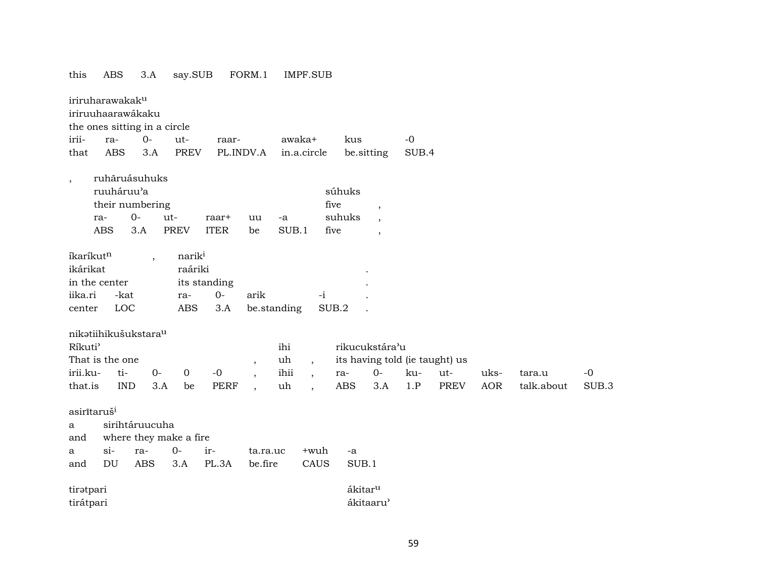## this ABS 3.A say.SUB FORM.1 IMPF.SUB

|                          | iriruharawakak <sup>u</sup><br>iriruuhaarawákaku<br>the ones sitting in a circle |            |                |                        |              |                          |       |                      |            |                          |       |                                |            |            |       |
|--------------------------|----------------------------------------------------------------------------------|------------|----------------|------------------------|--------------|--------------------------|-------|----------------------|------------|--------------------------|-------|--------------------------------|------------|------------|-------|
| irii-                    | ra-                                                                              | $0-$       |                | ut-                    | raar-        |                          |       | awaka+               | kus        |                          | $-0$  |                                |            |            |       |
| that                     | <b>ABS</b>                                                                       |            | 3.A            | <b>PREV</b>            | PL.INDV.A    |                          |       | in.a.circle          |            | be.sitting               | SUB.4 |                                |            |            |       |
| $\overline{\phantom{a}}$ | ruhāruásuhuks                                                                    |            |                |                        |              |                          |       |                      |            |                          |       |                                |            |            |       |
|                          | ruuháruu'a                                                                       |            |                |                        |              |                          |       |                      | súhuks     |                          |       |                                |            |            |       |
|                          | their numbering                                                                  |            |                |                        |              |                          |       |                      | five       | $\, ,$                   |       |                                |            |            |       |
|                          | ra-                                                                              | $0-$       |                | ut-                    | raar+        | uu                       | -a    |                      | suhuks     | $\overline{\phantom{a}}$ |       |                                |            |            |       |
|                          | <b>ABS</b>                                                                       | 3.A        |                | <b>PREV</b>            | <b>ITER</b>  | be                       | SUB.1 |                      | five       | $\cdot$                  |       |                                |            |            |       |
| íkaríkut <sup>n</sup>    |                                                                                  |            | $\cdot$        | narik <sup>i</sup>     |              |                          |       |                      |            |                          |       |                                |            |            |       |
| ikárikat                 |                                                                                  |            |                | raáriki                |              |                          |       |                      |            |                          |       |                                |            |            |       |
|                          | in the center                                                                    |            |                |                        | its standing |                          |       |                      |            |                          |       |                                |            |            |       |
| iika.ri                  | -kat                                                                             |            |                | ra-                    | $O -$        | arik                     |       | $-i$                 |            |                          |       |                                |            |            |       |
| center                   | LOC                                                                              |            |                | <b>ABS</b>             | 3.A          | be.standing              |       |                      | SUB.2      |                          |       |                                |            |            |       |
|                          | nikatiihikušukstarau                                                             |            |                |                        |              |                          |       |                      |            |                          |       |                                |            |            |       |
| Ríkuti <sup>3</sup>      |                                                                                  |            |                |                        |              |                          | ihi   |                      |            | rikucukstára'u           |       |                                |            |            |       |
|                          | That is the one                                                                  |            |                |                        |              | $\,$                     | uh    | $\cdot$              |            |                          |       | its having told (ie taught) us |            |            |       |
| irii.ku-                 | ti-                                                                              |            | $0-$           | 0                      | $-0$         | $\overline{\phantom{a}}$ | ihii  | $\cdot$              | ra-        | $0-$                     | ku-   | $ut-$                          | uks-       | tara.u     | $-0$  |
| that.is                  |                                                                                  | <b>IND</b> | 3.A            | be                     | <b>PERF</b>  | $\overline{\phantom{a}}$ | uh    | $\ddot{\phantom{0}}$ | <b>ABS</b> | 3.A                      | 1.P   | <b>PREV</b>                    | <b>AOR</b> | talk.about | SUB.3 |
| asirītaruš <sup>i</sup>  |                                                                                  |            |                |                        |              |                          |       |                      |            |                          |       |                                |            |            |       |
| a                        |                                                                                  |            | sirihtáruucuha |                        |              |                          |       |                      |            |                          |       |                                |            |            |       |
| and                      |                                                                                  |            |                | where they make a fire |              |                          |       |                      |            |                          |       |                                |            |            |       |
| a                        | $si-$                                                                            | ra-        |                | $0-$                   | ir-          | ta.ra.uc                 |       | +wuh                 | -a         |                          |       |                                |            |            |       |
| and                      | DU                                                                               | <b>ABS</b> |                | 3.A                    | PL.3A        | be.fire                  |       | CAUS                 | SUB.1      |                          |       |                                |            |            |       |
| tiratpari                |                                                                                  |            |                |                        |              |                          |       |                      |            | ákitar <sup>u</sup>      |       |                                |            |            |       |
| tirátpari                |                                                                                  |            |                |                        |              |                          |       |                      |            | ákitaaru'                |       |                                |            |            |       |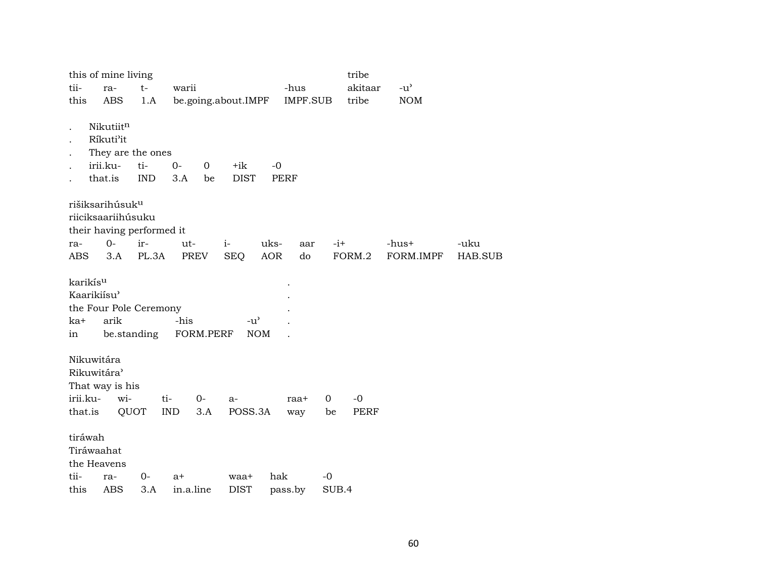| tii-<br>akitaar<br>$t-$<br>warii<br>-hus<br>$-u^{\prime}$<br>ra-<br>this<br><b>ABS</b><br>be.going.about.IMPF<br>IMPF.SUB<br>tribe<br><b>NOM</b><br>1.A<br>Nikutiitn<br>Ríkuti'it<br>They are the ones<br>irii.ku-<br>ti-<br>$+ik$<br>$0 -$<br>$\mathbf 0$<br>$-0$<br><b>DIST</b><br>that.is<br><b>IND</b><br>3.A<br><b>PERF</b><br>be<br>rišiksarihúsuk <sup>u</sup><br>riiciksaariihúsuku<br>their having performed it<br>$0-$<br>ir-<br>ut-<br>uks-<br>-hus+<br>-uku<br>$i-$<br>$-i+$<br>ra-<br>aar<br><b>ABS</b><br>3.A<br>PL.3A<br>PREV<br><b>SEQ</b><br>AOR<br>FORM.2<br>FORM.IMPF<br>HAB.SUB<br>do<br>karikís <sup>u</sup><br>Kaarikiísu'<br>the Four Pole Ceremony<br>-his<br>$-u^{\prime}$<br>arik<br>ka+<br>be.standing<br>FORM.PERF<br><b>NOM</b><br>in |
|--------------------------------------------------------------------------------------------------------------------------------------------------------------------------------------------------------------------------------------------------------------------------------------------------------------------------------------------------------------------------------------------------------------------------------------------------------------------------------------------------------------------------------------------------------------------------------------------------------------------------------------------------------------------------------------------------------------------------------------------------------------------|
|                                                                                                                                                                                                                                                                                                                                                                                                                                                                                                                                                                                                                                                                                                                                                                    |
|                                                                                                                                                                                                                                                                                                                                                                                                                                                                                                                                                                                                                                                                                                                                                                    |
|                                                                                                                                                                                                                                                                                                                                                                                                                                                                                                                                                                                                                                                                                                                                                                    |
|                                                                                                                                                                                                                                                                                                                                                                                                                                                                                                                                                                                                                                                                                                                                                                    |
|                                                                                                                                                                                                                                                                                                                                                                                                                                                                                                                                                                                                                                                                                                                                                                    |
|                                                                                                                                                                                                                                                                                                                                                                                                                                                                                                                                                                                                                                                                                                                                                                    |
|                                                                                                                                                                                                                                                                                                                                                                                                                                                                                                                                                                                                                                                                                                                                                                    |
|                                                                                                                                                                                                                                                                                                                                                                                                                                                                                                                                                                                                                                                                                                                                                                    |
|                                                                                                                                                                                                                                                                                                                                                                                                                                                                                                                                                                                                                                                                                                                                                                    |
|                                                                                                                                                                                                                                                                                                                                                                                                                                                                                                                                                                                                                                                                                                                                                                    |
|                                                                                                                                                                                                                                                                                                                                                                                                                                                                                                                                                                                                                                                                                                                                                                    |
|                                                                                                                                                                                                                                                                                                                                                                                                                                                                                                                                                                                                                                                                                                                                                                    |
|                                                                                                                                                                                                                                                                                                                                                                                                                                                                                                                                                                                                                                                                                                                                                                    |
|                                                                                                                                                                                                                                                                                                                                                                                                                                                                                                                                                                                                                                                                                                                                                                    |
|                                                                                                                                                                                                                                                                                                                                                                                                                                                                                                                                                                                                                                                                                                                                                                    |
|                                                                                                                                                                                                                                                                                                                                                                                                                                                                                                                                                                                                                                                                                                                                                                    |
|                                                                                                                                                                                                                                                                                                                                                                                                                                                                                                                                                                                                                                                                                                                                                                    |
|                                                                                                                                                                                                                                                                                                                                                                                                                                                                                                                                                                                                                                                                                                                                                                    |
|                                                                                                                                                                                                                                                                                                                                                                                                                                                                                                                                                                                                                                                                                                                                                                    |
|                                                                                                                                                                                                                                                                                                                                                                                                                                                                                                                                                                                                                                                                                                                                                                    |
| Nikuwitára                                                                                                                                                                                                                                                                                                                                                                                                                                                                                                                                                                                                                                                                                                                                                         |
| Rikuwitára'                                                                                                                                                                                                                                                                                                                                                                                                                                                                                                                                                                                                                                                                                                                                                        |
| That way is his                                                                                                                                                                                                                                                                                                                                                                                                                                                                                                                                                                                                                                                                                                                                                    |
| irii.ku-<br>wi-<br>ti-<br>$0-$<br>$-0$<br>$\overline{0}$<br>raa+<br>$a-$                                                                                                                                                                                                                                                                                                                                                                                                                                                                                                                                                                                                                                                                                           |
| that.is<br>QUOT<br><b>IND</b><br>3.A<br>POSS.3A<br>PERF<br>way<br>be                                                                                                                                                                                                                                                                                                                                                                                                                                                                                                                                                                                                                                                                                               |
|                                                                                                                                                                                                                                                                                                                                                                                                                                                                                                                                                                                                                                                                                                                                                                    |
| tiráwah                                                                                                                                                                                                                                                                                                                                                                                                                                                                                                                                                                                                                                                                                                                                                            |
| Tiráwaahat                                                                                                                                                                                                                                                                                                                                                                                                                                                                                                                                                                                                                                                                                                                                                         |
| the Heavens                                                                                                                                                                                                                                                                                                                                                                                                                                                                                                                                                                                                                                                                                                                                                        |
| tii-<br>$0-$<br>hak<br>$-0$<br>$a+$<br>waa+<br>ra-                                                                                                                                                                                                                                                                                                                                                                                                                                                                                                                                                                                                                                                                                                                 |
| <b>DIST</b><br>SUB.4<br>this<br>ABS<br>3.A<br>in.a.line<br>pass.by                                                                                                                                                                                                                                                                                                                                                                                                                                                                                                                                                                                                                                                                                                 |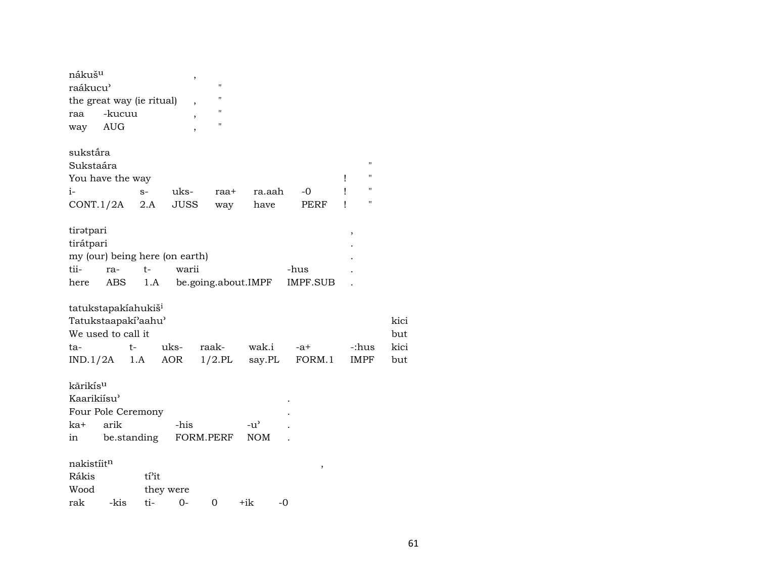| nákuš <sup>u</sup><br>raákucu'<br>the great way (ie ritual)<br>raa<br>way                              | -kucuu<br><b>AUG</b> |                    | ,<br>$\overline{\phantom{a}}$<br>$\overline{\phantom{a}}$ | $\bar{\mathbf{H}}$<br>п<br>Н<br>Ħ |                                       |                         |                     |
|--------------------------------------------------------------------------------------------------------|----------------------|--------------------|-----------------------------------------------------------|-----------------------------------|---------------------------------------|-------------------------|---------------------|
| sukstára<br>Sukstaára<br>You have the way                                                              |                      |                    |                                                           |                                   |                                       |                         | $\blacksquare$<br>Ţ |
| $i-$                                                                                                   |                      | $S-$               | uks-                                                      | raa+                              | ra.aah                                | $-0$                    | Ţ<br>$^{\prime}$    |
| CONT.1/2A                                                                                              |                      | 2.A                | JUSS                                                      | way                               | have                                  | PERF                    | Ţ                   |
| tiratpari<br>tirátpari<br>my (our) being here (on earth)<br>tii-<br>here                               | ra-<br>ABS           | t-                 | warii                                                     |                                   | 1.A be.going.about.IMPF               | -hus<br><b>IMPF.SUB</b> | ,                   |
| tatukstapakíahukiš <sup>i</sup><br>Tatukstaapaki'aahu'<br>We used to call it                           |                      |                    |                                                           |                                   |                                       |                         |                     |
| ta-                                                                                                    |                      | $t-$               | uks-                                                      | raak-                             | wak.i                                 | $-a+$                   | -:hus               |
| $IND.1/2A$ 1.A<br>kārikísu<br>Kaarikiísu'<br>Four Pole Ceremony<br>ka+<br>in<br>nakistíit <sup>n</sup> | arik<br>be.standing  |                    | -his                                                      | $AOR$ 1/2.PL<br>FORM.PERF         | say.PL<br>$-u^{\prime}$<br><b>NOM</b> | FORM.1<br>$\,$          | <b>IMPF</b>         |
| Rákis                                                                                                  |                      | ti <sup>2</sup> it |                                                           |                                   |                                       |                         |                     |
| Wood                                                                                                   |                      |                    | they were                                                 |                                   |                                       |                         |                     |
| rak                                                                                                    | -kis                 | ti-                | $0-$                                                      | 0                                 | $+ik$<br>$-0$                         |                         |                     |

kici but kici

but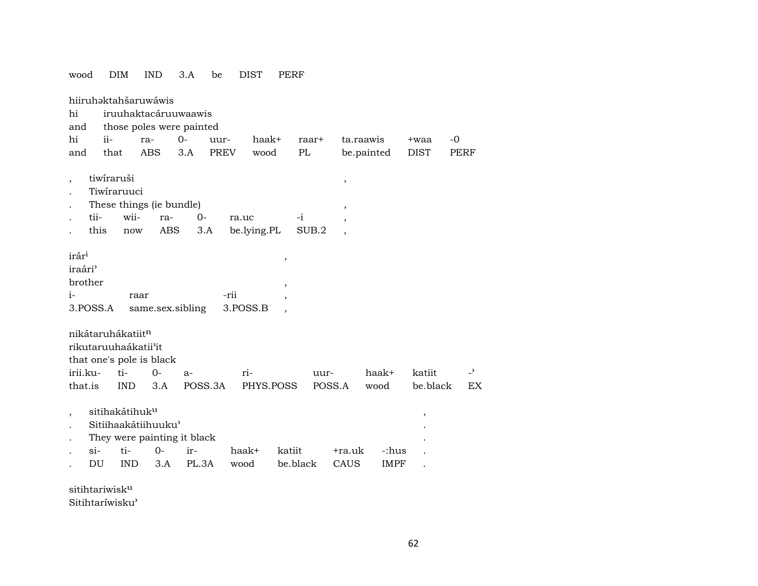## wood DIM IND 3.A be DIST PERF

| hi<br>and                                                   |              |                                                 | hiiruhaktahšaruwáwis<br>iruuhaktacáruuwaawis<br>those poles were painted |              |              |                      |                    |                |                                  |                      |                     |                      |
|-------------------------------------------------------------|--------------|-------------------------------------------------|--------------------------------------------------------------------------|--------------|--------------|----------------------|--------------------|----------------|----------------------------------|----------------------|---------------------|----------------------|
| hi<br>and                                                   | ii-          | that                                            | ra-<br>ABS                                                               | $0-$<br>3.A  | uur-<br>PREV | haak+<br>wood        | PL                 | raar+          | ta.raawis<br>be.painted          |                      | +waa<br><b>DIST</b> | -0<br>PERF           |
| $\overline{\phantom{a}}$                                    | tii-<br>this | tiwiraruši<br>Tiwiraruuci<br>wii-<br>now        | These things (ie bundle)<br>ra-<br>ABS                                   | $0-$         | 3.A          | ra.uc<br>be.lying.PL | $-i$               | SUB.2          | $\, ,$<br>$\,$<br>$\overline{ }$ |                      |                     |                      |
| irár <sup>i</sup><br>iraári <sup>3</sup><br>brother<br>$i-$ | 3.POSS.A     |                                                 | raar<br>same.sex.sibling                                                 |              | -rii         | 3.POSS.B             | ,<br>,             |                |                                  |                      |                     |                      |
| irii.ku-<br>that.is                                         |              | nikátaruhákatiitn<br>ti-<br><b>IND</b>          | rikutaruuhaákatii'it<br>that one's pole is black<br>$0 -$<br>3.A         | $a-$         | POSS.3A      | ri-<br>PHYS.POSS     |                    | uur-<br>POSS.A |                                  | haak+<br>wood        | katiit<br>be.black  | $\overline{a}$<br>EX |
| $\overline{\phantom{a}}$                                    | $\sin$<br>DU | sitihakátihuk <sup>u</sup><br>ti-<br><b>IND</b> | Sitiihaakátiihuuku'<br>They were painting it black<br>$O -$<br>3.A       | ir-<br>PL.3A |              | haak+<br>wood        | katiit<br>be.black |                | +ra.uk<br>CAUS                   | -:hus<br><b>IMPF</b> | $\,$                |                      |

sitihtariwis $k^u$ 

Sitihtaríwisku"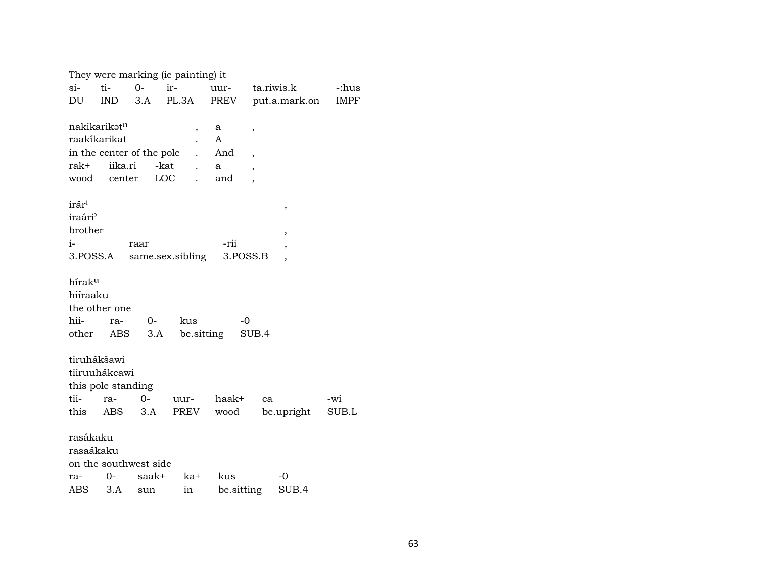| They were marking (ie painting) it |                           |       |                          |            |                                      |       |  |  |  |  |
|------------------------------------|---------------------------|-------|--------------------------|------------|--------------------------------------|-------|--|--|--|--|
| $si-$                              | ti-                       | $O -$ | ir-                      | uur-       | ta.riwis.k                           | -:hus |  |  |  |  |
| DU                                 | <b>IND</b>                | 3.A   | PL.3A                    | PREV       | put.a.mark.on                        | IMPF  |  |  |  |  |
|                                    |                           |       |                          |            |                                      |       |  |  |  |  |
| nakikarikat <sup>n</sup>           |                           |       | $\overline{\phantom{a}}$ | а          | $\,$                                 |       |  |  |  |  |
| raakíkarikat                       |                           |       |                          | A          |                                      |       |  |  |  |  |
|                                    | in the center of the pole |       |                          | And        | $\overline{\phantom{a}}$             |       |  |  |  |  |
| rak+                               | iika.ri                   |       | -kat                     | a          | ,                                    |       |  |  |  |  |
| wood                               | center                    | LOC   |                          | and        | $\overline{\phantom{a}}$             |       |  |  |  |  |
|                                    |                           |       |                          |            |                                      |       |  |  |  |  |
| irár <sup>i</sup>                  |                           |       |                          |            | $\,$                                 |       |  |  |  |  |
| iraári <sup>3</sup>                |                           |       |                          |            |                                      |       |  |  |  |  |
| brother                            |                           |       |                          |            | $\, ,$                               |       |  |  |  |  |
| $i-$                               |                           | raar  |                          | -rii       | $\overline{\phantom{a}}$             |       |  |  |  |  |
| 3.POSS.A                           |                           |       | same.sex.sibling         |            | 3.POSS.B<br>$\overline{\phantom{a}}$ |       |  |  |  |  |
|                                    |                           |       |                          |            |                                      |       |  |  |  |  |
| hírak <sup>u</sup>                 |                           |       |                          |            |                                      |       |  |  |  |  |
| hiíraaku                           |                           |       |                          |            |                                      |       |  |  |  |  |
| the other one                      |                           |       |                          |            |                                      |       |  |  |  |  |
| hii-                               | ra-                       | $O-$  | kus                      | -0         |                                      |       |  |  |  |  |
| other                              | ABS                       | 3.A   |                          | be.sitting | SUB.4                                |       |  |  |  |  |
|                                    |                           |       |                          |            |                                      |       |  |  |  |  |
| tiruhákšawi                        |                           |       |                          |            |                                      |       |  |  |  |  |
|                                    | tiiruuhákcawi             |       |                          |            |                                      |       |  |  |  |  |
|                                    | this pole standing        |       |                          |            |                                      |       |  |  |  |  |
| tii-                               | ra-                       | 0-    | uur-                     | haak+      | ca                                   | -wi   |  |  |  |  |
| this                               | ABS                       | 3.A   | PREV                     | wood       | be.upright                           | SUB.L |  |  |  |  |
|                                    |                           |       |                          |            |                                      |       |  |  |  |  |
| rasákaku                           |                           |       |                          |            |                                      |       |  |  |  |  |
| rasaákaku                          |                           |       |                          |            |                                      |       |  |  |  |  |
|                                    | on the southwest side     |       |                          |            |                                      |       |  |  |  |  |
| ra-                                | 0-                        | saak+ | ka+                      | kus        | -0                                   |       |  |  |  |  |
| <b>ABS</b>                         | 3.A                       | sun   | in                       | be.sitting | SUB.4                                |       |  |  |  |  |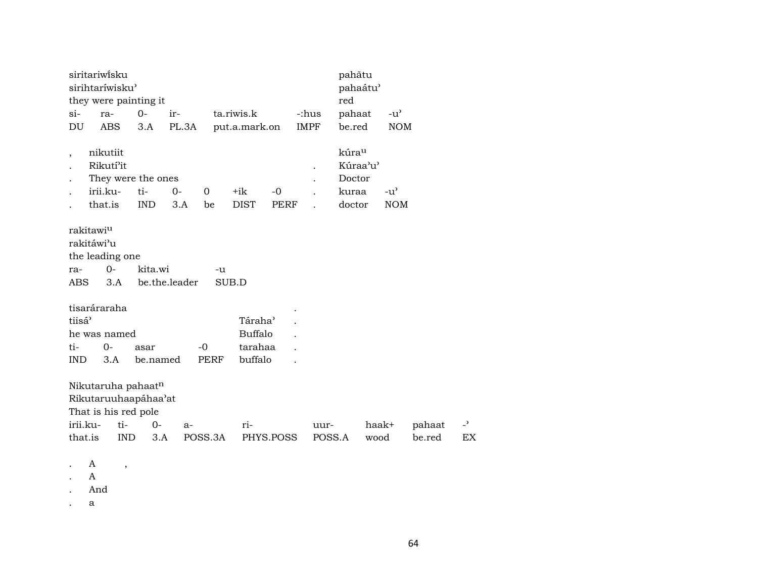|                          | siritariwi̇̃sku          |            |               |             |                |             |             |        | pahãtu   |               |        |                |
|--------------------------|--------------------------|------------|---------------|-------------|----------------|-------------|-------------|--------|----------|---------------|--------|----------------|
|                          | sirihtaríwisku'          |            |               |             |                |             |             |        | pahaátu' |               |        |                |
|                          | they were painting it    |            |               |             |                |             |             |        | red      |               |        |                |
| $si-$                    | ra-                      | $0-$       | ir-           |             | ta.riwis.k     |             | -:hus       |        | pahaat   | $-u^{\prime}$ |        |                |
| DU                       | <b>ABS</b>               | 3.A        | PL.3A         |             | put.a.mark.on  |             | <b>IMPF</b> |        | be.red   | <b>NOM</b>    |        |                |
| $\overline{\phantom{a}}$ | nikutiit                 |            |               |             |                |             |             |        | kúrau    |               |        |                |
|                          | Rikutí'it                |            |               |             |                |             |             |        | Kúraa'u' |               |        |                |
| $\ddot{\phantom{0}}$     | They were the ones       |            |               |             |                |             |             |        | Doctor   |               |        |                |
|                          | irii.ku-                 | ti-        | $0-$          | $\Omega$    | $+ik$          | $-0$        |             |        | kuraa    | $-u^{\prime}$ |        |                |
|                          | that.is                  | <b>IND</b> | 3.A           | be          | <b>DIST</b>    | <b>PERF</b> |             |        | doctor   | <b>NOM</b>    |        |                |
|                          |                          |            |               |             |                |             |             |        |          |               |        |                |
| rakitawiu                |                          |            |               |             |                |             |             |        |          |               |        |                |
| rakitáwi'u               |                          |            |               |             |                |             |             |        |          |               |        |                |
|                          | the leading one          |            |               |             |                |             |             |        |          |               |        |                |
| ra-                      | $0-$                     | kita.wi    |               | -u          |                |             |             |        |          |               |        |                |
| ABS                      | 3.A                      |            | be.the.leader | SUB.D       |                |             |             |        |          |               |        |                |
|                          | tisaráraraha             |            |               |             |                |             |             |        |          |               |        |                |
| tiisá <sup>3</sup>       |                          |            |               |             | Táraha'        |             |             |        |          |               |        |                |
|                          | he was named             |            |               |             | <b>Buffalo</b> |             |             |        |          |               |        |                |
| ti-                      | $O -$                    | asar       |               | $-0$        | tarahaa        |             |             |        |          |               |        |                |
| <b>IND</b>               | 3.A                      | be.named   |               | <b>PERF</b> | buffalo        |             |             |        |          |               |        |                |
|                          |                          |            |               |             |                |             |             |        |          |               |        |                |
|                          | Nikutaruha pahaatn       |            |               |             |                |             |             |        |          |               |        |                |
|                          | Rikutaruuhaapáhaa'at     |            |               |             |                |             |             |        |          |               |        |                |
|                          | That is his red pole     |            |               |             |                |             |             |        |          |               |        |                |
| irii.ku-                 | ti-                      | $0-$       | a-            |             | ri-            |             |             | uur-   |          | haak+         | pahaat | $\overline{a}$ |
| that.is                  | <b>IND</b>               | 3.A        |               | POSS.3A     |                | PHYS.POSS   |             | POSS.A | wood     |               | be.red | EX             |
|                          |                          |            |               |             |                |             |             |        |          |               |        |                |
| A                        | $\overline{\phantom{a}}$ |            |               |             |                |             |             |        |          |               |        |                |
| $\Delta$                 |                          |            |               |             |                |             |             |        |          |               |        |                |

. A

. And

. a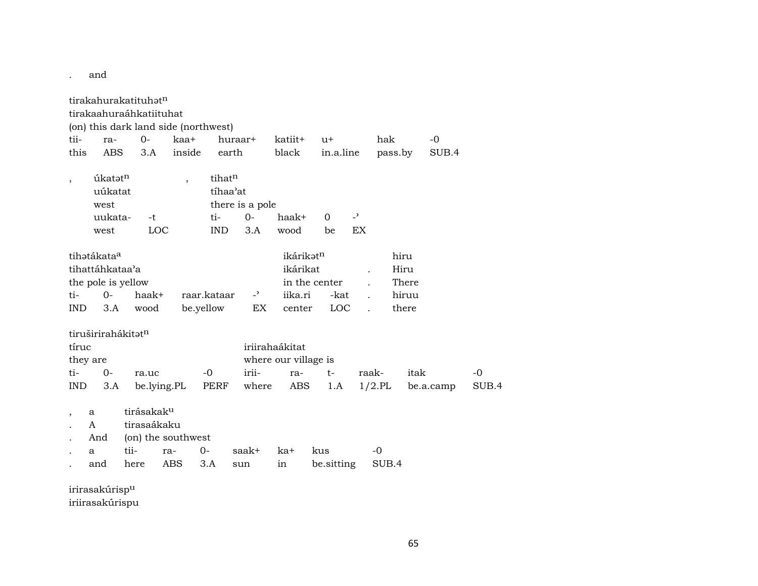. and

|                          | tirakahurakatituhatn       |                        |                                      |                    |                 |                      |                |                |           |           |       |
|--------------------------|----------------------------|------------------------|--------------------------------------|--------------------|-----------------|----------------------|----------------|----------------|-----------|-----------|-------|
|                          | tirakaahuraáhkatiituhat    |                        |                                      |                    |                 |                      |                |                |           |           |       |
|                          |                            |                        | (on) this dark land side (northwest) |                    |                 |                      |                |                |           |           |       |
| tii-                     | ra-                        | $0 -$                  | kaa+                                 |                    | huraar+         | katiit+              | $u+$           |                | hak       | $-0$      |       |
| this                     | <b>ABS</b>                 | 3.A                    | inside                               |                    | earth           | black                | in.a.line      |                | pass.by   | SUB.4     |       |
| $\overline{\phantom{a}}$ | úkatət <sup>n</sup>        |                        | $\overline{\phantom{a}}$             | tihat <sup>n</sup> |                 |                      |                |                |           |           |       |
|                          | uúkatat                    |                        |                                      | tíhaa'at           |                 |                      |                |                |           |           |       |
|                          | west                       |                        |                                      |                    | there is a pole |                      |                |                |           |           |       |
|                          | uukata-                    | $-t$                   |                                      | ti-                | $0-$            | haak+                | $\overline{0}$ | $\overline{a}$ |           |           |       |
|                          | west                       |                        | LOC                                  | <b>IND</b>         | 3.A             | wood                 | be             | EX             |           |           |       |
|                          | tihatákata <sup>a</sup>    |                        |                                      |                    |                 | ikárikatn            |                |                | hiru      |           |       |
|                          | tihattáhkataa'a            |                        |                                      |                    |                 | ikárikat             |                |                | Hiru      |           |       |
|                          | the pole is yellow         |                        |                                      |                    |                 |                      | in the center  |                | There     |           |       |
| ti-                      | $0-$                       | haak+                  |                                      | raar.kataar        | $-2$            | iika.ri              | -kat           |                | hiruu     |           |       |
| <b>IND</b>               | 3.A                        | wood                   |                                      | be.yellow          | EX              | center               | LOC            |                | there     |           |       |
|                          | tiruširirahákitatn         |                        |                                      |                    |                 |                      |                |                |           |           |       |
| tíruc                    |                            |                        |                                      |                    |                 | iriirahaákitat       |                |                |           |           |       |
| they are                 |                            |                        |                                      |                    |                 | where our village is |                |                |           |           |       |
| ti-                      | $0-$                       | ra.uc                  |                                      | $-0$               | irii-           | ra-                  | $t-$           | raak-          |           | itak      | -0    |
| IND                      | 3.A                        |                        | be.lying.PL                          | PERF               | where           | ABS                  | 1.A            |                | $1/2$ .PL | be.a.camp | SUB.4 |
| $\overline{ }$           | a                          | tirásakak <sup>u</sup> |                                      |                    |                 |                      |                |                |           |           |       |
|                          | A                          | tirasaákaku            |                                      |                    |                 |                      |                |                |           |           |       |
|                          | And                        |                        | (on) the southwest                   |                    |                 |                      |                |                |           |           |       |
|                          | a                          | tii-                   | ra-                                  | 0-                 | saak+           | ka+                  | kus            |                | $-0$      |           |       |
|                          | and                        | here                   | ABS                                  | 3.A                | sun             | in                   | be sitting     |                | SUB.4     |           |       |
|                          | irirasakúrisp <sup>u</sup> |                        |                                      |                    |                 |                      |                |                |           |           |       |

iriirasakúrispu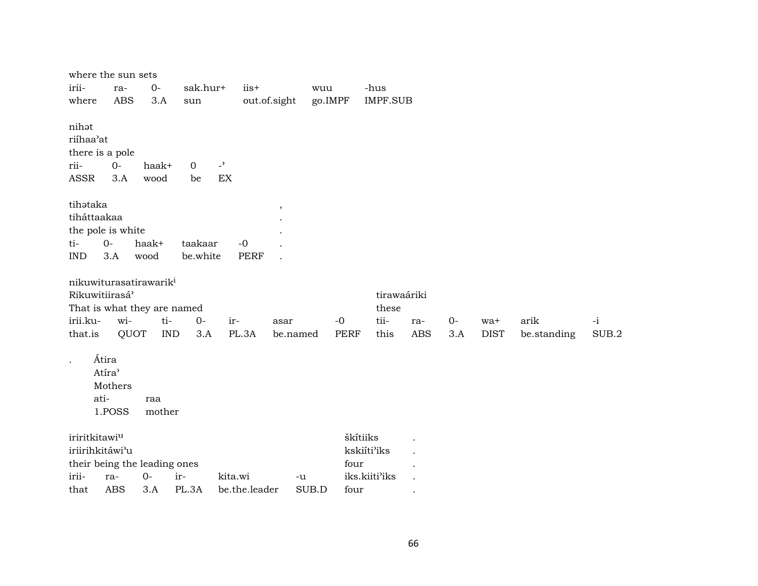| irii-<br>where                                   | where the sun sets<br>ra-<br><b>ABS</b>                                                            | $0-$<br>3.A   | sun                  | sak.hur+            | iis+                                         | out.of.sight     | wuu<br>go.IMPF |                          | -hus<br><b>IMPF.SUB</b>              |                   |              |                    |                     |               |
|--------------------------------------------------|----------------------------------------------------------------------------------------------------|---------------|----------------------|---------------------|----------------------------------------------|------------------|----------------|--------------------------|--------------------------------------|-------------------|--------------|--------------------|---------------------|---------------|
| nihət<br>riíhaa'at<br>rii-<br><b>ASSR</b>        | there is a pole<br>$O -$<br>3.A                                                                    | haak+<br>wood | $\overline{0}$<br>be |                     | $\overline{a}$<br>$\mathop{\rm EX}\nolimits$ |                  |                |                          |                                      |                   |              |                    |                     |               |
| tihataka<br>tiháttaakaa<br>ti-<br>$\mathbf{IND}$ | the pole is white<br>$O -$<br>3.A                                                                  | haak+<br>wood |                      | taakaar<br>be.white | $-0$<br><b>PERF</b>                          | ,                |                |                          |                                      |                   |              |                    |                     |               |
| irii.ku-<br>that.is                              | nikuwiturasatirawarik <sup>i</sup><br>Rikuwitiirasá'<br>That is what they are named<br>wi-<br>QUOT |               | ti-<br><b>IND</b>    | $O -$<br>3.A        | ir-<br>PL.3A                                 | asar<br>be.named |                | $-0$<br><b>PERF</b>      | tirawaáriki<br>these<br>tii-<br>this | ra-<br><b>ABS</b> | $O -$<br>3.A | wa+<br><b>DIST</b> | arik<br>be.standing | $-i$<br>SUB.2 |
| $\ddot{\phantom{a}}$                             | Átira<br>Atíra <sup></sup><br>Mothers<br>ati-<br>1.POSS                                            | raa<br>mother |                      |                     |                                              |                  |                |                          |                                      |                   |              |                    |                     |               |
| iriritkitawi <sup>u</sup><br>irii-<br>that       | iriirihkitáwi'u<br>their being the leading ones<br>ra-<br><b>ABS</b>                               | $0-$<br>3.A   | ir-<br>PL.3A         |                     | kita.wi<br>be.the.leader                     | -u               | SUB.D          | škítiiks<br>four<br>four | kskiíti'iks<br>iks.kiiti'iks         |                   |              |                    |                     |               |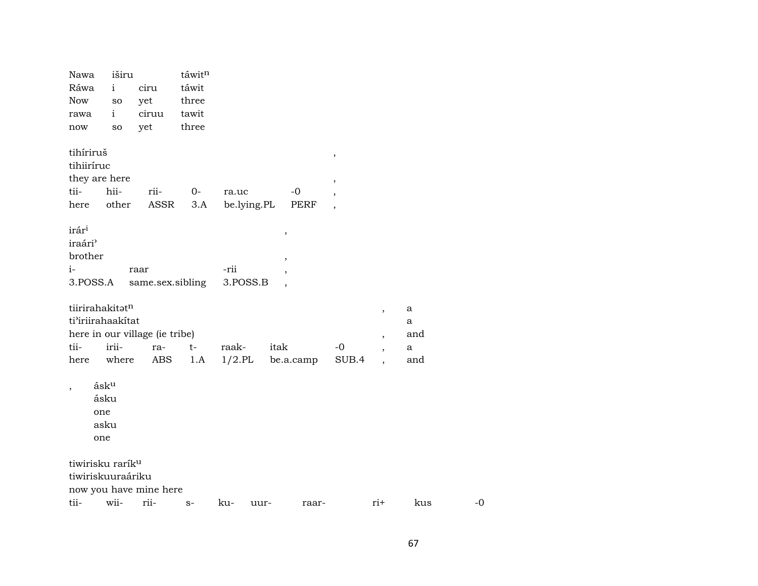| Nawa                         | iširu        |                                | táwitn |             |      |                          |                          |                          |     |
|------------------------------|--------------|--------------------------------|--------|-------------|------|--------------------------|--------------------------|--------------------------|-----|
| Ráwa                         | $\mathbf{i}$ | ciru                           | táwit  |             |      |                          |                          |                          |     |
| <b>Now</b>                   | ${\bf SO}$   | yet                            | three  |             |      |                          |                          |                          |     |
| rawa                         | $\mathbf{i}$ | ciruu                          | tawit  |             |      |                          |                          |                          |     |
| now                          | so           | yet                            | three  |             |      |                          |                          |                          |     |
| tihíriruš                    |              |                                |        |             |      |                          | $\, ,$                   |                          |     |
| tihiiríruc                   |              |                                |        |             |      |                          |                          |                          |     |
| they are here                |              |                                |        |             |      |                          | $\,$                     |                          |     |
| tii-                         | hii-         | rii-                           | $0-$   | ra.uc       |      | -0                       | $\overline{ }$           |                          |     |
| here                         | other        | ASSR                           | 3.A    | be.lying.PL |      | PERF                     | $\overline{\phantom{a}}$ |                          |     |
| irár <sup>i</sup>            |              |                                |        |             |      |                          |                          |                          |     |
| iraári'                      |              |                                |        |             |      | $\, ,$                   |                          |                          |     |
| brother                      |              |                                |        |             |      |                          |                          |                          |     |
| $i-$                         |              | raar                           |        | -rii        |      | $\overline{\phantom{a}}$ |                          |                          |     |
| 3.POSS.A                     |              | same.sex.sibling               |        | 3.POSS.B    |      | $\overline{\phantom{a}}$ |                          |                          |     |
|                              |              |                                |        |             |      | $\overline{\phantom{a}}$ |                          |                          |     |
| tiirirahakitatn              |              |                                |        |             |      |                          |                          | $\,$                     | a   |
| ti'iriirahaakitat            |              |                                |        |             |      |                          |                          |                          | a   |
|                              |              | here in our village (ie tribe) |        |             |      |                          |                          | $\cdot$                  | and |
| tii-                         | irii-        | ra-                            | $t-$   | raak-       | itak |                          | $-0$                     | $\overline{\phantom{a}}$ | a   |
| here                         | where        | ABS                            | 1.A    | $1/2$ .PL   |      | be.a.camp                | SUB.4                    |                          | and |
|                              |              |                                |        |             |      |                          |                          |                          |     |
|                              | ásku         |                                |        |             |      |                          |                          |                          |     |
|                              | ásku         |                                |        |             |      |                          |                          |                          |     |
| one                          |              |                                |        |             |      |                          |                          |                          |     |
|                              | asku         |                                |        |             |      |                          |                          |                          |     |
| one                          |              |                                |        |             |      |                          |                          |                          |     |
| tiwirisku rarík <sup>u</sup> |              |                                |        |             |      |                          |                          |                          |     |
| tiwiriskuuraáriku            |              |                                |        |             |      |                          |                          |                          |     |
|                              |              | now you have mine here         |        |             |      |                          |                          |                          |     |
| tii-                         | wii-         | rii-                           | $S-$   | ku-         | uur- | raar-                    |                          | $ri+$                    | kus |

 $-0$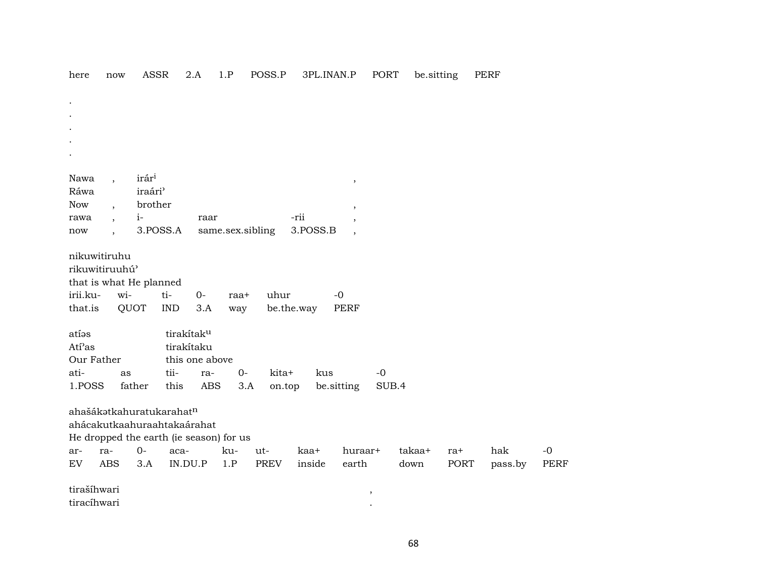| here                       | now                      | <b>ASSR</b>                             | 2.A                    | 1.P              | POSS.P      | 3PL.INAN.P |                                  | PORT   | be.sitting |       | PERF    |      |
|----------------------------|--------------------------|-----------------------------------------|------------------------|------------------|-------------|------------|----------------------------------|--------|------------|-------|---------|------|
|                            |                          |                                         |                        |                  |             |            |                                  |        |            |       |         |      |
|                            |                          |                                         |                        |                  |             |            |                                  |        |            |       |         |      |
|                            |                          |                                         |                        |                  |             |            |                                  |        |            |       |         |      |
|                            |                          |                                         |                        |                  |             |            |                                  |        |            |       |         |      |
|                            |                          |                                         |                        |                  |             |            |                                  |        |            |       |         |      |
|                            |                          |                                         |                        |                  |             |            |                                  |        |            |       |         |      |
| Nawa<br>Ráwa               | $\overline{\phantom{a}}$ | irár <sup>i</sup><br>iraári'            |                        |                  |             |            | $\, ,$                           |        |            |       |         |      |
| Now                        |                          | brother                                 |                        |                  |             |            |                                  |        |            |       |         |      |
| rawa                       | $\overline{\phantom{a}}$ | $i-$                                    | raar                   |                  |             | -rii       | $\, ,$                           |        |            |       |         |      |
| $\operatorname{now}$       | $\overline{\phantom{a}}$ | 3.POSS.A                                |                        | same.sex.sibling |             | 3.POSS.B   | $\,$<br>$\overline{\phantom{a}}$ |        |            |       |         |      |
|                            |                          |                                         |                        |                  |             |            |                                  |        |            |       |         |      |
| nikuwitiruhu               |                          |                                         |                        |                  |             |            |                                  |        |            |       |         |      |
| rikuwitiruuhú'             |                          |                                         |                        |                  |             |            |                                  |        |            |       |         |      |
|                            |                          | that is what He planned                 |                        |                  |             |            |                                  |        |            |       |         |      |
| irii.ku-                   | wi-                      | ti-                                     | $0-$                   | raa+             | uhur        |            | $-0$                             |        |            |       |         |      |
| that.is                    |                          | QUOT<br><b>IND</b>                      | 3.A                    | way              |             | be.the.way | PERF                             |        |            |       |         |      |
| atíos                      |                          |                                         | tirakítak <sup>u</sup> |                  |             |            |                                  |        |            |       |         |      |
| Atí'as                     |                          |                                         | tirakítaku             |                  |             |            |                                  |        |            |       |         |      |
| Our Father                 |                          |                                         | this one above         |                  |             |            |                                  |        |            |       |         |      |
| ati-                       | as                       | tii-                                    | ra-                    | $O -$            | kita+       | kus        |                                  | $-o$   |            |       |         |      |
| 1.POSS                     |                          | father<br>this                          | <b>ABS</b>             | 3.A              | on.top      |            | be.sitting                       | SUB.4  |            |       |         |      |
|                            |                          | ahašákatkahuratukarahatn                |                        |                  |             |            |                                  |        |            |       |         |      |
|                            |                          | ahácakutkaahuraahtakaárahat             |                        |                  |             |            |                                  |        |            |       |         |      |
|                            |                          | He dropped the earth (ie season) for us |                        |                  |             |            |                                  |        |            |       |         |      |
| ar-                        | ra-                      | $0-$                                    | aca-                   | ku-              | ut-         | kaa+       | huraar+                          |        | takaa+     | $ra+$ | hak     | $-0$ |
| $\mathop{\rm EV}\nolimits$ | <b>ABS</b>               | 3.A                                     | IN.DU.P                | 1.P              | <b>PREV</b> | inside     | earth                            |        | down       | PORT  | pass.by | PERF |
|                            |                          |                                         |                        |                  |             |            |                                  |        |            |       |         |      |
| tirašíhwari                |                          |                                         |                        |                  |             |            |                                  | $\, ,$ |            |       |         |      |
| tiracíhwari                |                          |                                         |                        |                  |             |            | $\bullet$                        |        |            |       |         |      |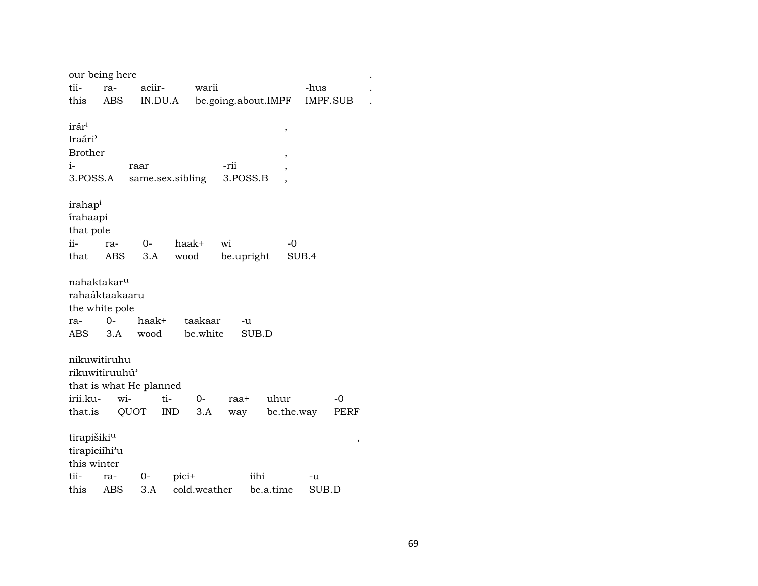|                         | our being here |                         |                  |          |                     |       |                 |  |
|-------------------------|----------------|-------------------------|------------------|----------|---------------------|-------|-----------------|--|
| tii-                    | ra-            | aciir-                  | warii            |          |                     | -hus  |                 |  |
| this                    | ABS            | IN.DU.A                 |                  |          | be.going.about.IMPF |       | <b>IMPF.SUB</b> |  |
|                         |                |                         |                  |          |                     |       |                 |  |
| irár <sup>i</sup>       |                |                         |                  |          | $\, ,$              |       |                 |  |
| Iraári <sup>3</sup>     |                |                         |                  |          |                     |       |                 |  |
| <b>Brother</b>          |                |                         |                  |          | ,                   |       |                 |  |
| $i-$                    |                | raar                    |                  | -rii     |                     |       |                 |  |
| 3.POSS.A                |                |                         | same.sex.sibling | 3.POSS.B |                     |       |                 |  |
|                         |                |                         |                  |          |                     |       |                 |  |
| irahap <sup>i</sup>     |                |                         |                  |          |                     |       |                 |  |
| írahaapi                |                |                         |                  |          |                     |       |                 |  |
| that pole               |                |                         |                  |          |                     |       |                 |  |
| ii-                     | ra-            | $O-$                    | haak+            | wi       | $-0$                |       |                 |  |
| that                    | ABS            | 3.A                     | wood             |          | be.upright          | SUB.4 |                 |  |
|                         |                |                         |                  |          |                     |       |                 |  |
| nahaktakar <sup>u</sup> |                |                         |                  |          |                     |       |                 |  |
|                         | rahaáktaakaaru |                         |                  |          |                     |       |                 |  |
| the white pole          |                |                         |                  |          |                     |       |                 |  |
| ra-                     | $0-$           | haak+                   | taakaar          |          | -u                  |       |                 |  |
| ABS                     |                | 3.A wood                | be.white         |          | SUB.D               |       |                 |  |
|                         |                |                         |                  |          |                     |       |                 |  |
| nikuwitiruhu            |                |                         |                  |          |                     |       |                 |  |
|                         | rikuwitiruuhú' |                         |                  |          |                     |       |                 |  |
|                         |                | that is what He planned |                  |          |                     |       |                 |  |
| irii.ku-                | wi-            | ti-                     | $0-$             | raa+     | uhur                |       | $-0$            |  |
| that.is                 |                | QUOT                    | IND<br>3.A       | way      | be.the.way          |       | PERF            |  |
|                         |                |                         |                  |          |                     |       |                 |  |
| tirapišikiu             |                |                         |                  |          |                     |       | ,               |  |
| tirapiciíhi'u           |                |                         |                  |          |                     |       |                 |  |
| this winter             |                |                         |                  |          |                     |       |                 |  |
| tii-                    | ra-            | 0-                      | pici+            |          | iihi                | -u    |                 |  |
| this                    | ABS            | 3.A                     | cold.weather     |          | be.a.time           | SUB.D |                 |  |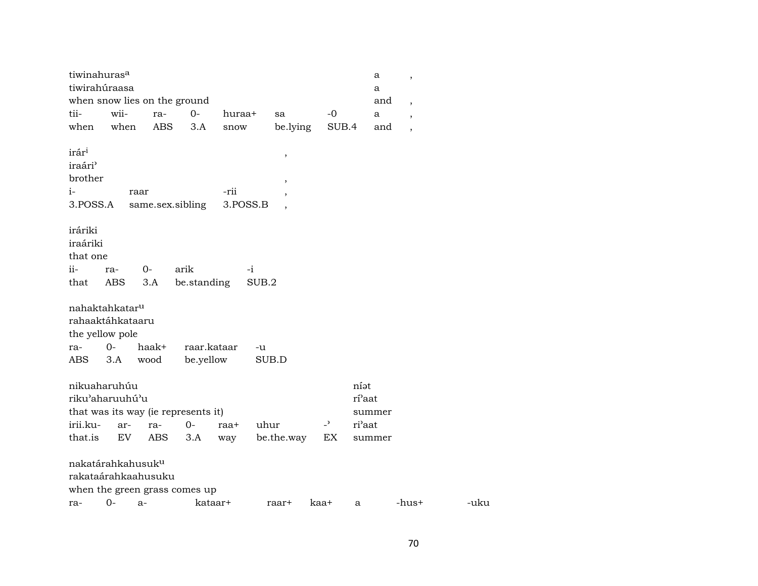|                                                                        | tiwinahuras <sup>a</sup><br>tiwirahúraasa                         |                                                      |                     |                  |                           |                      | a<br>a                                                    | $\, ,$                   |      |
|------------------------------------------------------------------------|-------------------------------------------------------------------|------------------------------------------------------|---------------------|------------------|---------------------------|----------------------|-----------------------------------------------------------|--------------------------|------|
|                                                                        |                                                                   | when snow lies on the ground                         |                     |                  |                           |                      | and                                                       | $\overline{\phantom{a}}$ |      |
| tii-                                                                   | wii-                                                              | ra-                                                  | $0-$                | huraa+           | sa                        | $-0$                 | a                                                         | $\overline{\phantom{a}}$ |      |
| when                                                                   | when                                                              | ABS                                                  | 3.A                 | snow             | be.lying                  | SUB.4                | and                                                       | $\overline{\phantom{a}}$ |      |
| irár <sup>i</sup><br>iraári <sup></sup><br>brother<br>$i-$<br>3.POSS.A |                                                                   | raar<br>same.sex.sibling                             |                     | -rii<br>3.POSS.B | $\, ,$<br>$\, ,$          |                      |                                                           |                          |      |
| iráriki<br>iraáriki<br>that one<br>ii-<br>that                         | ra-<br><b>ABS</b>                                                 | 0-<br>3.A                                            | arik<br>be.standing |                  | $-i$<br>SUB <sub>.2</sub> |                      |                                                           |                          |      |
|                                                                        | nahaktahkatar <sup>u</sup><br>rahaaktáhkataaru<br>the yellow pole |                                                      |                     |                  |                           |                      |                                                           |                          |      |
| ra-                                                                    | $0-$                                                              | haak+                                                | raar.kataar         |                  | -u                        |                      |                                                           |                          |      |
| ABS                                                                    | 3.A                                                               | wood                                                 | be.yellow           |                  | SUB.D                     |                      |                                                           |                          |      |
| irii.ku-<br>that.is                                                    | nikuaharuhúu<br>riku'aharuuhú'u<br>ar-<br>EV                      | that was its way (ie represents it)<br>ra-<br>ABS    | $0-$<br>3.A         | raa+<br>way      | uhur<br>be.the.way        | $\overline{z}$<br>EX | níat<br>rí <sup>2</sup> aat<br>summer<br>ri'aat<br>summer |                          |      |
|                                                                        |                                                                   | nakatárahkahusuk <sup>u</sup><br>rakataárahkaahusuku |                     |                  |                           |                      |                                                           |                          |      |
|                                                                        |                                                                   | when the green grass comes up                        |                     |                  |                           |                      |                                                           |                          |      |
| ra-                                                                    | $O -$                                                             | $a-$                                                 |                     | kataar+          | raar+                     | kaa+                 | a                                                         | -hus+                    | -uku |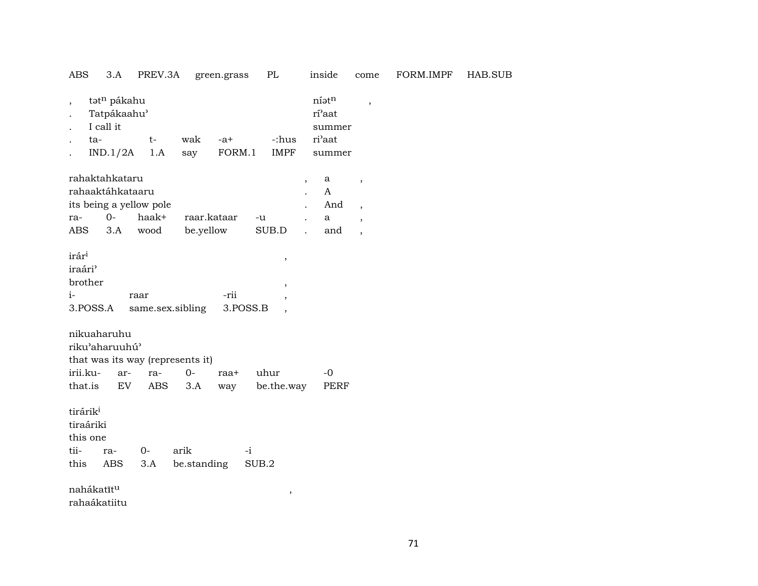|                          | <b>ABS</b>                                                             | 3.A                                                                           | PREV.3A       |                                                  | green.grass      |               | PL                               | inside                                                     | come                                                                                               | FORM.IMPF |
|--------------------------|------------------------------------------------------------------------|-------------------------------------------------------------------------------|---------------|--------------------------------------------------|------------------|---------------|----------------------------------|------------------------------------------------------------|----------------------------------------------------------------------------------------------------|-----------|
| $\overline{\phantom{a}}$ | ta-                                                                    | tat <sup>n</sup> pákahu<br>Tatpákaahu'<br>I call it<br>IND.1/2A               | $t-$<br>1.A   | wak<br>say                                       | $-a+$<br>FORM.1  |               | -:hus<br>IMPF                    | níətn<br>rí <sup>2</sup> aat<br>summer<br>ri'aat<br>summer | $\, ,$                                                                                             |           |
|                          | ra-<br>ABS                                                             | rahaktahkataru<br>rahaaktáhkataaru<br>its being a yellow pole<br>$O -$<br>3.A | haak+<br>wood | be.yellow                                        | raar.kataar      | -u            | $\rm SUB.D$                      | a<br>$\overline{\phantom{a}}$<br>A<br>And<br>a<br>and      | $\overline{\phantom{a}}$<br>$\overline{ }$<br>$\overline{\phantom{a}}$<br>$\overline{\phantom{a}}$ |           |
|                          | irár <sup>i</sup><br>iraári <sup></sup><br>brother<br>$i-$<br>3.POSS.A |                                                                               | raar          | same.sex.sibling                                 | -rii<br>3.POSS.B |               | $\,$<br>$\overline{\phantom{a}}$ |                                                            |                                                                                                    |           |
|                          | irii.ku-<br>that.is                                                    | nikuaharuhu<br>riku'aharuuhú'<br>ar-<br>EV                                    | ra-<br>ABS    | that was its way (represents it)<br>$O -$<br>3.A | raa+<br>way      | uhur          | be.the.way                       | -0<br>PERF                                                 |                                                                                                    |           |
|                          | tirárik <sup>i</sup><br>tiraáriki<br>this one<br>tii-<br>this          | ra-<br>ABS                                                                    | $0-$<br>3.A   | arik<br>be.standing                              |                  | $-i$<br>SUB.2 |                                  |                                                            |                                                                                                    |           |
|                          | nahákatīt <sup>u</sup>                                                 | rahaákatiitu                                                                  |               |                                                  |                  |               | $\,$                             |                                                            |                                                                                                    |           |

HAB.SUB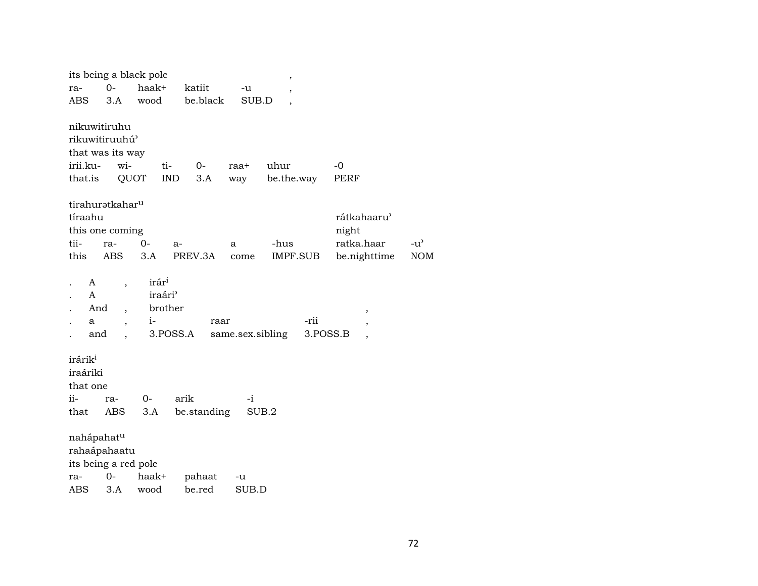|                                        |                          | its being a black pole |             |                  | $\,$                     |              |               |
|----------------------------------------|--------------------------|------------------------|-------------|------------------|--------------------------|--------------|---------------|
| ra-                                    | $O -$                    | haak+                  | katiit      | $-u$             | $\overline{\phantom{a}}$ |              |               |
| ABS                                    | 3.A                      | wood                   | be.black    | SUB.D            | $\overline{\phantom{a}}$ |              |               |
|                                        |                          |                        |             |                  |                          |              |               |
| nikuwitiruhu                           |                          |                        |             |                  |                          |              |               |
| rikuwitiruuhú'                         |                          |                        |             |                  |                          |              |               |
| that was its way                       |                          |                        |             |                  |                          |              |               |
| irii.ku-                               | wi-                      | ti-                    | $0-$        | raa+             | uhur                     | $-0$         |               |
| that.is                                |                          | <b>IND</b><br>QUOT     | 3.A         | way              | be.the.way               | PERF         |               |
|                                        |                          |                        |             |                  |                          |              |               |
| tirahuratkahar <sup>u</sup><br>tíraahu |                          |                        |             |                  |                          | rátkahaaru'  |               |
| this one coming                        |                          |                        |             |                  |                          | night        |               |
| tii-                                   | ra-                      | 0-                     | a-          | a                | -hus                     | ratka.haar   | $-u^{\prime}$ |
| this                                   | <b>ABS</b>               | 3.A                    | PREV.3A     | come             | IMPF.SUB                 | be.nighttime | <b>NOM</b>    |
|                                        |                          |                        |             |                  |                          |              |               |
| A                                      | $\overline{ }$           | irár <sup>i</sup>      |             |                  |                          |              |               |
| A                                      |                          | iraári <sup>3</sup>    |             |                  |                          |              |               |
| And                                    | $\overline{\phantom{a}}$ | brother                |             |                  |                          | $\, ,$       |               |
| a                                      |                          | $i-$                   | raar        |                  | -rii                     | ,            |               |
| and                                    |                          | 3.POSS.A               |             | same.sex.sibling |                          | 3.POSS.B     |               |
|                                        |                          |                        |             |                  |                          |              |               |
| irárik <sup>i</sup>                    |                          |                        |             |                  |                          |              |               |
| iraáriki                               |                          |                        |             |                  |                          |              |               |
| that one                               |                          |                        |             |                  |                          |              |               |
| ii-                                    | ra-                      | $0-$                   | arik        | -i               |                          |              |               |
| that                                   | ABS                      | 3.A                    | be.standing |                  | SUB.2                    |              |               |
| nahápahatu                             |                          |                        |             |                  |                          |              |               |
| rahaápahaatu                           |                          |                        |             |                  |                          |              |               |
| its being a red pole                   |                          |                        |             |                  |                          |              |               |
| ra-                                    | $0-$                     | haak+                  | pahaat      | -u               |                          |              |               |
| ABS                                    | 3.A                      | wood                   | be.red      | SUB.D            |                          |              |               |
|                                        |                          |                        |             |                  |                          |              |               |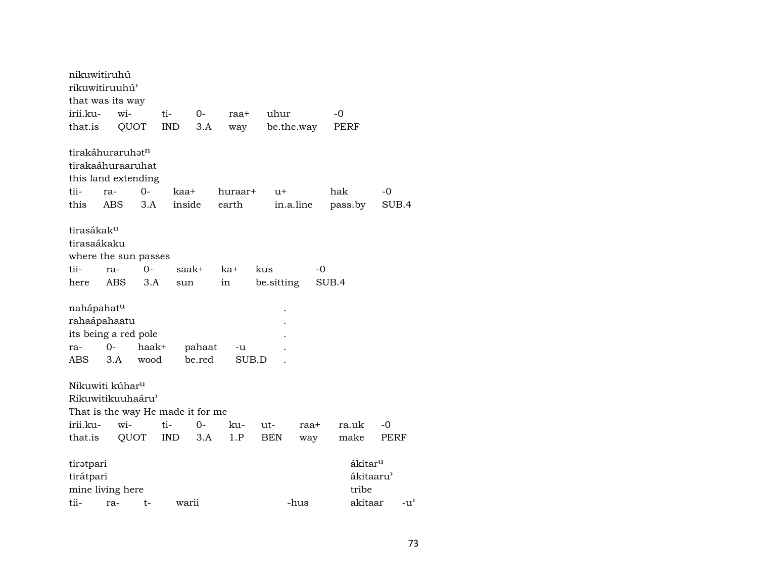| rikuwitiruuhú <sup>3</sup><br>that was its way                                | nikuwitiruhú      |              |                                   |        |           |                      |            |                                                      |               |
|-------------------------------------------------------------------------------|-------------------|--------------|-----------------------------------|--------|-----------|----------------------|------------|------------------------------------------------------|---------------|
| irii.ku-                                                                      | wi-               |              | ti-                               | $O -$  | raa+      | uhur                 |            | -0                                                   |               |
| that.is                                                                       | QUOT              |              | <b>IND</b>                        | 3.A    | way       |                      | be.the.way | PERF                                                 |               |
| tirakáhuraruhatn<br>tirakaáhuraaruhat<br>this land extending                  |                   |              |                                   |        |           |                      |            |                                                      |               |
| tii-                                                                          | ra-               | $0-$         | kaa+                              |        | huraar+   | $u+$                 |            | hak                                                  | -0            |
| this                                                                          | ABS               | 3.A          | inside                            |        | earth     |                      | in.a.line  | pass.by                                              | SUB.4         |
| tirasákak <sup>u</sup><br>tirasaákaku<br>where the sun passes<br>tii-<br>here | ra-<br><b>ABS</b> | $O -$<br>3.A | saak+<br>sun                      |        | ka+<br>in | kus<br>be sitting    | -0         | SUB.4                                                |               |
| nahápahatu                                                                    |                   |              |                                   |        |           |                      |            |                                                      |               |
| rahaápahaatu                                                                  |                   |              |                                   |        |           |                      |            |                                                      |               |
| its being a red pole<br>ra-                                                   | $0-$              | haak+        |                                   | pahaat | -u        |                      |            |                                                      |               |
| ABS                                                                           | 3.A               | wood         |                                   | be.red | SUB.D     |                      |            |                                                      |               |
| Nikuwiti kúhar <sup>u</sup><br>Rikuwitikuuhaáru'                              |                   |              | That is the way He made it for me |        |           |                      |            |                                                      |               |
| irii.ku-                                                                      | wi-               |              | ti-                               | 0-     | ku-       | ut-                  | raa+       | ra.uk                                                | $-0$          |
| that.is                                                                       |                   | QUOT         | <b>IND</b>                        | 3.A    | 1.P       | $\operatorname{BEN}$ | way        | make                                                 | PERF          |
| tiratpari<br>tirátpari<br>mine living here<br>tii-                            | ra-               | t-           | warii                             |        |           |                      | -hus       | ákitar <sup>u</sup><br>ákitaaru'<br>tribe<br>akitaar | $-u^{\prime}$ |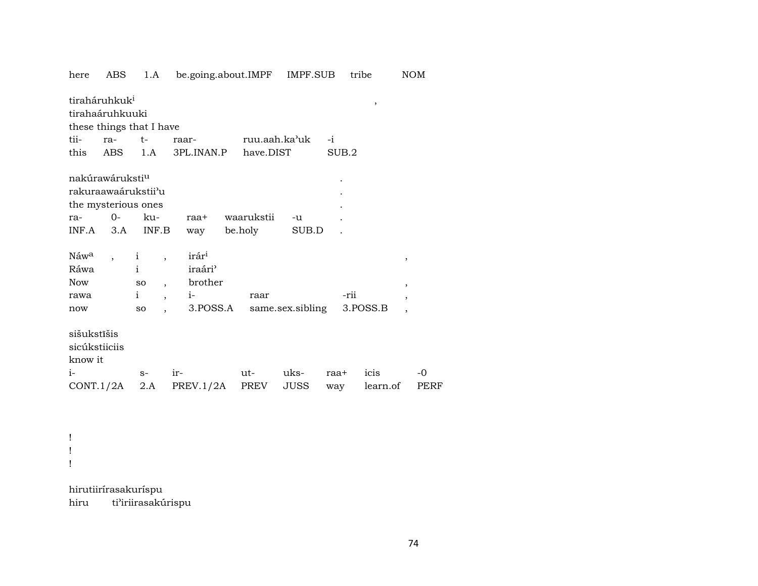| here                                    | ABS                                                | 1.A                                                                     | be.going.about.IMPF IMPF.SUB             |               |                  |       | tribe    | NOM                      |
|-----------------------------------------|----------------------------------------------------|-------------------------------------------------------------------------|------------------------------------------|---------------|------------------|-------|----------|--------------------------|
|                                         | tiraháruhkuk <sup>i</sup><br>tirahaáruhkuuki       | these things that I have                                                |                                          |               |                  |       | $\,$     |                          |
| tii-                                    | ra-                                                | $t-$                                                                    | raar-                                    | ruu.aah.ka'uk |                  | $-i$  |          |                          |
| this                                    |                                                    | ABS 1.A                                                                 | 3PL.INAN.P have.DIST                     |               |                  | SUB.2 |          |                          |
| ra-                                     | nakúrawáruksti <sup>u</sup><br>$0-$<br>$INF.A$ 3.A | rakuraawaárukstii <sup>3</sup> u<br>the mysterious ones<br>ku-<br>INF.B | raa+ waarukstii<br>way                   | be.holy       | $-u$<br>SUB.D    |       |          |                          |
| Náw <sup>a</sup><br>Ráwa                | $\ddot{\phantom{0}}$                               | $\mathbf{i}$<br>$\mathbf{i}$                                            | irár <sup>i</sup><br>iraári <sup>3</sup> |               |                  |       |          | $\overline{\phantom{a}}$ |
| <b>Now</b>                              |                                                    | <b>SO</b><br>$\cdot$                                                    | brother                                  |               |                  |       |          | $\cdot$                  |
| rawa                                    |                                                    | $\mathbf{i}$                                                            | $i$ - $i$                                | raar          |                  | -rii  |          | $\overline{ }$           |
| now                                     |                                                    | so                                                                      | 3.POSS.A                                 |               | same.sex.sibling |       | 3.POSS.B | $\overline{ }$           |
| sišukstīšis<br>sicúkstiiciis<br>know it |                                                    |                                                                         |                                          |               |                  |       |          |                          |
| $i-$                                    |                                                    | $S-$                                                                    | ut- uks-<br>ir-                          |               |                  | raa+  | icis     | -0                       |
|                                         |                                                    |                                                                         | $CONT.1/2A$ 2.A PREV.1/2A PREV           |               | JUSS             | way   | learn.of | PERF                     |

 $\mathbf{I}% _{0}\left| \mathbf{I}_{1}\right|$  $\mathbf{I}% _{0}\left| \mathbf{I}_{1}\right|$  $\mathbf{I}$ 

> hirutiirírasakuríspu hiru ti'iriirasakúrispu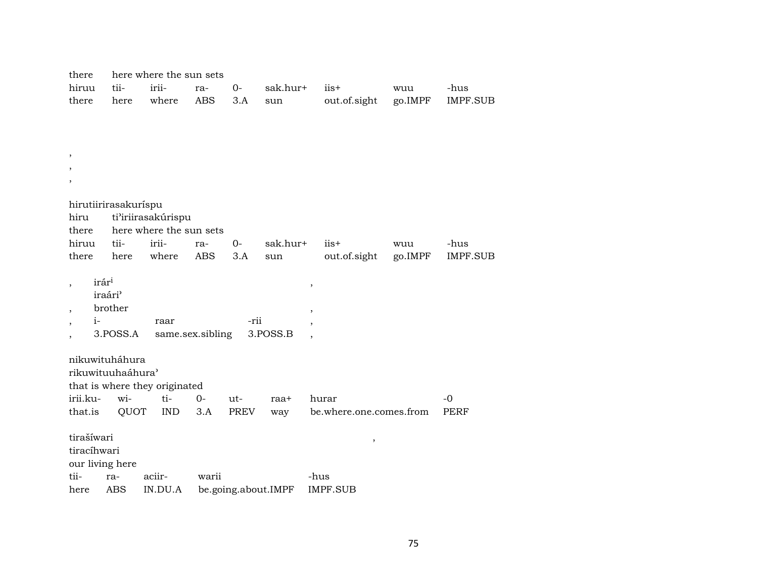| there                             |                     | here where the sun sets       |            |                     |          |        |                         |         |                 |
|-----------------------------------|---------------------|-------------------------------|------------|---------------------|----------|--------|-------------------------|---------|-----------------|
| hiruu                             | tii-                | irii-                         | ra-        | 0-                  | sak.hur+ |        | iis+                    | wuu     | -hus            |
| there                             | here                | where                         | <b>ABS</b> | 3.A                 | sun      |        | out.of.sight            | go.IMPF | <b>IMPF.SUB</b> |
|                                   |                     |                               |            |                     |          |        |                         |         |                 |
|                                   |                     |                               |            |                     |          |        |                         |         |                 |
|                                   |                     |                               |            |                     |          |        |                         |         |                 |
| $\, ,$                            |                     |                               |            |                     |          |        |                         |         |                 |
| $\, ,$                            |                     |                               |            |                     |          |        |                         |         |                 |
| ,                                 |                     |                               |            |                     |          |        |                         |         |                 |
|                                   |                     |                               |            |                     |          |        |                         |         |                 |
| hirutiirirasakuríspu              |                     |                               |            |                     |          |        |                         |         |                 |
| hiru                              |                     | ti'iriirasakúrispu            |            |                     |          |        |                         |         |                 |
| there                             |                     | here where the sun sets       |            |                     |          |        |                         |         |                 |
| hiruu                             | tii-                | irii-                         | ra-        | $O -$               | sak.hur+ |        | $i$ is $+$              | wuu     | -hus            |
| there                             | here                | where                         | <b>ABS</b> | 3.A                 | sun      |        | out.of.sight            | go.IMPF | <b>IMPF.SUB</b> |
|                                   |                     |                               |            |                     |          |        |                         |         |                 |
| irári<br>$\overline{\phantom{a}}$ |                     |                               |            |                     |          | $\, ,$ |                         |         |                 |
|                                   | iraári <sup>3</sup> |                               |            |                     |          |        |                         |         |                 |
| $\overline{\phantom{a}}$          | brother             |                               |            |                     |          | $\, ,$ |                         |         |                 |
| $i-$<br>$\overline{ }$            |                     | raar                          |            | -rii                |          | ,      |                         |         |                 |
| $\overline{\phantom{a}}$          | 3.POSS.A            | same.sex.sibling              |            |                     | 3.POSS.B |        |                         |         |                 |
|                                   |                     |                               |            |                     |          |        |                         |         |                 |
| nikuwituháhura                    |                     |                               |            |                     |          |        |                         |         |                 |
| rikuwituuhaáhura'                 |                     |                               |            |                     |          |        |                         |         |                 |
|                                   |                     | that is where they originated |            |                     |          |        |                         |         |                 |
| irii.ku-                          | wi-                 | ti-                           | $0-$       | $ut-$               | raa+     |        | hurar                   |         | $-0$            |
| that.is                           | QUOT                | <b>IND</b>                    | 3.A        | PREV                | way      |        | be.where.one.comes.from |         | PERF            |
|                                   |                     |                               |            |                     |          |        |                         |         |                 |
| tirašíwari                        |                     |                               |            |                     |          |        | $\, ,$                  |         |                 |
| tiracíhwari                       |                     |                               |            |                     |          |        |                         |         |                 |
| our living here                   |                     |                               |            |                     |          |        |                         |         |                 |
| tii-                              | ra-                 | aciir-                        | warii      |                     |          | -hus   |                         |         |                 |
| here                              | <b>ABS</b>          | IN.DU.A                       |            | be.going.about.IMPF |          |        | <b>IMPF.SUB</b>         |         |                 |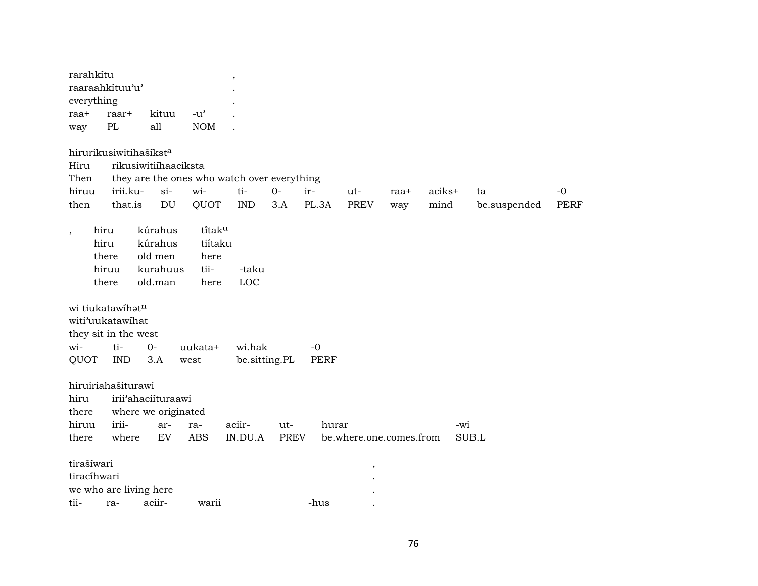| rarahkítu<br>everything<br>raa+   | raaraahkituu'u'<br>raar+                                                          | kituu                                                                                                        | $-u$ <sup><math>\prime</math></sup>       | $\overline{\phantom{a}}$     |             |                     |                          |             |                |                    |                     |
|-----------------------------------|-----------------------------------------------------------------------------------|--------------------------------------------------------------------------------------------------------------|-------------------------------------------|------------------------------|-------------|---------------------|--------------------------|-------------|----------------|--------------------|---------------------|
| way                               | PL                                                                                | all                                                                                                          | <b>NOM</b>                                |                              |             |                     |                          |             |                |                    |                     |
| Hiru<br>Then<br>hiruu<br>then     | irii.ku-<br>that.is                                                               | hirurikusiwitihašíksta<br>rikusiwitiíhaaciksta<br>they are the ones who watch over everything<br>$si-$<br>DU | wi-<br>QUOT                               | ti-<br>$\mathbf{IND}\xspace$ | $0-$<br>3.A | ir-<br>PL.3A        | ut-<br><b>PREV</b>       | raa+<br>way | aciks+<br>mind | ta<br>be.suspended | $-0$<br><b>PERF</b> |
| $\cdot$                           | hiru<br>hiru<br>there<br>hiruu<br>there                                           | kúrahus<br>kúrahus<br>old men<br>kurahuus<br>old.man                                                         | titaku<br>tiítaku<br>here<br>tii-<br>here | -taku<br>LOC                 |             |                     |                          |             |                |                    |                     |
| wi-<br>QUOT                       | wi tiukatawihatn<br>witi'uukatawihat<br>they sit in the west<br>ti-<br><b>IND</b> | $O -$<br>3.A                                                                                                 | uukata+<br>west                           | wi.hak<br>be.sitting.PL      |             | $-0$<br><b>PERF</b> |                          |             |                |                    |                     |
| hiru<br>there<br>hiruu            | hiruiriahašiturawi<br>irii-                                                       | irii'ahaciíturaawi<br>where we originated<br>ar-                                                             | ra-                                       | aciir-                       | ut-         | hurar               |                          |             | -wi            |                    |                     |
| there                             | where                                                                             | ${\rm EV}$                                                                                                   | <b>ABS</b>                                | IN.DU.A                      | <b>PREV</b> |                     | be.where.one.comes.from  |             |                | SUB.L              |                     |
| tirašíwari<br>tiracíhwari<br>tii- | ra-                                                                               | we who are living here<br>aciir-                                                                             | warii                                     |                              |             | -hus                | $\overline{\phantom{a}}$ |             |                |                    |                     |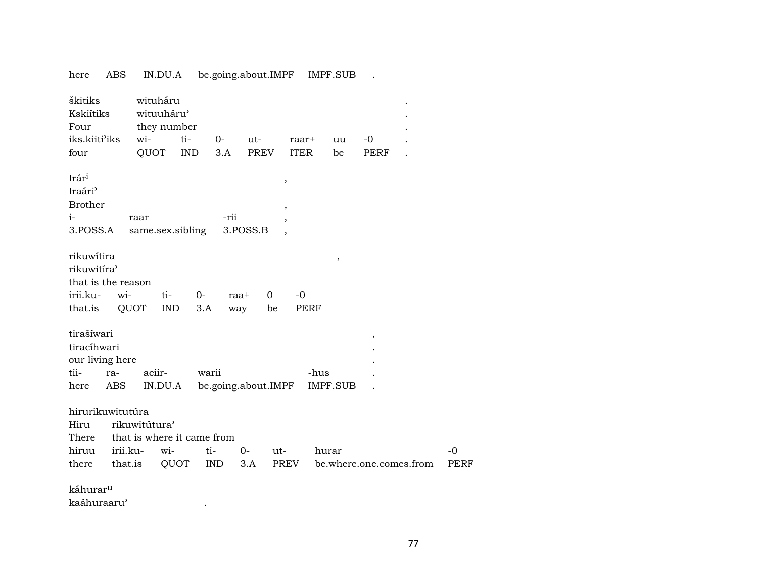| be.going.about.IMPF<br><b>ABS</b><br>IN.DU.A<br><b>IMPF.SUB</b><br>here                                                                                                                                                                                |
|--------------------------------------------------------------------------------------------------------------------------------------------------------------------------------------------------------------------------------------------------------|
| wituháru<br>škitiks<br>wituuháru'<br>Kskiítiks<br>they number<br>Four<br>iks.kiiti'iks<br>wi-<br>ti-<br>0-<br>$-0$<br>ut-<br>raar+<br>uu<br>QUOT<br>four<br><b>IND</b><br>3.A<br><b>PREV</b><br><b>ITER</b><br><b>PERF</b><br>be                       |
| Irári<br>$\, ,$<br>Iraári <sup>3</sup><br><b>Brother</b><br>,<br>$i-$<br>-rii<br>raar<br>3.POSS.A<br>same.sex.sibling<br>3.POSS.B                                                                                                                      |
| rikuwítira<br>,<br>rikuwitíra'<br>that is the reason<br>irii.ku-<br>ti-<br>wi-<br>$0-$<br>$\mathbf 0$<br>$-0$<br>raa+<br>that.is<br>QUOT<br><b>IND</b><br>3.A<br><b>PERF</b><br>way<br>be                                                              |
| tirašíwari<br>$\overline{\phantom{a}}$<br>tiracíhwari<br>our living here<br>tii-<br>aciir-<br>warii<br>ra-<br>-hus<br>be.going.about.IMPF<br><b>ABS</b><br>IN.DU.A<br><b>IMPF.SUB</b><br>here                                                          |
| hirurikuwitutúra<br>rikuwitútura'<br>Hiru<br>There<br>that is where it came from<br>irii.ku-<br>wi-<br>hiruu<br>ti-<br>$0-$<br>$-0$<br>ut-<br>hurar<br>that.is<br>QUOT<br><b>IND</b><br>PREV<br>be.where.one.comes.from<br><b>PERF</b><br>there<br>3.A |
| káhurar <sup>u</sup>                                                                                                                                                                                                                                   |

kaáhuraaru<sup>)</sup>

 $\sim 10$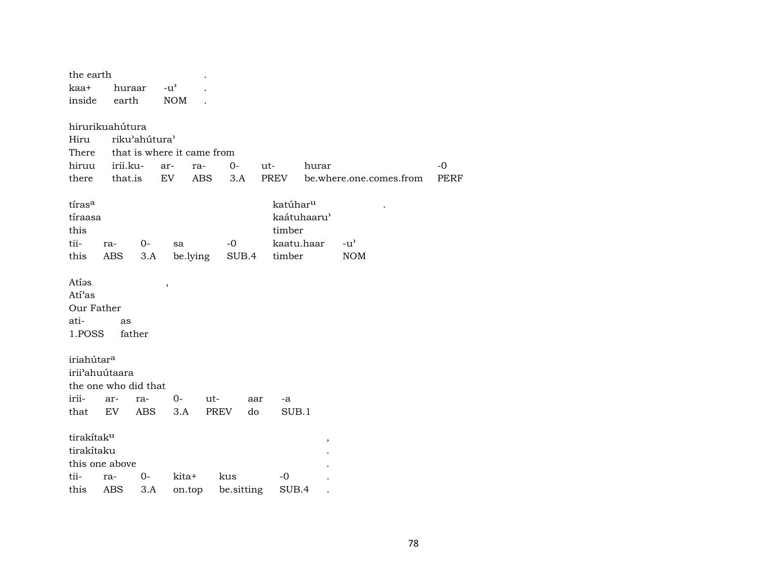| the earth              |                      |                            |            |                      |             |                         |      |
|------------------------|----------------------|----------------------------|------------|----------------------|-------------|-------------------------|------|
| kaa+                   | huraar               | $-u^{\prime}$              |            |                      |             |                         |      |
| inside                 | earth                | <b>NOM</b>                 |            |                      |             |                         |      |
|                        |                      |                            |            |                      |             |                         |      |
|                        | hirurikuahútura      |                            |            |                      |             |                         |      |
| Hiru                   | riku'ahútura'        |                            |            |                      |             |                         |      |
| There                  |                      | that is where it came from |            |                      |             |                         |      |
| hiruu                  | irii.ku-             | ar-<br>ra-                 | $0-$       | ut-                  | hurar       |                         | $-0$ |
| there                  | that.is              | EV<br>ABS                  | 3.A        | PREV                 |             | be.where.one.comes.from | PERF |
|                        |                      |                            |            |                      |             |                         |      |
| tíras <sup>a</sup>     |                      |                            |            | katúhar <sup>u</sup> |             |                         |      |
| tíraasa                |                      |                            |            |                      | kaátuhaaru' |                         |      |
| this                   |                      |                            |            | timber               |             |                         |      |
| tii-                   | $0-$<br>ra-          | sa                         | -0         | kaatu.haar           |             | $-u^{\prime}$           |      |
| this                   | ABS<br>3.A           | be.lying                   | SUB.4      | timber               |             | <b>NOM</b>              |      |
|                        |                      |                            |            |                      |             |                         |      |
| Atias                  |                      |                            |            |                      |             |                         |      |
| Atí'as                 |                      | $\,$                       |            |                      |             |                         |      |
| Our Father             |                      |                            |            |                      |             |                         |      |
| ati-                   | as                   |                            |            |                      |             |                         |      |
| 1.POSS                 | father               |                            |            |                      |             |                         |      |
|                        |                      |                            |            |                      |             |                         |      |
| iriahútar <sup>a</sup> |                      |                            |            |                      |             |                         |      |
| irii'ahuútaara         |                      |                            |            |                      |             |                         |      |
|                        | the one who did that |                            |            |                      |             |                         |      |
| irii-                  | ar-<br>ra-           | $0-$                       | ut-        | aar<br>-a            |             |                         |      |
| that                   | EV<br>ABS            | 3.A                        | PREV<br>do | SUB.1                |             |                         |      |
|                        |                      |                            |            |                      |             |                         |      |
| tirakítak <sup>u</sup> |                      |                            |            |                      |             |                         |      |
| tirakítaku             |                      |                            |            |                      | ,           |                         |      |
|                        |                      |                            |            |                      |             |                         |      |
| this one above         |                      |                            |            |                      |             |                         |      |
| tii-                   | $0-$<br>ra-          | kita+                      | kus        | -0                   |             |                         |      |
| this                   | <b>ABS</b><br>3.A    | on.top                     | be sitting | SUB.4                |             |                         |      |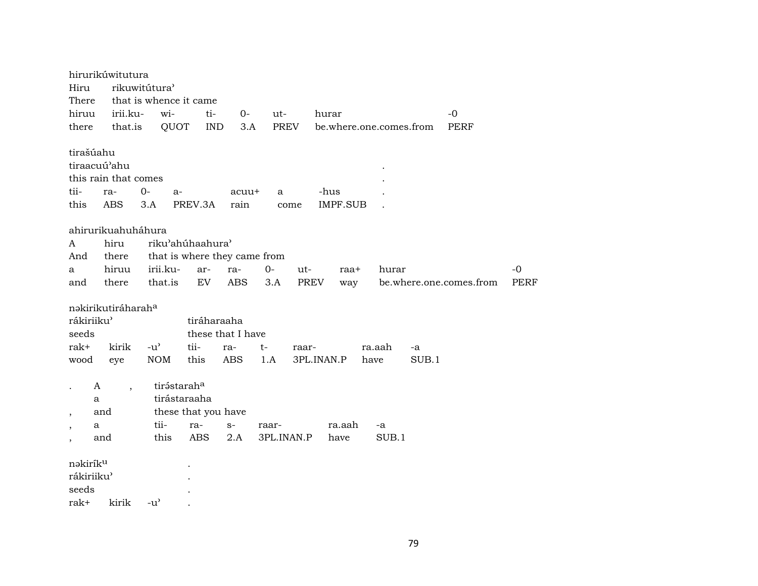|            | hirurikúwitutura               |               |                        |             |                              |            |             |                         |        |       |       |                         |             |
|------------|--------------------------------|---------------|------------------------|-------------|------------------------------|------------|-------------|-------------------------|--------|-------|-------|-------------------------|-------------|
| Hiru       |                                | rikuwitútura' |                        |             |                              |            |             |                         |        |       |       |                         |             |
| There      |                                |               | that is whence it came |             |                              |            |             |                         |        |       |       |                         |             |
| hiruu      | irii.ku-                       |               | wi-                    | ti-         | 0-                           | ut-        |             | hurar                   |        |       |       | $-0$                    |             |
| there      | that.is                        |               | QUOT                   | <b>IND</b>  | 3.A                          | PREV       |             | be.where.one.comes.from |        |       |       | <b>PERF</b>             |             |
|            |                                |               |                        |             |                              |            |             |                         |        |       |       |                         |             |
| tirašúahu  |                                |               |                        |             |                              |            |             |                         |        |       |       |                         |             |
|            | tiraacuú'ahu                   |               |                        |             |                              |            |             |                         |        |       |       |                         |             |
|            | this rain that comes           |               |                        |             |                              |            |             |                         |        |       |       |                         |             |
| tii-       | ra-                            | $O -$         | $a-$                   |             | acuu+                        | a          |             | -hus                    |        |       |       |                         |             |
| this       | <b>ABS</b>                     | 3.A           | PREV.3A                |             | rain                         |            | come        | <b>IMPF.SUB</b>         |        |       |       |                         |             |
|            |                                |               |                        |             |                              |            |             |                         |        |       |       |                         |             |
|            | ahirurikuahuháhura             |               |                        |             |                              |            |             |                         |        |       |       |                         |             |
| A          | hiru                           |               | riku'ahúhaahura'       |             |                              |            |             |                         |        |       |       |                         |             |
| And        | there                          |               |                        |             | that is where they came from |            |             |                         |        |       |       |                         |             |
| a          | hiruu                          | irii.ku-      |                        | ar-         | ra-                          | $O -$      | ut-         | raa+                    |        | hurar |       |                         | $-0$        |
| and        | there                          | that.is       |                        | EV          | <b>ABS</b>                   | 3.A        | <b>PREV</b> | way                     |        |       |       | be.where.one.comes.from | <b>PERF</b> |
|            |                                |               |                        |             |                              |            |             |                         |        |       |       |                         |             |
|            | nakirikutiráharah <sup>a</sup> |               |                        |             |                              |            |             |                         |        |       |       |                         |             |
| rákiriiku' |                                |               |                        | tiráharaaha |                              |            |             |                         |        |       |       |                         |             |
| seeds      |                                |               |                        |             | these that I have            |            |             |                         |        |       |       |                         |             |
| rak+       | kirik                          | $-u^{\prime}$ | tii-                   |             | ra-                          | $t-$       | raar-       |                         | ra.aah |       | -a    |                         |             |
| wood       | eye                            | <b>NOM</b>    | this                   |             | ABS                          | 1.A        |             | 3PL.INAN.P              | have   |       | SUB.1 |                         |             |
|            |                                |               |                        |             |                              |            |             |                         |        |       |       |                         |             |
|            | A<br>$\overline{\phantom{a}}$  |               | tirástaraha            |             |                              |            |             |                         |        |       |       |                         |             |
|            | a                              |               | tirástaraaha           |             |                              |            |             |                         |        |       |       |                         |             |
|            | and                            |               | these that you have    |             |                              |            |             |                         |        |       |       |                         |             |
|            | a                              | tii-          | ra-                    |             | $S-$                         | raar-      |             | ra.aah                  |        | -a    |       |                         |             |
|            | and                            | this          |                        | <b>ABS</b>  | 2.A                          | 3PL.INAN.P |             | have                    |        | SUB.1 |       |                         |             |
|            |                                |               |                        |             |                              |            |             |                         |        |       |       |                         |             |
| nəkiríku   |                                |               |                        |             |                              |            |             |                         |        |       |       |                         |             |
| rákiriiku' |                                |               |                        |             |                              |            |             |                         |        |       |       |                         |             |
| seeds      |                                |               |                        |             |                              |            |             |                         |        |       |       |                         |             |
| rak+       | kirik                          | $-u^{\prime}$ |                        |             |                              |            |             |                         |        |       |       |                         |             |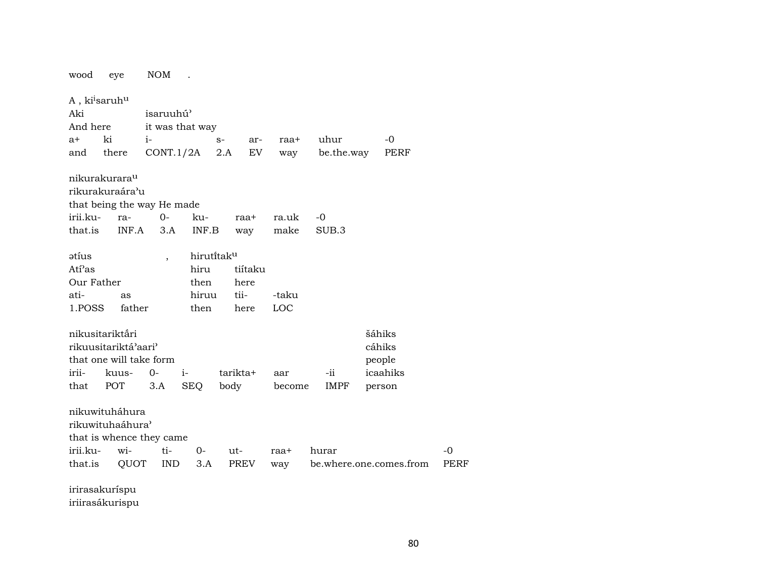wood eye NOM . A, ki<sup>i</sup>saruh<sup>u</sup> Aki isaruuhú" And here it was that way a+ ki i- s- ar- raa+ uhur -0 and there CONT.1/2A 2.A EV way be.the.way PERF nikurakuraraµ rikurakuraára"u that being the way He made irii.ku- ra- 0- ku- raa+ ra.uk -0 that.is INF.A 3.A INF.B way make SUB.3 ətíus , hirutîtak<sup>u</sup> Atí"as hiru tiítaku Our Father then here ati- as hiruu tii- -taku 1.POSS father then here LOC nikusitariktñri šáhiks rikuusitariktá"aari" cáhiks that one will take form people irii- kuus- 0- i- tarikta+ aar -ii icaahiks that POT 3.A SEQ body become IMPF person nikuwituháhura rikuwituhaáhura" that is whence they came irii.ku- wi- ti- 0- ut- raa+ hurar -0 that.is QUOT IND 3.A PREV way be.where.one.comes.from PERF

irirasakuríspu iriirasákurispu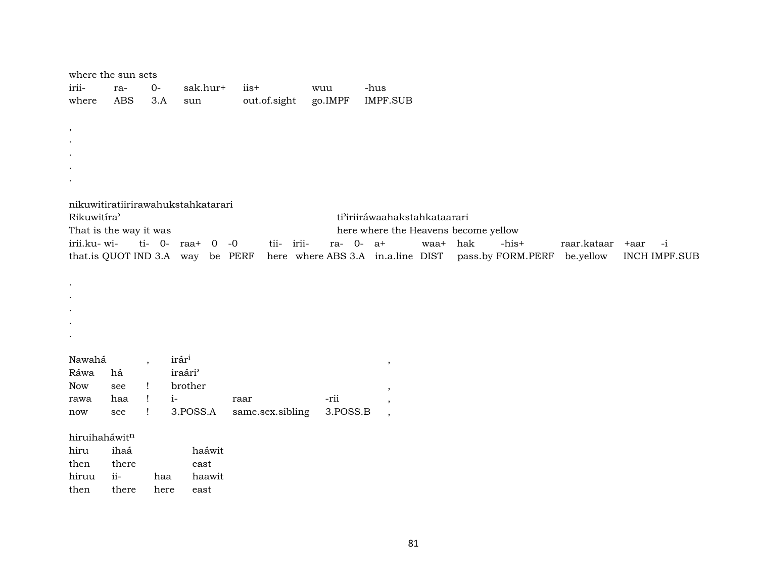| where the sun sets     |            |              |                                    |                  |            |                                                                     |                      |
|------------------------|------------|--------------|------------------------------------|------------------|------------|---------------------------------------------------------------------|----------------------|
| irii-                  | ra-        | $0-$         | sak.hur+                           | iis+             | wuu        | -hus                                                                |                      |
| where                  | <b>ABS</b> | 3.A          | sun                                | out.of.sight     | go.IMPF    | <b>IMPF.SUB</b>                                                     |                      |
|                        |            |              |                                    |                  |            |                                                                     |                      |
| $\,$                   |            |              |                                    |                  |            |                                                                     |                      |
|                        |            |              |                                    |                  |            |                                                                     |                      |
|                        |            |              |                                    |                  |            |                                                                     |                      |
|                        |            |              |                                    |                  |            |                                                                     |                      |
|                        |            |              |                                    |                  |            |                                                                     |                      |
|                        |            |              |                                    |                  |            |                                                                     |                      |
|                        |            |              | nikuwitiratiirirawahukstahkatarari |                  |            |                                                                     |                      |
| Rikuwitíra'            |            |              |                                    |                  |            | ti'iriiráwaahakstahkataarari                                        |                      |
| That is the way it was |            |              |                                    |                  |            | here where the Heavens become yellow                                |                      |
| irii.ku-wi-            |            | ti- 0- raa+  | $\overline{0}$<br>$-0$             | tii- irii-       | $ra-0- a+$ | $-his+$<br>hak<br>waa+<br>raar.kataar                               | $-i$<br>+aar         |
|                        |            |              | that.is QUOT IND 3.A way be PERF   |                  |            | here where ABS 3.A in.a.line DIST<br>pass.by FORM.PERF<br>be.yellow | <b>INCH IMPF.SUB</b> |
|                        |            |              |                                    |                  |            |                                                                     |                      |
|                        |            |              |                                    |                  |            |                                                                     |                      |
|                        |            |              |                                    |                  |            |                                                                     |                      |
|                        |            |              |                                    |                  |            |                                                                     |                      |
|                        |            |              |                                    |                  |            |                                                                     |                      |
|                        |            |              |                                    |                  |            |                                                                     |                      |
| Nawahá                 |            |              | irár <sup>i</sup>                  |                  |            | $\,$                                                                |                      |
| Ráwa                   | há         |              | iraári <sup>3</sup>                |                  |            |                                                                     |                      |
| <b>Now</b>             | see        | $\mathbf{I}$ | brother                            |                  |            | ,                                                                   |                      |
| rawa                   | haa        | $\mathbf{I}$ | $i-$                               | raar             | -rii       | $\cdot$                                                             |                      |
| now                    | see        | $\mathbf{I}$ | 3.POSS.A                           | same.sex.sibling | 3.POSS.B   | $\overline{\phantom{a}}$                                            |                      |
|                        |            |              |                                    |                  |            |                                                                     |                      |
| hiruihaháwitn          |            |              |                                    |                  |            |                                                                     |                      |
| hiru                   | ihaá       |              | haáwit                             |                  |            |                                                                     |                      |
| then                   | there      |              | east                               |                  |            |                                                                     |                      |
| hiruu                  | $ii -$     | haa          | haawit                             |                  |            |                                                                     |                      |
| then                   | there      | here         | east                               |                  |            |                                                                     |                      |
|                        |            |              |                                    |                  |            |                                                                     |                      |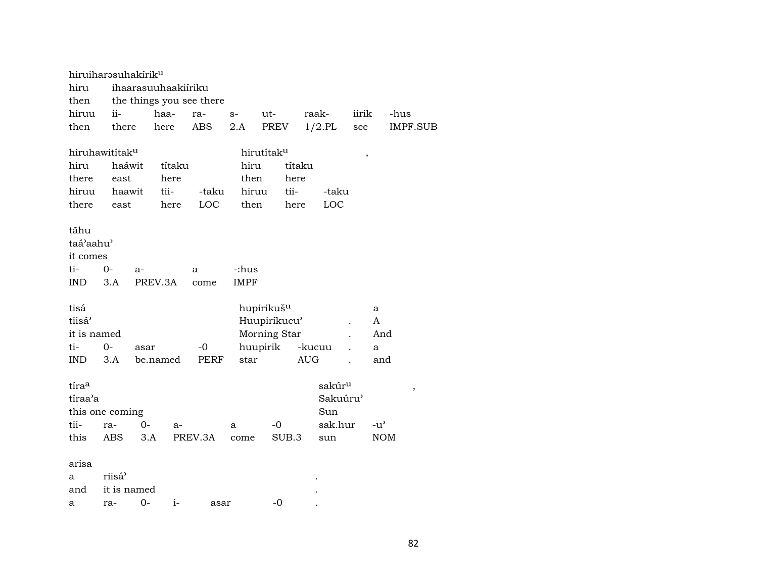| hiruiharasuhakiriku                                            |                                                |             |                                |                          |                               |                                                                    |                      |                                                         |                             |          |
|----------------------------------------------------------------|------------------------------------------------|-------------|--------------------------------|--------------------------|-------------------------------|--------------------------------------------------------------------|----------------------|---------------------------------------------------------|-----------------------------|----------|
| hiru                                                           |                                                |             | ihaarasuuhaakiiriku            |                          |                               |                                                                    |                      |                                                         |                             |          |
| then                                                           |                                                |             |                                | the things you see there |                               |                                                                    |                      |                                                         |                             |          |
| hiruu                                                          | $ii -$                                         |             | haa-                           | ra-                      | $S-$                          | ut-                                                                | raak-                |                                                         | iirik                       | -hus     |
| then                                                           | there                                          |             | here                           | <b>ABS</b>               | 2.A                           | PREV                                                               | $1/2$ .PL            |                                                         | see                         | IMPF.SUB |
| hiruhawitítak <sup>u</sup><br>hiru<br>there<br>hiruu<br>there  | haáwit<br>east<br>haawit<br>east               |             | títaku<br>here<br>tii-<br>here | -taku<br>LOC             | hiru<br>then<br>hiruu<br>then | hirutítaku<br>here<br>tii-<br>here                                 | títaku               | -taku<br>LOC                                            | ,                           |          |
| tãhu<br>taá'aahu'<br>it comes<br>ti-<br>IND.                   | $0-$<br>3.A                                    | $a-$        | PREV.3A                        | a<br>come                | -:hus<br><b>IMPF</b>          |                                                                    |                      |                                                         |                             |          |
| tisá<br>tiisá <sup>3</sup><br>it is named<br>ti-<br><b>IND</b> | $O -$<br>3.A                                   | asar        | be.named                       | $-0$<br><b>PERF</b>      | star                          | hupirikuš <sup>u</sup><br>Huupiríkucu'<br>Morning Star<br>huupirik | -kucuu<br><b>AUG</b> |                                                         | a<br>A<br>And<br>a<br>and   |          |
| tíraa<br>tíraa'a<br>this one coming<br>tii-<br>this            | ra-<br>ABS                                     | $0-$<br>3.A | $a-$                           | PREV.3A                  | a<br>come                     | -0<br>SUB.3                                                        |                      | sakúr <sup>u</sup><br>Sakuúru'<br>Sun<br>sak.hur<br>sun | $-u^{\prime}$<br><b>NOM</b> | $\,$     |
| arisa<br>a<br>and                                              | riisá <sup>3</sup><br>it is named<br>а та- ()- |             | $\overline{1}$                 | asar                     |                               | -0                                                                 |                      |                                                         |                             |          |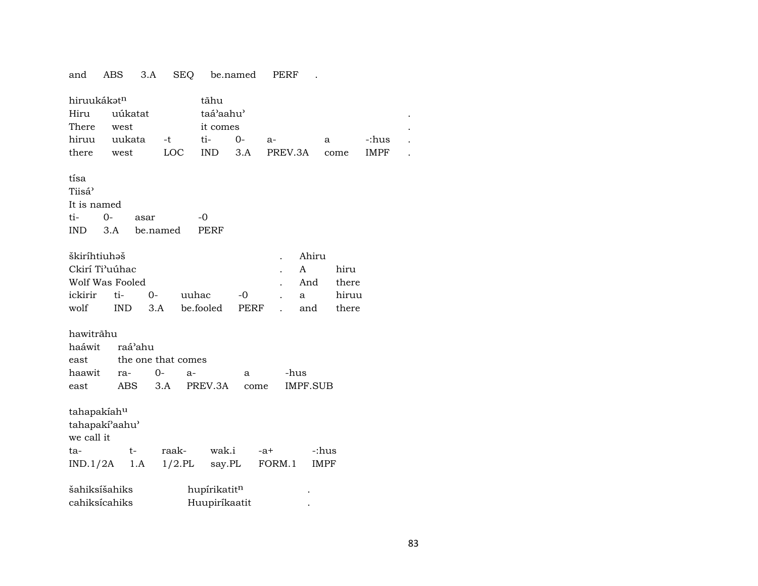| and                                                                                     | ABS               | 3.A              | <b>SEQ</b>         |                               | be.named     | <b>PERF</b>   |                               |                                 |             |
|-----------------------------------------------------------------------------------------|-------------------|------------------|--------------------|-------------------------------|--------------|---------------|-------------------------------|---------------------------------|-------------|
| hiruukákət <sup>n</sup><br>Hiru<br>There                                                | uúkatat<br>west   |                  |                    | tãhu<br>taá'aahu'<br>it comes |              |               |                               |                                 |             |
| hiruu                                                                                   | uukata            |                  | -t                 | ti-                           | $0-$         | $a-$          |                               | a                               | -:hus       |
| there                                                                                   | west              |                  | LOC                | <b>IND</b>                    | 3.A          | PREV.3A       |                               | come                            | <b>IMPF</b> |
| tísa<br>Tiisá <sup>3</sup><br>It is named<br>ti-<br>IND                                 | $0-$<br>3.A       | asar<br>be.named |                    | -0<br>PERF                    |              |               |                               |                                 |             |
| škiríhtiuhəš<br>Ckirí Ti'uúhac<br>Wolf Was Fooled<br>ickirir<br>wolf                    | ti-<br><b>IND</b> | 0-<br>3.A        | uuhac              | be.fooled                     | $-0$<br>PERF |               | Ahiru<br>A<br>And<br>a<br>and | hiru<br>there<br>hiruu<br>there |             |
| hawitrãhu<br>haáwit<br>east                                                             |                   | raá'ahu          | the one that comes |                               |              |               |                               |                                 |             |
| haawit                                                                                  | ra-               | $0-$             | $a-$               |                               | a            |               | -hus                          |                                 |             |
| east                                                                                    | ABS.              |                  | 3.A                | PREV.3A                       | come         |               | <b>IMPF.SUB</b>               |                                 |             |
| tahapakiahu<br>tahapaki <sup>3</sup> aahu <sup>3</sup><br>we call it<br>ta-<br>IND.1/2A |                   | t-<br>1.A        | raak-<br>$1/2$ .PL | wak.i<br>say.PL               |              | -a+<br>FORM.1 |                               | -:hus<br><b>IMPF</b>            |             |
|                                                                                         |                   |                  |                    |                               |              |               |                               |                                 |             |
| šahiksíšahiks                                                                           |                   |                  |                    | hupírikatitn                  |              |               |                               |                                 |             |
| cahiksícahiks                                                                           |                   |                  |                    | Huupiríkaatit                 |              |               |                               |                                 |             |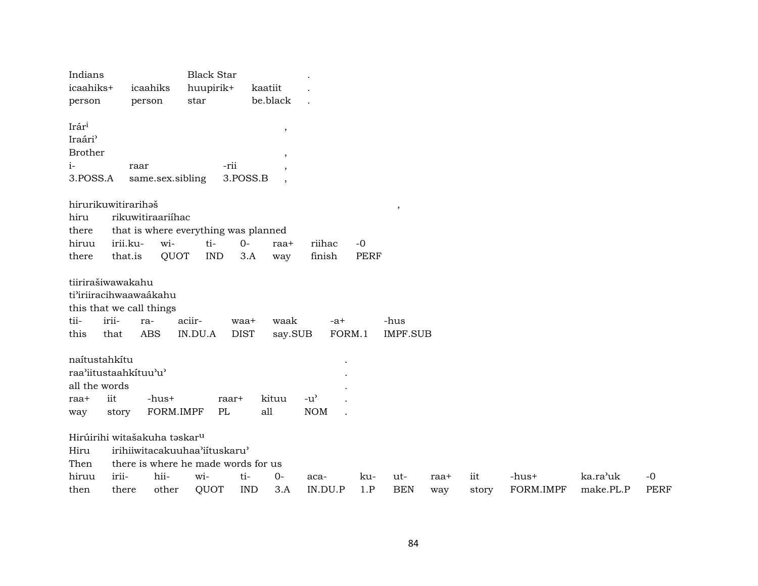| Indians             |                          |                                          | Black Star                           |             |                          |                                     |             |                 |      |       |           |           |             |
|---------------------|--------------------------|------------------------------------------|--------------------------------------|-------------|--------------------------|-------------------------------------|-------------|-----------------|------|-------|-----------|-----------|-------------|
| icaahiks+           |                          | icaahiks                                 | huupirik+                            | kaatiit     |                          |                                     |             |                 |      |       |           |           |             |
| person              |                          | person                                   | star                                 | be.black    |                          |                                     |             |                 |      |       |           |           |             |
| Irár <sup>i</sup>   |                          |                                          |                                      |             | $\overline{\phantom{a}}$ |                                     |             |                 |      |       |           |           |             |
| Iraári <sup>3</sup> |                          |                                          |                                      |             |                          |                                     |             |                 |      |       |           |           |             |
| <b>Brother</b>      |                          |                                          |                                      |             | ,                        |                                     |             |                 |      |       |           |           |             |
| $i-$                | raar                     |                                          | -rii                                 |             |                          |                                     |             |                 |      |       |           |           |             |
| 3.POSS.A            |                          | same.sex.sibling                         |                                      | 3.POSS.B    | $\cdot$                  |                                     |             |                 |      |       |           |           |             |
|                     | hirurikuwitirarihaš      |                                          |                                      |             |                          |                                     |             | $\,$            |      |       |           |           |             |
| hiru                |                          | rikuwitiraariihac                        |                                      |             |                          |                                     |             |                 |      |       |           |           |             |
| there               |                          |                                          | that is where everything was planned |             |                          |                                     |             |                 |      |       |           |           |             |
| hiruu               | irii.ku-                 | wi-                                      | ti-                                  | $0-$        | raa+                     | riihac                              | $-0$        |                 |      |       |           |           |             |
| there               | that.is                  | QUOT                                     | <b>IND</b>                           | 3.A         | way                      | finish                              | <b>PERF</b> |                 |      |       |           |           |             |
|                     | tiirirašiwawakahu        |                                          |                                      |             |                          |                                     |             |                 |      |       |           |           |             |
|                     | ti'iriiracihwaawaákahu   |                                          |                                      |             |                          |                                     |             |                 |      |       |           |           |             |
|                     | this that we call things |                                          |                                      |             |                          |                                     |             |                 |      |       |           |           |             |
| tii-                | irii-                    | ra-                                      | aciir-                               | waa+        | waak                     | $-a+$                               |             | -hus            |      |       |           |           |             |
| this                | that                     | <b>ABS</b>                               | IN.DU.A                              | <b>DIST</b> | say.SUB                  | FORM.1                              |             | <b>IMPF.SUB</b> |      |       |           |           |             |
| naítustahkítu       |                          |                                          |                                      |             |                          |                                     |             |                 |      |       |           |           |             |
|                     | raa'iitustaahkituu'u'    |                                          |                                      |             |                          |                                     |             |                 |      |       |           |           |             |
| all the words       |                          |                                          |                                      |             |                          |                                     |             |                 |      |       |           |           |             |
| raa+                | iit                      | -hus+                                    | raar+                                |             | kituu                    | $-u$ <sup><math>\prime</math></sup> |             |                 |      |       |           |           |             |
| way                 | story                    | FORM.IMPF                                | PL                                   | all         |                          | <b>NOM</b>                          |             |                 |      |       |           |           |             |
|                     |                          | Hirúirihi witašakuha taskar <sup>u</sup> |                                      |             |                          |                                     |             |                 |      |       |           |           |             |
| Hiru                |                          |                                          | irihiiwitacakuuhaa'iituskaru'        |             |                          |                                     |             |                 |      |       |           |           |             |
| Then                |                          |                                          | there is where he made words for us  |             |                          |                                     |             |                 |      |       |           |           |             |
| hiruu               | irii-                    | hii-                                     | wi-                                  | ti-         | $0-$                     | aca-                                | ku-         | ut-             | raa+ | iit   | -hus+     | ka.ra'uk  | $-0$        |
| then                | there                    | other                                    | QUOT                                 | <b>IND</b>  | 3.A                      | IN.DU.P                             | 1.P         | <b>BEN</b>      | way  | story | FORM.IMPF | make.PL.P | <b>PERF</b> |
|                     |                          |                                          |                                      |             |                          |                                     |             |                 |      |       |           |           |             |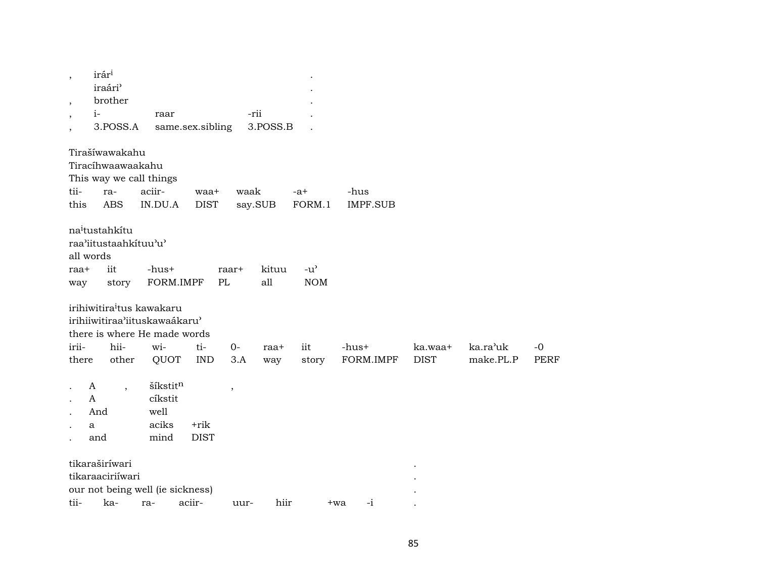| $\, ,$                             | irári<br>iraári <sup></sup><br>brother                                                                                  |                                              |                             |                 |             |               |                         |                        |                       |                     |
|------------------------------------|-------------------------------------------------------------------------------------------------------------------------|----------------------------------------------|-----------------------------|-----------------|-------------|---------------|-------------------------|------------------------|-----------------------|---------------------|
| $\overline{\phantom{a}}$           | $i-$                                                                                                                    | raar                                         |                             | -rii            |             |               |                         |                        |                       |                     |
| $\, ,$<br>$\overline{\phantom{a}}$ | 3.POSS.A                                                                                                                |                                              | same.sex.sibling            |                 | 3.POSS.B    |               |                         |                        |                       |                     |
| tii-<br>this                       | Tirašíwawakahu<br>Tiracíhwaawaakahu<br>This way we call things<br>ra-<br><b>ABS</b>                                     | aciir-<br>IN.DU.A                            | waa+<br><b>DIST</b>         | waak<br>say.SUB |             | -a+<br>FORM.1 | -hus<br><b>IMPF.SUB</b> |                        |                       |                     |
|                                    | na <sup>i</sup> tustahkítu<br>raa'iitustaahkituu'u'<br>all words                                                        |                                              |                             |                 |             |               |                         |                        |                       |                     |
| raa+                               | iit                                                                                                                     | -hus+                                        |                             | raar+           | kituu       | $-u^{\prime}$ |                         |                        |                       |                     |
| way                                | story                                                                                                                   | FORM.IMPF                                    |                             | PL              | all         | <b>NOM</b>    |                         |                        |                       |                     |
| irii-<br>there                     | irihiwitira <sup>i</sup> tus kawakaru<br>irihiiwitiraa'iituskawaákaru'<br>there is where He made words<br>hii-<br>other | wi-<br>QUOT                                  | ti-<br><b>IND</b>           | $0-$<br>3.A     | raa+<br>way | iit<br>story  | -hus+<br>FORM.IMPF      | ka.waa+<br><b>DIST</b> | ka.ra'uk<br>make.PL.P | $-0$<br><b>PERF</b> |
|                                    | A<br>$\cdot$<br>A<br>And<br>a<br>and                                                                                    | šíkstitn<br>cíkstit<br>well<br>aciks<br>mind | $+{\rm rik}$<br><b>DIST</b> | $\, ,$          |             |               |                         |                        |                       |                     |
| tii-                               | tikaraširíwari<br>tikaraaciriíwari<br>our not being well (ie sickness)<br>ka-                                           | ra-                                          | aciir-                      | uur-            | hiir        |               | $-i$<br>+wa             |                        |                       |                     |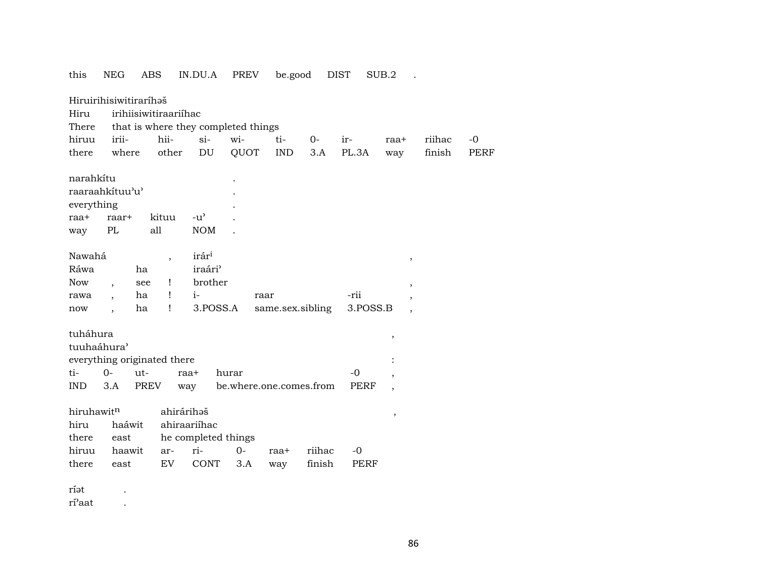| this       | <b>NEG</b>                  | <b>ABS</b> |                          | IN.DU.A                             | PREV  | be.good                 |        | <b>DIST</b> | SUB.2                    |        |             |
|------------|-----------------------------|------------|--------------------------|-------------------------------------|-------|-------------------------|--------|-------------|--------------------------|--------|-------------|
| Hiru       | Hiruirihisiwitiraríhaš      |            | irihiisiwitiraariihac    |                                     |       |                         |        |             |                          |        |             |
| There      |                             |            |                          | that is where they completed things |       |                         |        |             |                          |        |             |
| hiruu      | irii-                       |            | hii-                     | $si-$                               | wi-   | ti-                     | $0-$   | ir-         | raa+                     | riihac | $-0$        |
| there      | where                       |            | other                    | DU                                  | QUOT  | <b>IND</b>              | 3.A    | PL.3A       | way                      | finish | <b>PERF</b> |
|            |                             |            |                          |                                     |       |                         |        |             |                          |        |             |
| narahkítu  |                             |            |                          |                                     |       |                         |        |             |                          |        |             |
|            | raaraahkituu'u'             |            |                          |                                     |       |                         |        |             |                          |        |             |
| everything |                             |            |                          |                                     |       |                         |        |             |                          |        |             |
| raa+       | raar+                       |            | kituu                    | $-u$ <sup><math>\prime</math></sup> |       |                         |        |             |                          |        |             |
| way        | PL                          | all        |                          | <b>NOM</b>                          |       |                         |        |             |                          |        |             |
|            |                             |            |                          |                                     |       |                         |        |             |                          |        |             |
| Nawahá     |                             |            | $\overline{\phantom{a}}$ | irár <sup>i</sup>                   |       |                         |        |             | $\,$                     |        |             |
| Ráwa       |                             | ha         |                          | iraári'                             |       |                         |        |             |                          |        |             |
| <b>Now</b> | $\overline{\phantom{a}}$    | see        | Ţ                        | brother                             |       |                         |        |             |                          |        |             |
| rawa       | $\overline{\phantom{a}}$    | ha         | Ţ                        | $i-$                                |       | raar                    |        | -rii        |                          |        |             |
| now        |                             | ha         | Ţ                        | 3.POSS.A                            |       | same.sex.sibling        |        | 3.POSS.B    |                          |        |             |
|            |                             |            |                          |                                     |       |                         |        |             |                          |        |             |
| tuháhura   |                             |            |                          |                                     |       |                         |        |             |                          |        |             |
|            | tuuhaáhura'                 |            |                          |                                     |       |                         |        |             | $\, ,$                   |        |             |
|            | everything originated there |            |                          |                                     |       |                         |        |             |                          |        |             |
| ti-        | $O -$                       | ut-        |                          | raa+                                | hurar |                         |        | $-0$        |                          |        |             |
|            |                             |            |                          |                                     |       |                         |        |             |                          |        |             |
| <b>IND</b> | 3.A                         | PREV       |                          | way                                 |       | be.where.one.comes.from |        | PERF        | $\overline{\phantom{a}}$ |        |             |
|            |                             |            |                          |                                     |       |                         |        |             |                          |        |             |
| hiruhawitn |                             |            | ahirárihaš               |                                     |       |                         |        |             | $\, ,$                   |        |             |
| hiru       | haáwit                      |            |                          | ahiraariíhac                        |       |                         |        |             |                          |        |             |
| there      | east                        |            |                          | he completed things                 |       |                         |        |             |                          |        |             |
| hiruu      | haawit                      |            | ar-                      | ri-                                 | $0-$  | raa+                    | riihac | $-0$        |                          |        |             |
| there      | ${\tt east}$                |            | EV                       | CONT                                | 3.A   | way                     | finish | <b>PERF</b> |                          |        |             |
|            |                             |            |                          |                                     |       |                         |        |             |                          |        |             |
| ríət       | $\bullet$                   |            |                          |                                     |       |                         |        |             |                          |        |             |

rí<sup>3</sup>aat .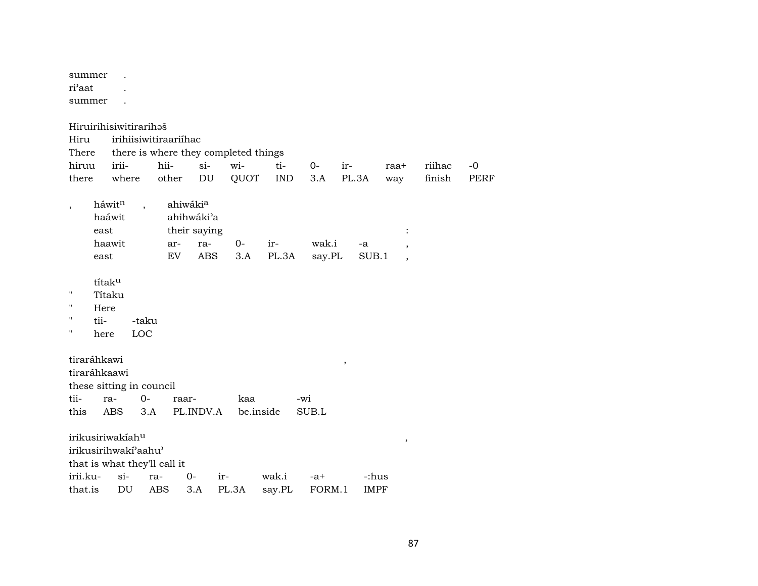summer . ri"aat .

summer .

HiruirihisiwitirarihŸš Hiru irihiisiwitiraariíhac There there is where they completed things hiruu irii- hii- si- wi- ti- 0- ir- raa+ riihac -0 there where other DU QUOT IND 3.A PL.3A way finish PERF háwit<sup>n</sup> , ahiwáki<sup>a</sup> haáwit ahihwáki"a east their saying the same state of the same state of the same state of the state of the state of the state of the state of the state of the state of the state of the state of the state of the state of the state of the sta haawit ar- ra- 0- ir- wak.i -a , east EV ABS 3.A PL.3A say.PL SUB.1 , títakµ " Títaku " Here " tii- -taku " here LOC tiraráhkawi , tiraráhkaawi these sitting in council tii- ra- 0- raar- kaa -wi this ABS 3.A PL.INDV.A be.inside SUB.L  $\mathbf{r}$ irikusiriwakíah $\mathbf{u}$  , and  $\mathbf{v}$  , and  $\mathbf{v}$  , and  $\mathbf{v}$  , and  $\mathbf{v}$  , and  $\mathbf{v}$  , and  $\mathbf{v}$  , and  $\mathbf{v}$  , and  $\mathbf{v}$  , and  $\mathbf{v}$  , and  $\mathbf{v}$  , and  $\mathbf{v}$  , and  $\mathbf{v}$  , and  $\math$ irikusirihwakí"aahu" that is what they'll call it irii.ku- si- ra- 0- ir- wak.i -a+ -:hus that.is DU ABS 3.A PL.3A say.PL FORM.1 IMPF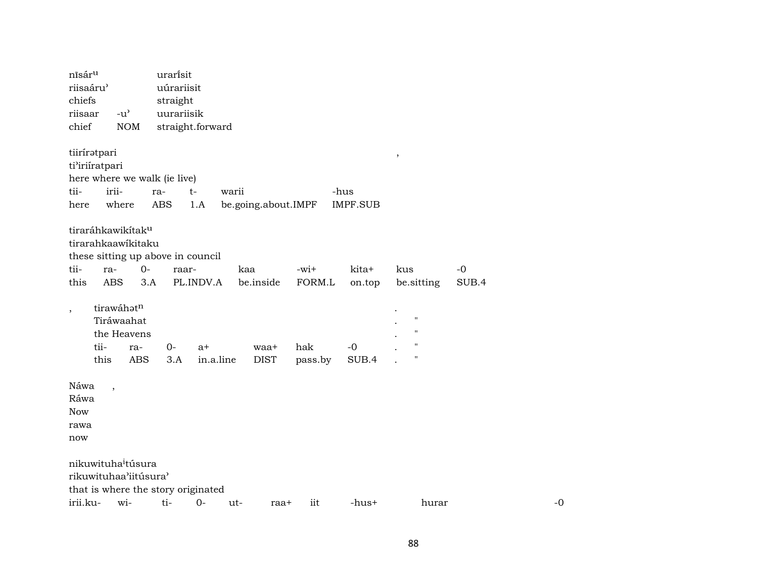| nīsáru<br>riisaáru'<br>chiefs<br>riisaar<br>chief                                                                             | $-u^{\prime}$<br><b>NOM</b>                                  | urarísit<br>uúrariisit<br>straight<br>uurariisik | straight.forward     |                     |                |                  |                                                                                      |               |    |
|-------------------------------------------------------------------------------------------------------------------------------|--------------------------------------------------------------|--------------------------------------------------|----------------------|---------------------|----------------|------------------|--------------------------------------------------------------------------------------|---------------|----|
| tiiríratpari<br>ti'irifratpari<br>here where we walk (ie live)<br>irii-<br>tii-<br>here                                       | where                                                        | ra-<br><b>ABS</b>                                | $t-$<br>warii<br>1.A | be.going.about.IMPF |                | -hus<br>IMPF.SUB | $^\mathrm{,}$                                                                        |               |    |
| tiraráhkawikítak <sup>u</sup><br>tirarahkaawikitaku<br>these sitting up above in council<br>tii-<br>ra-<br><b>ABS</b><br>this | $0-$<br>3.A                                                  | raar-                                            | PL.INDV.A            | kaa<br>be.inside    | -wi+<br>FORM.L | kita+<br>on.top  | kus<br>be.sitting                                                                    | $-0$<br>SUB.4 |    |
| $\cdot$<br>tii-<br>this                                                                                                       | tirawáhatn<br>Tiráwaahat<br>the Heavens<br>ra-<br><b>ABS</b> | $0-$<br>3.A                                      | $a+$<br>in.a.line    | waa+<br><b>DIST</b> | hak<br>pass.by | $-0$<br>SUB.4    | $\pmb{\mathsf{H}}$<br>$\pmb{\mathsf{H}}$<br>$\pmb{\mathsf{H}}$<br>$\pmb{\mathsf{H}}$ |               |    |
| Náwa<br>$\overline{\phantom{a}}$<br>Ráwa<br><b>Now</b><br>rawa<br>now                                                         |                                                              |                                                  |                      |                     |                |                  |                                                                                      |               |    |
| nikuwituha <sup>i</sup> túsura<br>rikuwituhaa'iitúsura'<br>that is where the story originated<br>irii.ku-                     | wi-                                                          | ti-                                              | $0-$                 | ut-<br>raa+         | iit            | -hus+            | hurar                                                                                |               | -0 |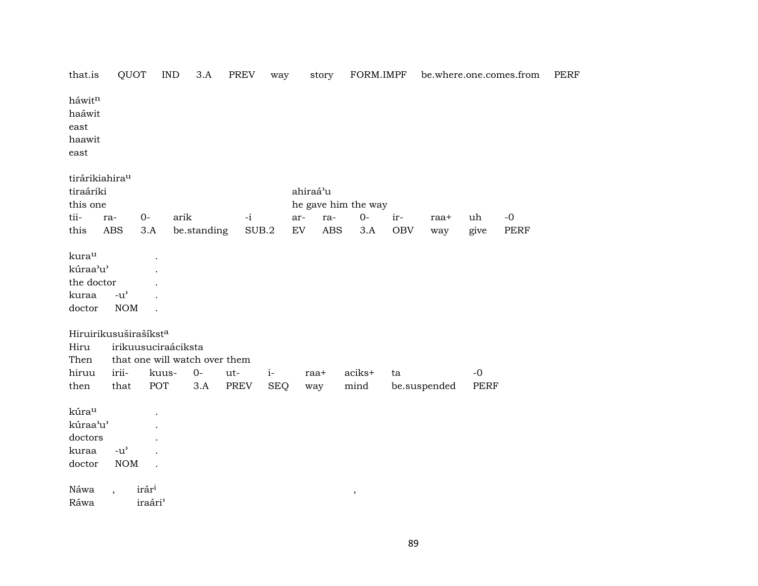| that.is                                             | QUOT                        | IND                           | 3.A         | PREV | way        | story      | FORM.IMPF           |            |              |      | be.where.one.comes.from |
|-----------------------------------------------------|-----------------------------|-------------------------------|-------------|------|------------|------------|---------------------|------------|--------------|------|-------------------------|
| háwitn<br>haáwit<br>east<br>haawit<br>east          |                             |                               |             |      |            |            |                     |            |              |      |                         |
| tirárikiahira <sup>u</sup><br>tiraáriki<br>this one |                             |                               |             |      |            | ahiraá'u   | he gave him the way |            |              |      |                         |
| tii-                                                | ra-                         | $0-$                          | arik        | $-i$ |            | ar-<br>ra- | $0-$                | ir-        | raa+         | uh   | $-0$                    |
| this                                                | <b>ABS</b>                  | 3.A                           | be.standing |      | SUB.2      | EV         | ABS<br>3.A          | <b>OBV</b> | way          | give | <b>PERF</b>             |
| kurau<br>kúraa'u'<br>the doctor<br>kuraa<br>doctor  | $-u^{\prime}$<br><b>NOM</b> |                               |             |      |            |            |                     |            |              |      |                         |
| Hiruirikusuširašíkst <sup>a</sup>                   |                             |                               |             |      |            |            |                     |            |              |      |                         |
| Hiru                                                |                             | irikuusuciraáciksta           |             |      |            |            |                     |            |              |      |                         |
| Then                                                |                             | that one will watch over them |             |      |            |            |                     |            |              |      |                         |
| hiruu                                               | irii-                       | kuus-                         | $O -$       | ut-  | $i-$       | raa+       | aciks+              | ta         |              | $-0$ |                         |
| then                                                | that                        | POT                           | 3.A         | PREV | <b>SEQ</b> | way        | mind                |            | be.suspended | PERF |                         |
| kúrau<br>kúraa'u'<br>doctors<br>kuraa<br>doctor     | $-u^{\prime}$<br><b>NOM</b> |                               |             |      |            |            |                     |            |              |      |                         |
| Náwa                                                | $\ddot{\phantom{0}}$        | irár <sup>i</sup>             |             |      |            |            | $^\mathrm{,}$       |            |              |      |                         |
| Ráwa                                                |                             | iraári <sup>3</sup>           |             |      |            |            |                     |            |              |      |                         |

89

PERF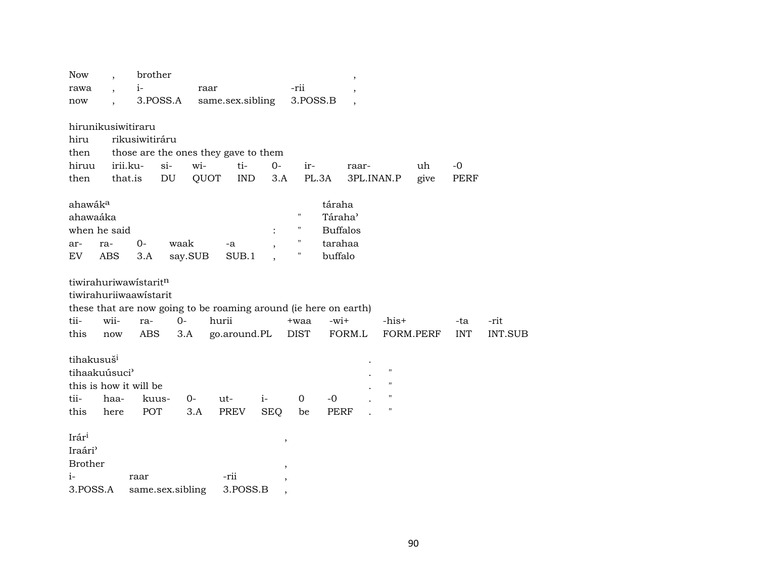| <b>Now</b>                                                       |            | brother        |                            |         |                                      |            |                    |          |                     | $\, ,$ |                    |           |            |                |
|------------------------------------------------------------------|------------|----------------|----------------------------|---------|--------------------------------------|------------|--------------------|----------|---------------------|--------|--------------------|-----------|------------|----------------|
| rawa                                                             |            | $i-$           |                            | raar    |                                      |            | -rii               |          |                     |        |                    |           |            |                |
| now                                                              |            |                | 3.POSS.A                   |         | same.sex.sibling                     |            |                    | 3.POSS.B |                     |        |                    |           |            |                |
|                                                                  |            |                |                            |         |                                      |            |                    |          |                     |        |                    |           |            |                |
| hirunikusiwitiraru                                               |            |                |                            |         |                                      |            |                    |          |                     |        |                    |           |            |                |
| hiru                                                             |            | rikusiwitiráru |                            |         |                                      |            |                    |          |                     |        |                    |           |            |                |
| then                                                             |            |                |                            |         | those are the ones they gave to them |            |                    |          |                     |        |                    |           |            |                |
| hiruu                                                            | irii.ku-   |                | $si-$                      | wi-     | ti-                                  | $O -$      |                    | ir-      |                     | raar-  |                    | uh        | $-0$       |                |
| then                                                             | that.is    |                | $\mathop{\rm DU}\nolimits$ | QUOT    | <b>IND</b>                           | 3.A        |                    | PL.3A    |                     |        | 3PL.INAN.P         | give      | PERF       |                |
| ahawáka                                                          |            |                |                            |         |                                      |            |                    |          | táraha              |        |                    |           |            |                |
| ahawaáka                                                         |            |                |                            |         |                                      |            | $\pmb{\mathsf{H}}$ |          | Táraha <sup>3</sup> |        |                    |           |            |                |
| when he said                                                     |            |                |                            |         |                                      |            | "                  |          | <b>Buffalos</b>     |        |                    |           |            |                |
| ra-<br>ar-                                                       |            | 0-             | waak                       |         | -a                                   |            | 11                 |          | tarahaa             |        |                    |           |            |                |
| EV                                                               | <b>ABS</b> | 3.A            |                            | say.SUB | SUB.1                                |            |                    |          | buffalo             |        |                    |           |            |                |
|                                                                  |            |                |                            |         |                                      |            |                    |          |                     |        |                    |           |            |                |
| tiwirahuriwawistaritn                                            |            |                |                            |         |                                      |            |                    |          |                     |        |                    |           |            |                |
| tiwirahuriiwaawistarit                                           |            |                |                            |         |                                      |            |                    |          |                     |        |                    |           |            |                |
| these that are now going to be roaming around (ie here on earth) |            |                |                            |         |                                      |            |                    |          |                     |        |                    |           |            |                |
| tii-                                                             | wii-       | ra-            | $0-$                       |         | hurii                                |            | +waa               |          | -wi+                |        | -his+              |           | -ta        | -rit           |
| this                                                             | now        | <b>ABS</b>     | 3.A                        |         | go.around.PL                         |            | <b>DIST</b>        |          | FORM.L              |        |                    | FORM.PERF | <b>INT</b> | <b>INT.SUB</b> |
|                                                                  |            |                |                            |         |                                      |            |                    |          |                     |        |                    |           |            |                |
| tihakusuš <sup>i</sup>                                           |            |                |                            |         |                                      |            |                    |          |                     |        |                    |           |            |                |
| tihaakuúsuci'                                                    |            |                |                            |         |                                      |            |                    |          |                     |        | $\pmb{\mathsf{H}}$ |           |            |                |
| this is how it will be                                           |            |                |                            |         |                                      |            |                    |          |                     |        | $\pmb{\mathsf{H}}$ |           |            |                |
| tii-                                                             | haa-       | kuus-          |                            | $O -$   | ut-                                  | $i-$       | 0                  |          | $-0$                |        | $\pmb{\mathsf{H}}$ |           |            |                |
| this                                                             | here       | POT            |                            | 3.A     | PREV                                 | <b>SEQ</b> |                    | be       | PERF                |        | "                  |           |            |                |
|                                                                  |            |                |                            |         |                                      |            |                    |          |                     |        |                    |           |            |                |
| Irár <sup>i</sup>                                                |            |                |                            |         |                                      |            | $\, ,$             |          |                     |        |                    |           |            |                |
| Iraári <sup>3</sup>                                              |            |                |                            |         |                                      |            |                    |          |                     |        |                    |           |            |                |
| <b>Brother</b>                                                   |            |                |                            |         |                                      |            |                    |          |                     |        |                    |           |            |                |
| $i-$                                                             |            | raar           |                            |         | -rii                                 |            |                    |          |                     |        |                    |           |            |                |
| 3.POSS.A                                                         |            |                | same.sex.sibling           |         | 3.POSS.B                             |            | ,                  |          |                     |        |                    |           |            |                |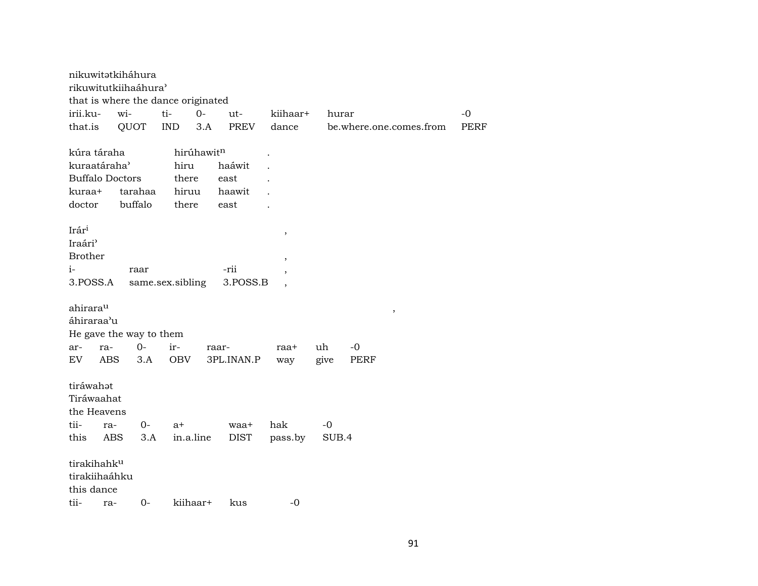|                         | nikuwitatkiháhura                  |                  |            |             |                                  |       |                         |             |
|-------------------------|------------------------------------|------------------|------------|-------------|----------------------------------|-------|-------------------------|-------------|
|                         | rikuwitutkiihaáhura'               |                  |            |             |                                  |       |                         |             |
|                         | that is where the dance originated |                  |            |             |                                  |       |                         |             |
| irii.ku-                | wi-                                | ti-              | $0-$       | ut-         | kiihaar+                         | hurar |                         | -0          |
| that.is                 | QUOT                               | <b>IND</b>       | 3.A        | <b>PREV</b> | dance                            |       | be.where.one.comes.from | <b>PERF</b> |
| kúra táraha             |                                    |                  | hirúhawitn |             |                                  |       |                         |             |
| kuraatáraha'            |                                    | hiru             |            | haáwit      |                                  |       |                         |             |
| <b>Buffalo Doctors</b>  |                                    | there            |            | east        |                                  |       |                         |             |
| kuraa+                  | tarahaa                            | hiruu            |            | haawit      |                                  |       |                         |             |
| doctor                  | buffalo                            | there            |            | east        |                                  |       |                         |             |
| Irár <sup>i</sup>       |                                    |                  |            |             |                                  |       |                         |             |
| Iraári <sup>3</sup>     |                                    |                  |            |             | $\, ,$                           |       |                         |             |
| Brother                 |                                    |                  |            |             |                                  |       |                         |             |
| $i-$                    | raar                               |                  |            | -rii        | $^\mathrm{^\mathrm{o}}$          |       |                         |             |
| 3.POSS.A                |                                    | same.sex.sibling |            | 3.POSS.B    | $\,$<br>$\overline{\phantom{a}}$ |       |                         |             |
|                         |                                    |                  |            |             |                                  |       |                         |             |
| ahirarau                |                                    |                  |            |             |                                  |       | $^\mathrm{,}$           |             |
| áhiraraa'u              |                                    |                  |            |             |                                  |       |                         |             |
|                         | He gave the way to them            |                  |            |             |                                  |       |                         |             |
| ra-<br>ar-              | $0 -$                              | ir-              | raar-      |             | raa+                             | uh    | -0                      |             |
| EV                      | ABS<br>3.A                         | OBV              |            | 3PL.INAN.P  | way                              | give  | PERF                    |             |
|                         |                                    |                  |            |             |                                  |       |                         |             |
| tiráwahat<br>Tiráwaahat |                                    |                  |            |             |                                  |       |                         |             |
|                         |                                    |                  |            |             |                                  |       |                         |             |
| the Heavens             |                                    |                  |            |             |                                  |       |                         |             |
| tii-                    | $0-$<br>ra-                        | $a+$             |            | waa+        | hak                              | $-0$  |                         |             |
| this                    | <b>ABS</b><br>3.A                  | in.a.line        |            | <b>DIST</b> | pass.by                          | SUB.4 |                         |             |
| tirakihahku             |                                    |                  |            |             |                                  |       |                         |             |
| tirakiihaáhku           |                                    |                  |            |             |                                  |       |                         |             |
| this dance              |                                    |                  |            |             |                                  |       |                         |             |
| tii-                    | $0-$<br>ra-                        | kiihaar+         |            | kus         | -0                               |       |                         |             |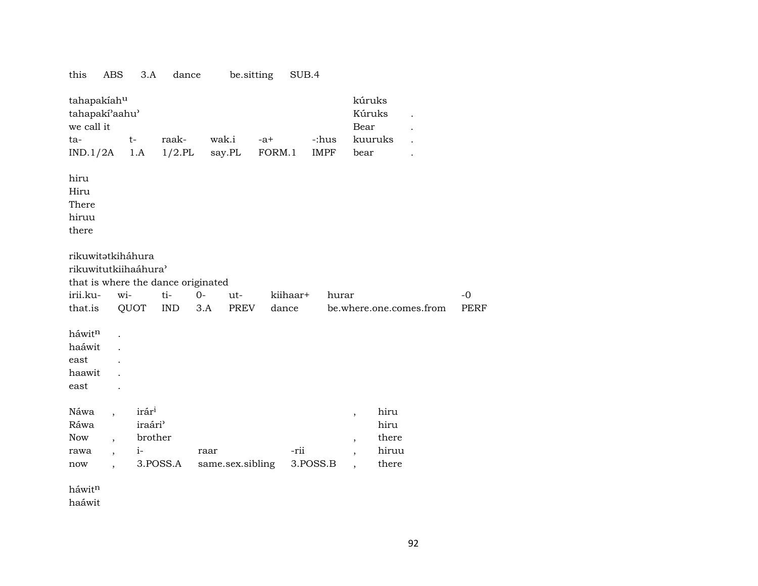| this                                                                            | ABS                                                       | 3.A                                                         | dance              |             | be.sitting       |                 | SUB.4            |               |                                                                                            |                                         |                         |                     |
|---------------------------------------------------------------------------------|-----------------------------------------------------------|-------------------------------------------------------------|--------------------|-------------|------------------|-----------------|------------------|---------------|--------------------------------------------------------------------------------------------|-----------------------------------------|-------------------------|---------------------|
| tahapakiahu<br>tahapakí'aahu'<br>we call it<br>ta-<br>IND.1/2A                  |                                                           | $t-$<br>1.A                                                 | raak-<br>$1/2$ .PL | wak.i       | say.PL           | $-a+$<br>FORM.1 |                  | -:hus<br>IMPF | kúruks<br>Kúruks<br>Bear<br>kuuruks<br>bear                                                |                                         |                         |                     |
| hiru<br>Hiru<br>There<br>hiruu<br>there                                         |                                                           |                                                             |                    |             |                  |                 |                  |               |                                                                                            |                                         |                         |                     |
| rikuwitatkiháhura<br>rikuwitutkiihaáhura'<br>that is where the dance originated |                                                           |                                                             |                    |             |                  |                 |                  |               |                                                                                            |                                         |                         |                     |
| irii.ku-<br>that.is                                                             | wi-                                                       | QUOT                                                        | ti-<br><b>IND</b>  | $0-$<br>3.A | ut-<br>PREV      | dance           | kiihaar+         | hurar         |                                                                                            |                                         | be.where.one.comes.from | $-0$<br><b>PERF</b> |
| háwitn<br>haáwit<br>east<br>haawit<br>east                                      |                                                           |                                                             |                    |             |                  |                 |                  |               |                                                                                            |                                         |                         |                     |
| Náwa<br>Ráwa<br><b>Now</b><br>rawa<br>now                                       | $\overline{\phantom{a}}$<br>$\overline{\phantom{a}}$<br>, | irár <sup>i</sup><br>iraári <sup>3</sup><br>brother<br>$i-$ | 3.POSS.A           | raar        | same.sex.sibling |                 | -rii<br>3.POSS.B |               | $\, ,$<br>$\overline{\phantom{a}}$<br>$\overline{\phantom{a}}$<br>$\overline{\phantom{a}}$ | hiru<br>hiru<br>there<br>hiruu<br>there |                         |                     |
| háwit <sup>n</sup>                                                              |                                                           |                                                             |                    |             |                  |                 |                  |               |                                                                                            |                                         |                         |                     |

haáwit